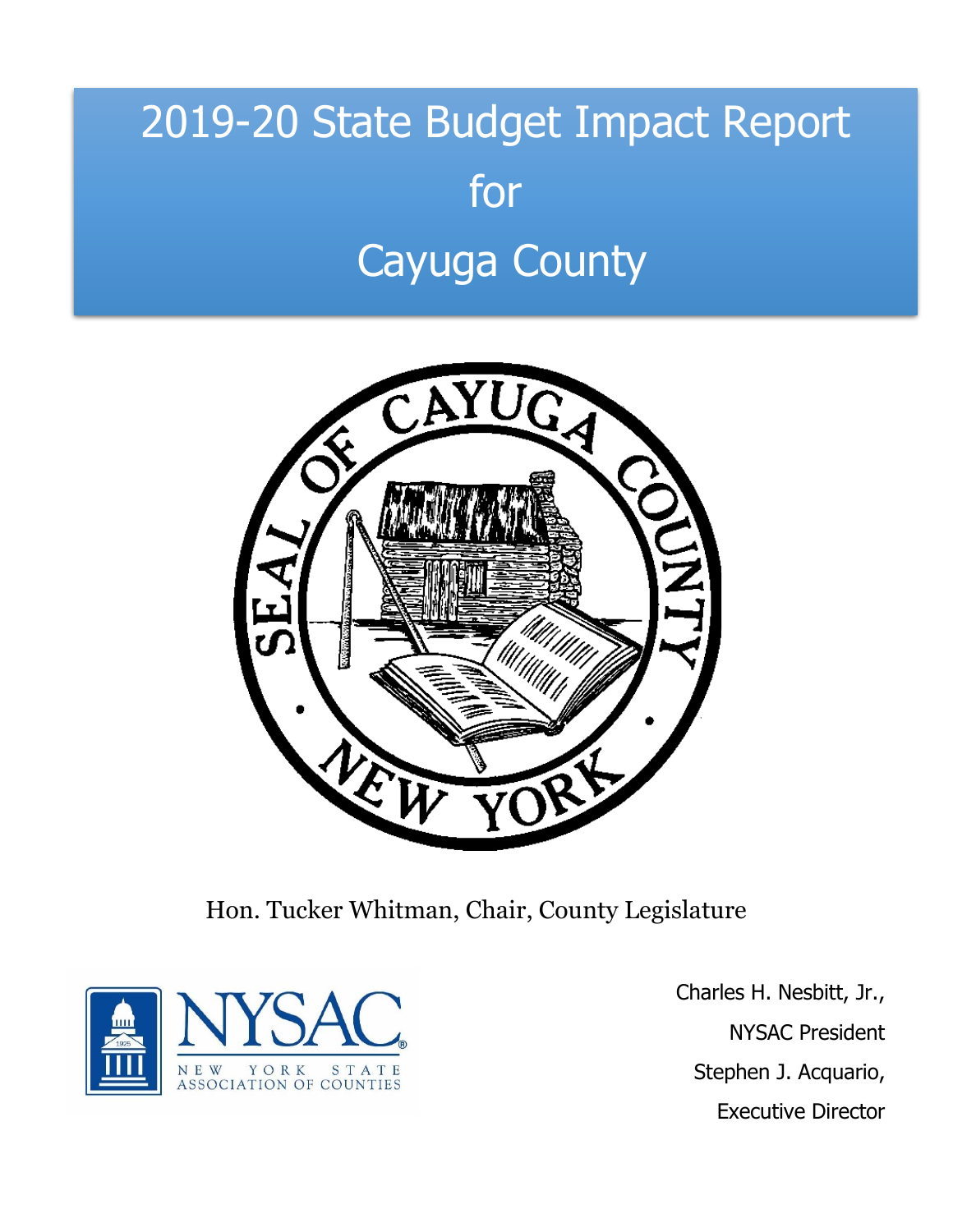# 2019-20 State Budget Impact Report for Cayuga County



Hon. Tucker Whitman, Chair, County Legislature



Charles H. Nesbitt, Jr., NYSAC President Stephen J. Acquario, Executive Director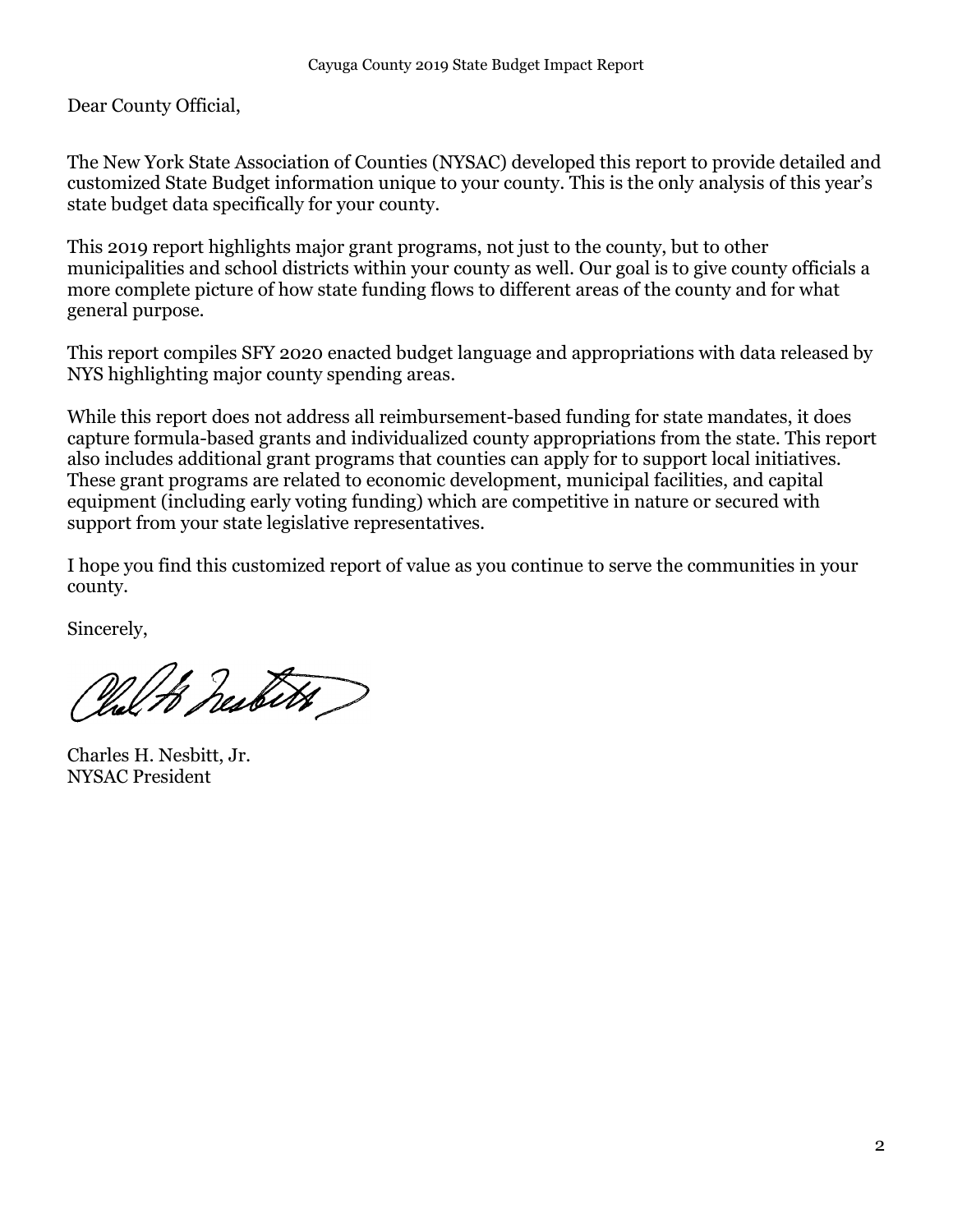Dear County Official,

The New York State Association of Counties (NYSAC) developed this report to provide detailed and customized State Budget information unique to your county. This is the only analysis of this year's state budget data specifically for your county.

This 2019 report highlights major grant programs, not just to the county, but to other municipalities and school districts within your county as well. Our goal is to give county officials a more complete picture of how state funding flows to different areas of the county and for what general purpose.

This report compiles SFY 2020 enacted budget language and appropriations with data released by NYS highlighting major county spending areas.

While this report does not address all reimbursement-based funding for state mandates, it does capture formula-based grants and individualized county appropriations from the state. This report also includes additional grant programs that counties can apply for to support local initiatives. These grant programs are related to economic development, municipal facilities, and capital equipment (including early voting funding) which are competitive in nature or secured with support from your state legislative representatives.

I hope you find this customized report of value as you continue to serve the communities in your county.

Sincerely,

Pul to health )

Charles H. Nesbitt, Jr. NYSAC President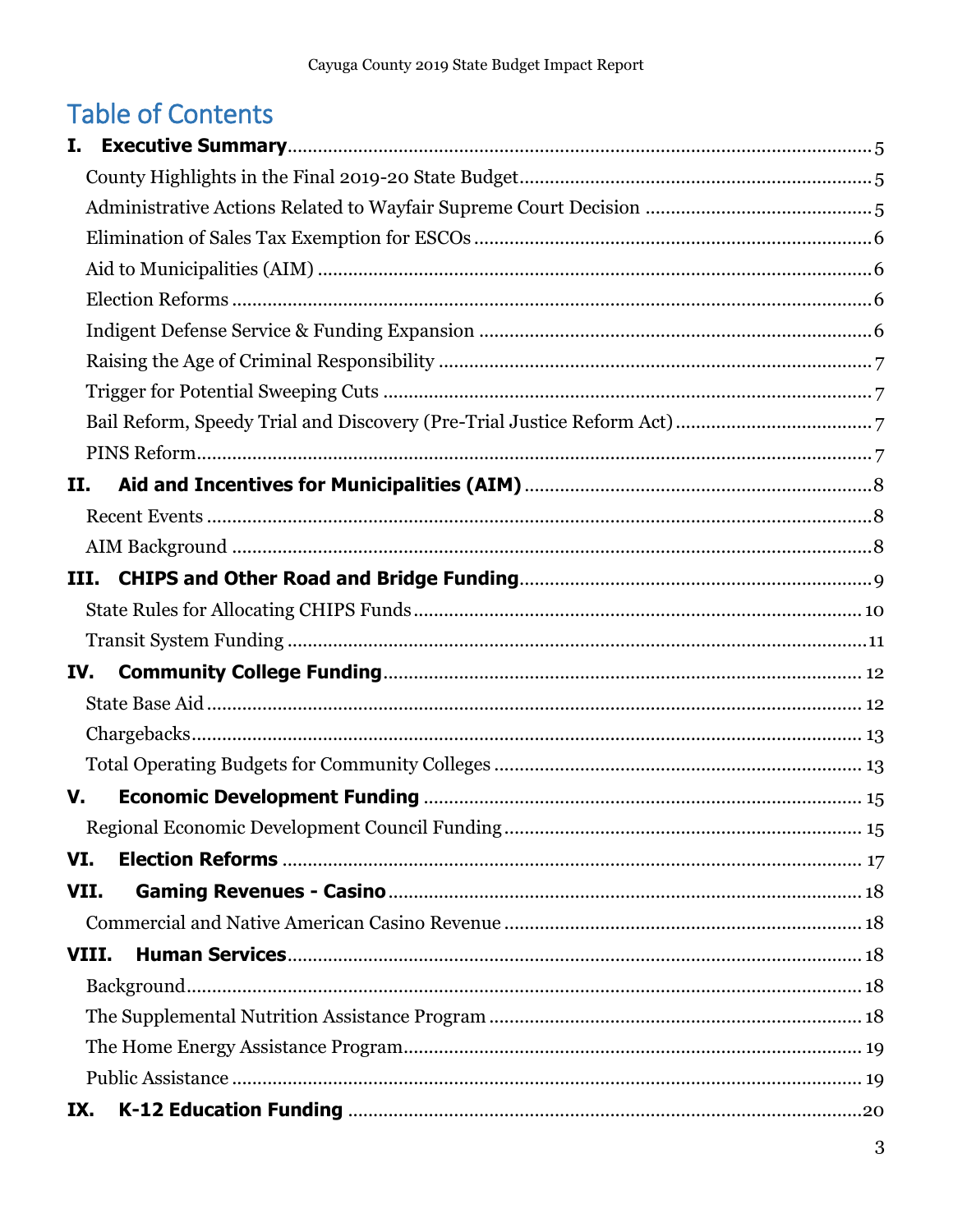# **Table of Contents**

| Н.  |       |  |
|-----|-------|--|
|     |       |  |
|     |       |  |
|     |       |  |
|     |       |  |
|     |       |  |
| IV. |       |  |
|     |       |  |
|     |       |  |
|     |       |  |
| V.  |       |  |
|     |       |  |
| VI. |       |  |
|     | VII.  |  |
|     |       |  |
|     | VIII. |  |
|     |       |  |
|     |       |  |
|     |       |  |
|     |       |  |
| IX. |       |  |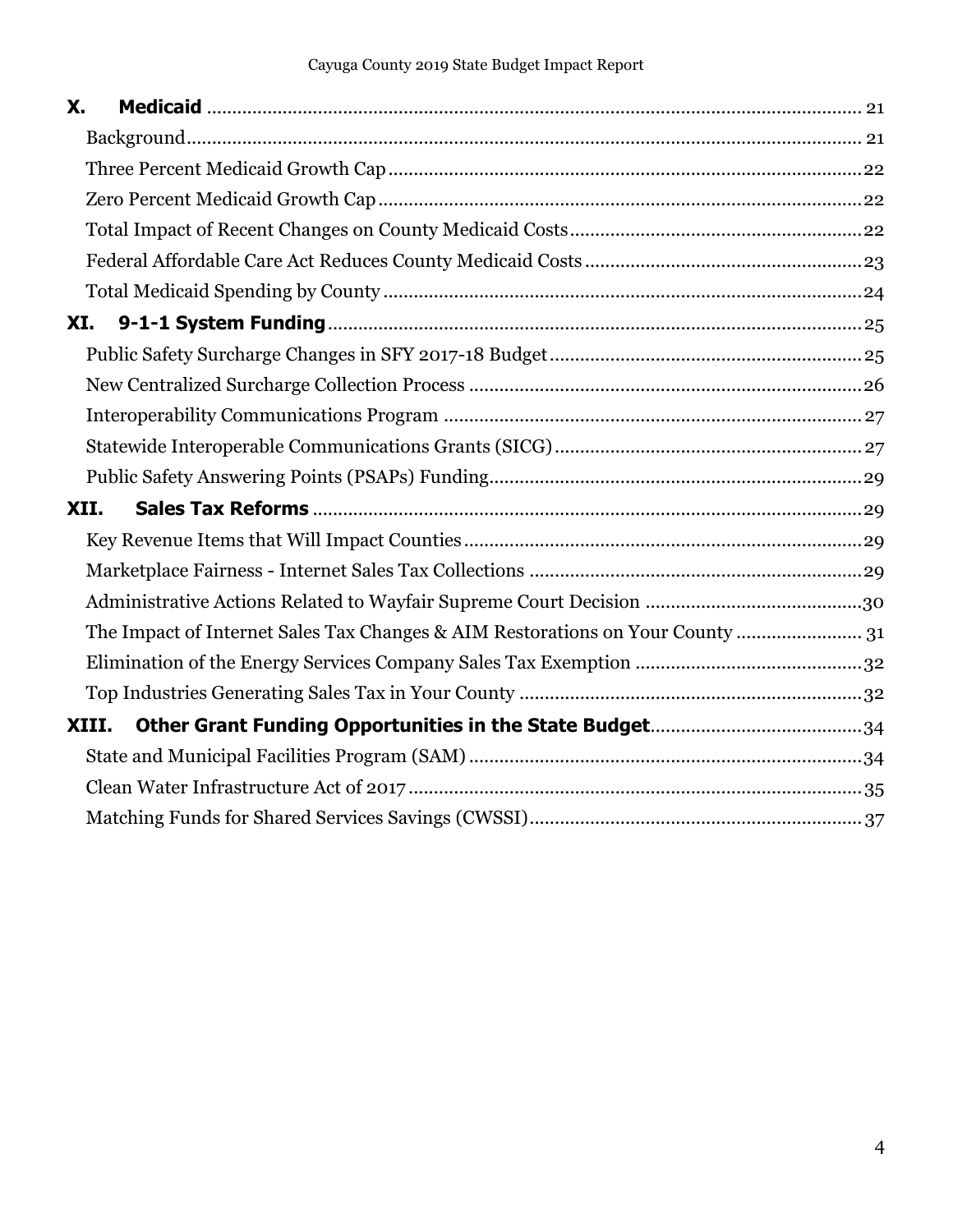| X.   |                                                                            |  |
|------|----------------------------------------------------------------------------|--|
|      |                                                                            |  |
|      |                                                                            |  |
|      |                                                                            |  |
|      |                                                                            |  |
|      |                                                                            |  |
|      |                                                                            |  |
| XI.  |                                                                            |  |
|      |                                                                            |  |
|      |                                                                            |  |
|      |                                                                            |  |
|      |                                                                            |  |
|      |                                                                            |  |
| XII. |                                                                            |  |
|      |                                                                            |  |
|      |                                                                            |  |
|      |                                                                            |  |
|      | The Impact of Internet Sales Tax Changes & AIM Restorations on Your County |  |
|      |                                                                            |  |
|      |                                                                            |  |
|      | XIII.                                                                      |  |
|      |                                                                            |  |
|      |                                                                            |  |
|      |                                                                            |  |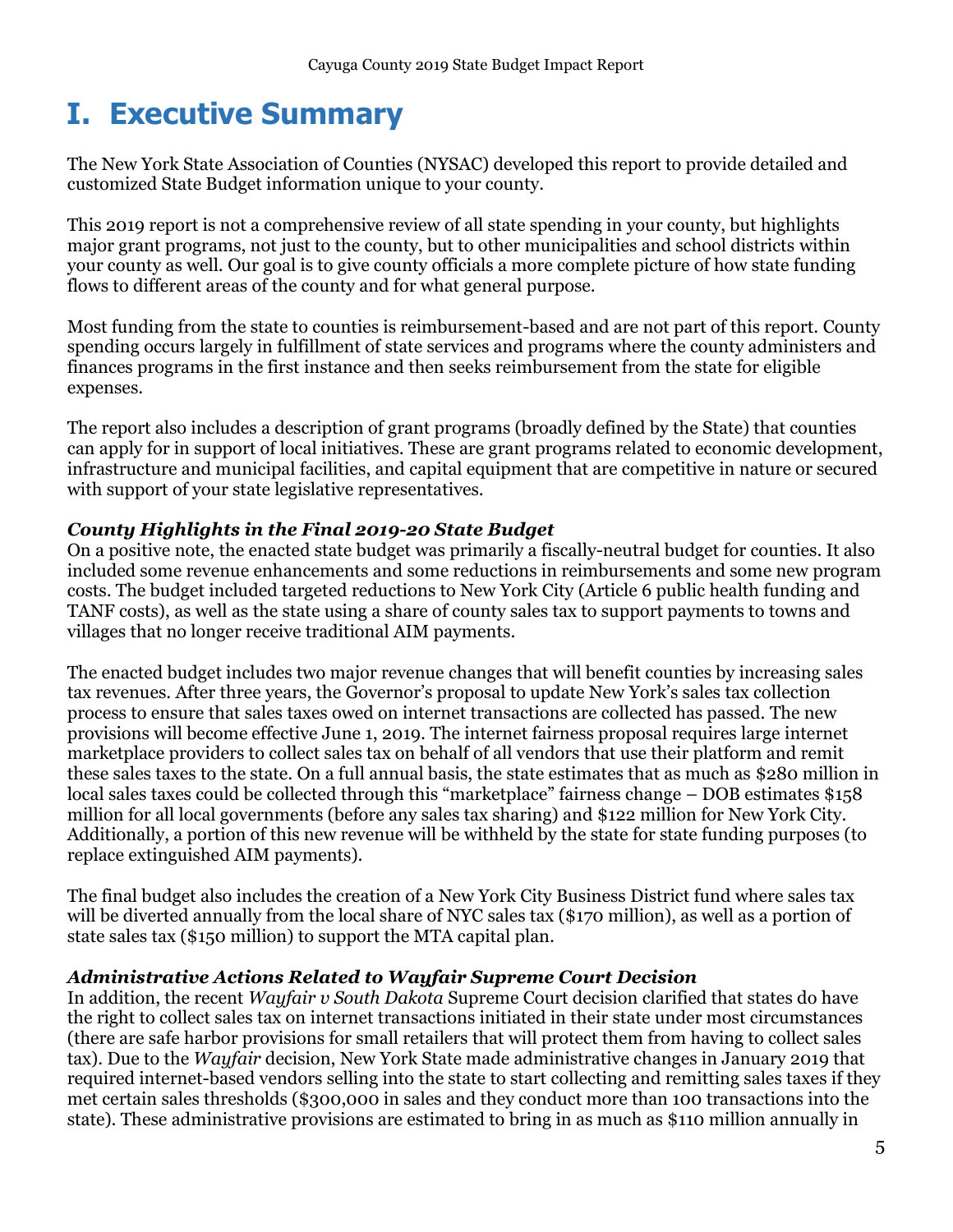# <span id="page-4-0"></span>**I. Executive Summary**

The New York State Association of Counties (NYSAC) developed this report to provide detailed and customized State Budget information unique to your county.

This 2019 report is not a comprehensive review of all state spending in your county, but highlights major grant programs, not just to the county, but to other municipalities and school districts within your county as well. Our goal is to give county officials a more complete picture of how state funding flows to different areas of the county and for what general purpose.

Most funding from the state to counties is reimbursement-based and are not part of this report. County spending occurs largely in fulfillment of state services and programs where the county administers and finances programs in the first instance and then seeks reimbursement from the state for eligible expenses.

The report also includes a description of grant programs (broadly defined by the State) that counties can apply for in support of local initiatives. These are grant programs related to economic development, infrastructure and municipal facilities, and capital equipment that are competitive in nature or secured with support of your state legislative representatives.

### <span id="page-4-1"></span>*County Highlights in the Final 2019-20 State Budget*

On a positive note, the enacted state budget was primarily a fiscally-neutral budget for counties. It also included some revenue enhancements and some reductions in reimbursements and some new program costs. The budget included targeted reductions to New York City (Article 6 public health funding and TANF costs), as well as the state using a share of county sales tax to support payments to towns and villages that no longer receive traditional AIM payments.

The enacted budget includes two major revenue changes that will benefit counties by increasing sales tax revenues. After three years, the Governor's proposal to update New York's sales tax collection process to ensure that sales taxes owed on internet transactions are collected has passed. The new provisions will become effective June 1, 2019. The internet fairness proposal requires large internet marketplace providers to collect sales tax on behalf of all vendors that use their platform and remit these sales taxes to the state. On a full annual basis, the state estimates that as much as \$280 million in local sales taxes could be collected through this "marketplace" fairness change – DOB estimates \$158 million for all local governments (before any sales tax sharing) and \$122 million for New York City. Additionally, a portion of this new revenue will be withheld by the state for state funding purposes (to replace extinguished AIM payments).

The final budget also includes the creation of a New York City Business District fund where sales tax will be diverted annually from the local share of NYC sales tax (\$170 million), as well as a portion of state sales tax (\$150 million) to support the MTA capital plan.

### <span id="page-4-2"></span>*Administrative Actions Related to Wayfair Supreme Court Decision*

In addition, the recent *Wayfair v South Dakota* Supreme Court decision clarified that states do have the right to collect sales tax on internet transactions initiated in their state under most circumstances (there are safe harbor provisions for small retailers that will protect them from having to collect sales tax). Due to the *Wayfair* decision, New York State made administrative changes in January 2019 that required internet-based vendors selling into the state to start collecting and remitting sales taxes if they met certain sales thresholds (\$300,000 in sales and they conduct more than 100 transactions into the state). These administrative provisions are estimated to bring in as much as \$110 million annually in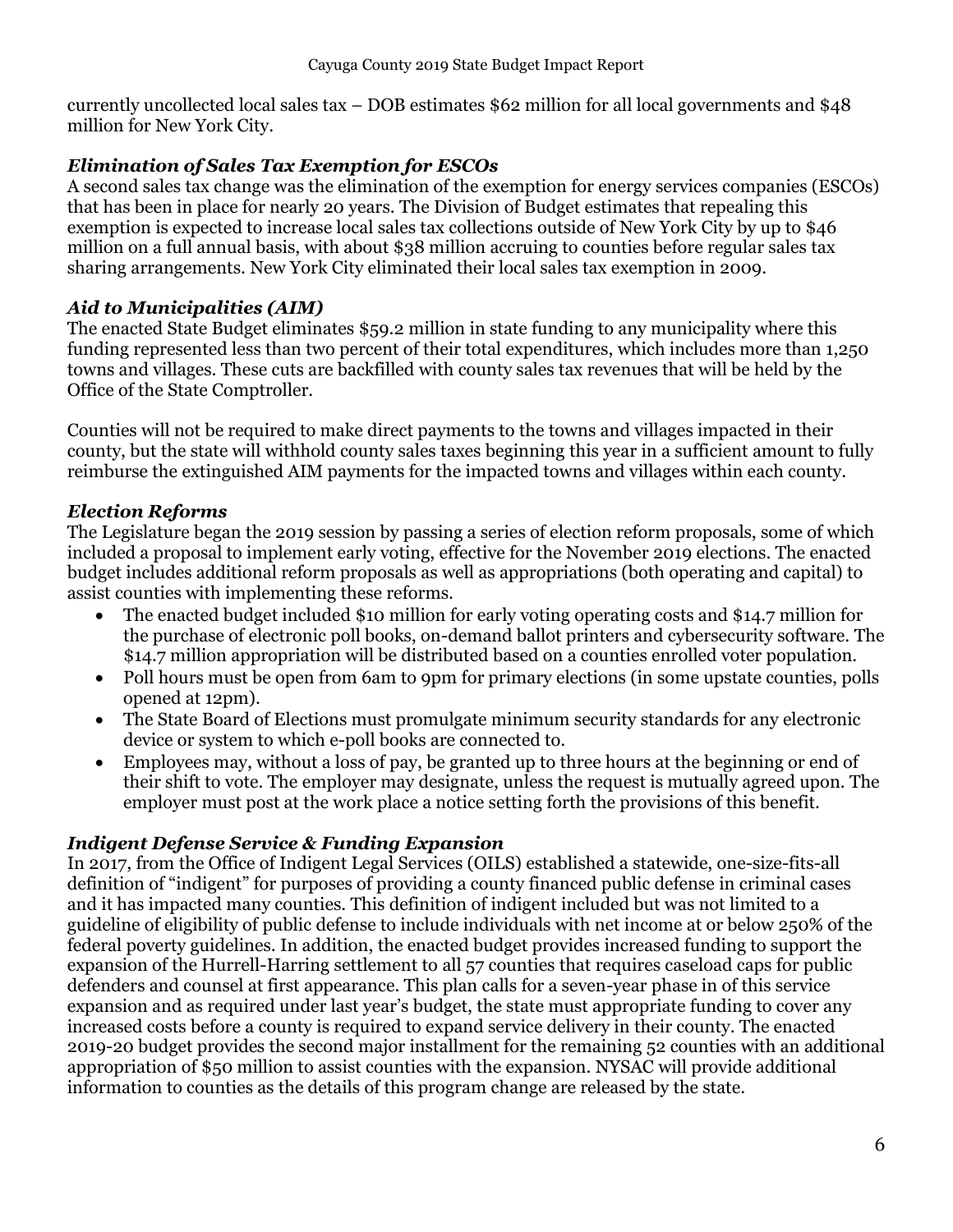currently uncollected local sales tax – DOB estimates \$62 million for all local governments and \$48 million for New York City.

### <span id="page-5-0"></span>*Elimination of Sales Tax Exemption for ESCOs*

A second sales tax change was the elimination of the exemption for energy services companies (ESCOs) that has been in place for nearly 20 years. The Division of Budget estimates that repealing this exemption is expected to increase local sales tax collections outside of New York City by up to \$46 million on a full annual basis, with about \$38 million accruing to counties before regular sales tax sharing arrangements. New York City eliminated their local sales tax exemption in 2009.

### <span id="page-5-1"></span>*Aid to Municipalities (AIM)*

The enacted State Budget eliminates \$59.2 million in state funding to any municipality where this funding represented less than two percent of their total expenditures, which includes more than 1,250 towns and villages. These cuts are backfilled with county sales tax revenues that will be held by the Office of the State Comptroller.

Counties will not be required to make direct payments to the towns and villages impacted in their county, but the state will withhold county sales taxes beginning this year in a sufficient amount to fully reimburse the extinguished AIM payments for the impacted towns and villages within each county.

### <span id="page-5-2"></span>*Election Reforms*

The Legislature began the 2019 session by passing a series of election reform proposals, some of which included a proposal to implement early voting, effective for the November 2019 elections. The enacted budget includes additional reform proposals as well as appropriations (both operating and capital) to assist counties with implementing these reforms.

- The enacted budget included \$10 million for early voting operating costs and \$14.7 million for the purchase of electronic poll books, on-demand ballot printers and cybersecurity software. The \$14.7 million appropriation will be distributed based on a counties enrolled voter population.
- Poll hours must be open from 6am to 9pm for primary elections (in some upstate counties, polls opened at 12pm).
- The State Board of Elections must promulgate minimum security standards for any electronic device or system to which e-poll books are connected to.
- Employees may, without a loss of pay, be granted up to three hours at the beginning or end of their shift to vote. The employer may designate, unless the request is mutually agreed upon. The employer must post at the work place a notice setting forth the provisions of this benefit.

### <span id="page-5-3"></span>*Indigent Defense Service & Funding Expansion*

In 2017, from the Office of Indigent Legal Services (OILS) established a statewide, one-size-fits-all definition of "indigent" for purposes of providing a county financed public defense in criminal cases and it has impacted many counties. This definition of indigent included but was not limited to a guideline of eligibility of public defense to include individuals with net income at or below 250% of the federal poverty guidelines. In addition, the enacted budget provides increased funding to support the expansion of the Hurrell-Harring settlement to all 57 counties that requires caseload caps for public defenders and counsel at first appearance. This plan calls for a seven-year phase in of this service expansion and as required under last year's budget, the state must appropriate funding to cover any increased costs before a county is required to expand service delivery in their county. The enacted 2019-20 budget provides the second major installment for the remaining 52 counties with an additional appropriation of \$50 million to assist counties with the expansion. NYSAC will provide additional information to counties as the details of this program change are released by the state.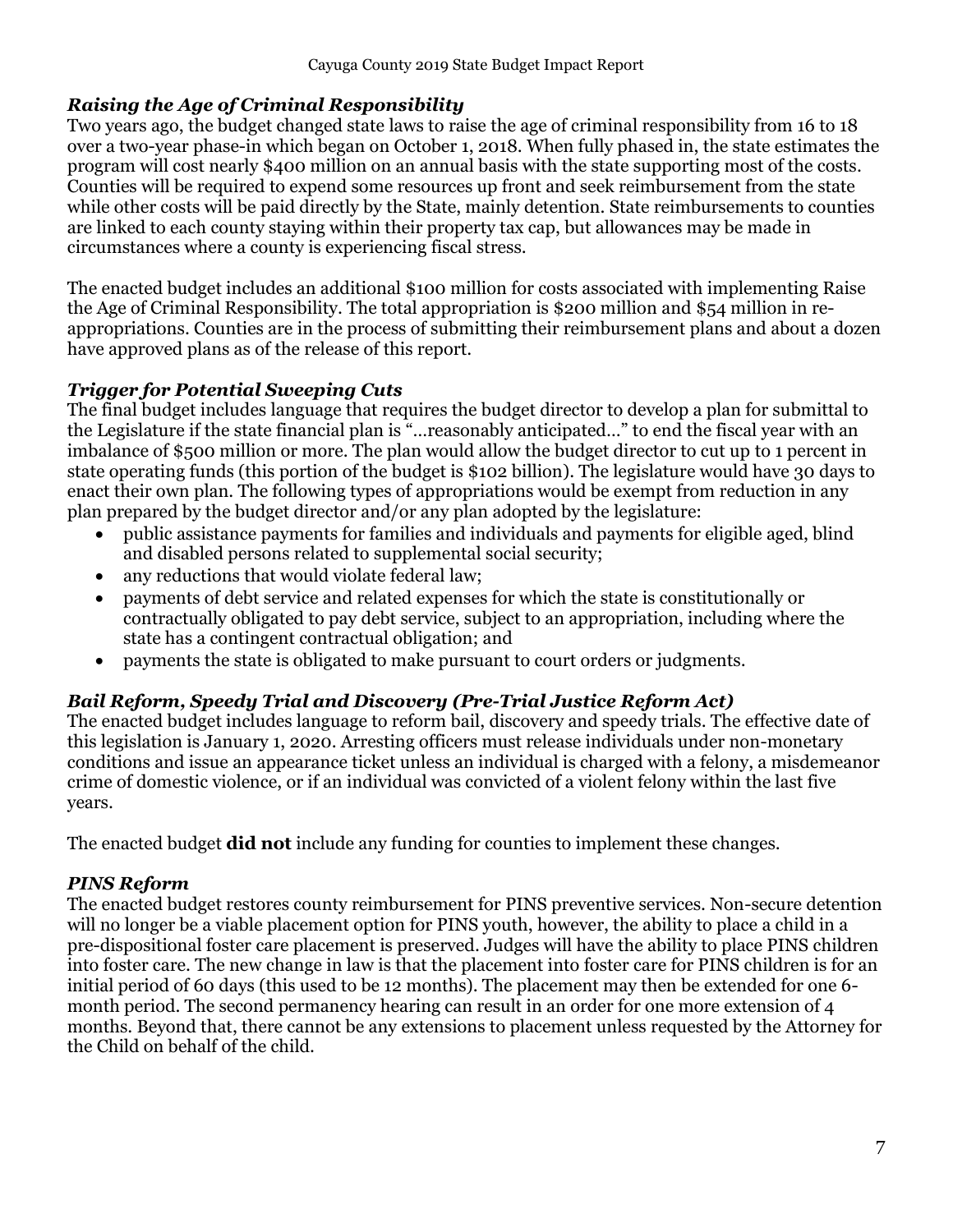### <span id="page-6-0"></span>*Raising the Age of Criminal Responsibility*

Two years ago, the budget changed state laws to raise the age of criminal responsibility from 16 to 18 over a two-year phase-in which began on October 1, 2018. When fully phased in, the state estimates the program will cost nearly \$400 million on an annual basis with the state supporting most of the costs. Counties will be required to expend some resources up front and seek reimbursement from the state while other costs will be paid directly by the State, mainly detention. State reimbursements to counties are linked to each county staying within their property tax cap, but allowances may be made in circumstances where a county is experiencing fiscal stress.

The enacted budget includes an additional \$100 million for costs associated with implementing Raise the Age of Criminal Responsibility. The total appropriation is \$200 million and \$54 million in reappropriations. Counties are in the process of submitting their reimbursement plans and about a dozen have approved plans as of the release of this report.

### <span id="page-6-1"></span>*Trigger for Potential Sweeping Cuts*

The final budget includes language that requires the budget director to develop a plan for submittal to the Legislature if the state financial plan is "…reasonably anticipated…" to end the fiscal year with an imbalance of \$500 million or more. The plan would allow the budget director to cut up to 1 percent in state operating funds (this portion of the budget is \$102 billion). The legislature would have 30 days to enact their own plan. The following types of appropriations would be exempt from reduction in any plan prepared by the budget director and/or any plan adopted by the legislature:

- public assistance payments for families and individuals and payments for eligible aged, blind and disabled persons related to supplemental social security;
- any reductions that would violate federal law:
- payments of debt service and related expenses for which the state is constitutionally or contractually obligated to pay debt service, subject to an appropriation, including where the state has a contingent contractual obligation; and
- payments the state is obligated to make pursuant to court orders or judgments.

### <span id="page-6-2"></span>*Bail Reform, Speedy Trial and Discovery (Pre-Trial Justice Reform Act)*

The enacted budget includes language to reform bail, discovery and speedy trials. The effective date of this legislation is January 1, 2020. Arresting officers must release individuals under non-monetary conditions and issue an appearance ticket unless an individual is charged with a felony, a misdemeanor crime of domestic violence, or if an individual was convicted of a violent felony within the last five years.

The enacted budget **did not** include any funding for counties to implement these changes.

### <span id="page-6-3"></span>*PINS Reform*

The enacted budget restores county reimbursement for PINS preventive services. Non-secure detention will no longer be a viable placement option for PINS youth, however, the ability to place a child in a pre-dispositional foster care placement is preserved. Judges will have the ability to place PINS children into foster care. The new change in law is that the placement into foster care for PINS children is for an initial period of 60 days (this used to be 12 months). The placement may then be extended for one 6 month period. The second permanency hearing can result in an order for one more extension of 4 months. Beyond that, there cannot be any extensions to placement unless requested by the Attorney for the Child on behalf of the child.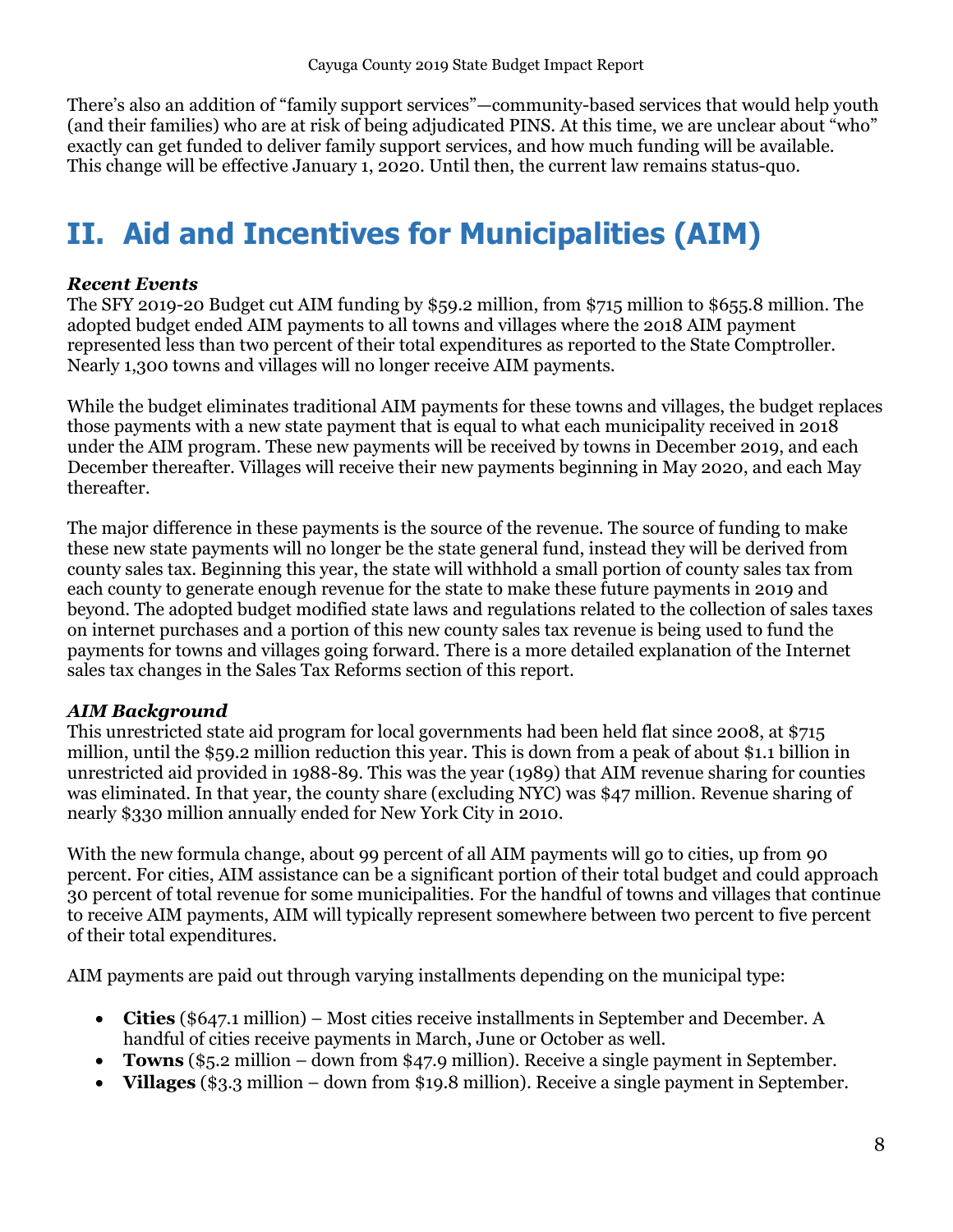There's also an addition of "family support services"—community-based services that would help youth (and their families) who are at risk of being adjudicated PINS. At this time, we are unclear about "who" exactly can get funded to deliver family support services, and how much funding will be available. This change will be effective January 1, 2020. Until then, the current law remains status-quo.

# <span id="page-7-0"></span>**II. Aid and Incentives for Municipalities (AIM)**

### <span id="page-7-1"></span>*Recent Events*

The SFY 2019-20 Budget cut AIM funding by \$59.2 million, from \$715 million to \$655.8 million. The adopted budget ended AIM payments to all towns and villages where the 2018 AIM payment represented less than two percent of their total expenditures as reported to the State Comptroller. Nearly 1,300 towns and villages will no longer receive AIM payments.

While the budget eliminates traditional AIM payments for these towns and villages, the budget replaces those payments with a new state payment that is equal to what each municipality received in 2018 under the AIM program. These new payments will be received by towns in December 2019, and each December thereafter. Villages will receive their new payments beginning in May 2020, and each May thereafter.

The major difference in these payments is the source of the revenue. The source of funding to make these new state payments will no longer be the state general fund, instead they will be derived from county sales tax. Beginning this year, the state will withhold a small portion of county sales tax from each county to generate enough revenue for the state to make these future payments in 2019 and beyond. The adopted budget modified state laws and regulations related to the collection of sales taxes on internet purchases and a portion of this new county sales tax revenue is being used to fund the payments for towns and villages going forward. There is a more detailed explanation of the Internet sales tax changes in the Sales Tax Reforms section of this report.

### <span id="page-7-2"></span>*AIM Background*

This unrestricted state aid program for local governments had been held flat since 2008, at \$715 million, until the \$59.2 million reduction this year. This is down from a peak of about \$1.1 billion in unrestricted aid provided in 1988-89. This was the year (1989) that AIM revenue sharing for counties was eliminated. In that year, the county share (excluding NYC) was \$47 million. Revenue sharing of nearly \$330 million annually ended for New York City in 2010.

With the new formula change, about 99 percent of all AIM payments will go to cities, up from 90 percent. For cities, AIM assistance can be a significant portion of their total budget and could approach 30 percent of total revenue for some municipalities. For the handful of towns and villages that continue to receive AIM payments, AIM will typically represent somewhere between two percent to five percent of their total expenditures.

AIM payments are paid out through varying installments depending on the municipal type:

- **Cities** (\$647.1 million) Most cities receive installments in September and December. A handful of cities receive payments in March, June or October as well.
- **Towns** (\$5.2 million down from \$47.9 million). Receive a single payment in September.
- **Villages** (\$3.3 million down from \$19.8 million). Receive a single payment in September.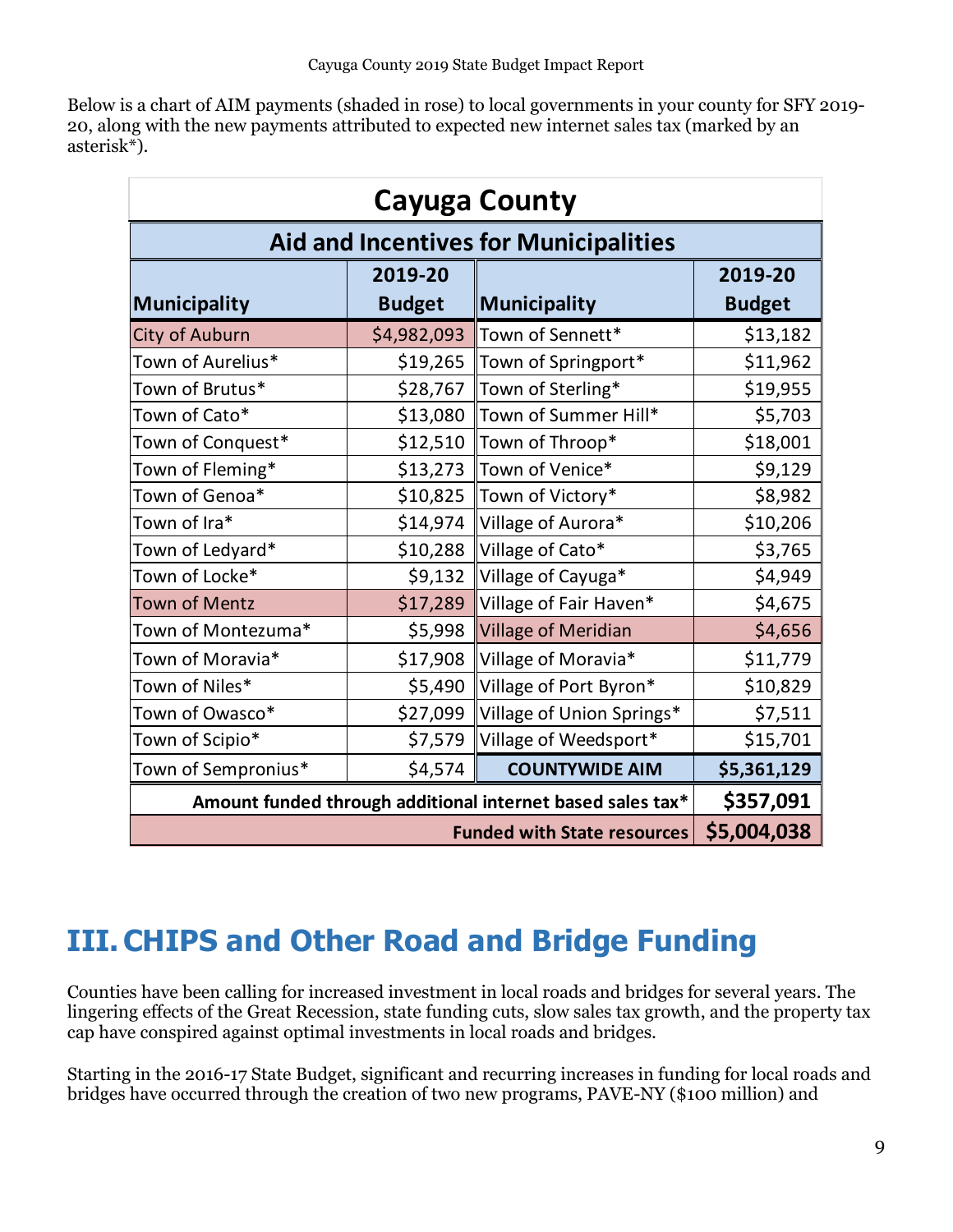Below is a chart of AIM payments (shaded in rose) to local governments in your county for SFY 2019- 20, along with the new payments attributed to expected new internet sales tax (marked by an asterisk\*).

| <b>Cayuga County</b>                                       |               |                            |               |  |  |  |  |  |  |
|------------------------------------------------------------|---------------|----------------------------|---------------|--|--|--|--|--|--|
| <b>Aid and Incentives for Municipalities</b>               |               |                            |               |  |  |  |  |  |  |
|                                                            | 2019-20       |                            |               |  |  |  |  |  |  |
| Municipality                                               | <b>Budget</b> | Municipality               | <b>Budget</b> |  |  |  |  |  |  |
| City of Auburn                                             | \$4,982,093   | Town of Sennett*           | \$13,182      |  |  |  |  |  |  |
| Town of Aurelius*                                          | \$19,265      | Town of Springport*        | \$11,962      |  |  |  |  |  |  |
| Town of Brutus*                                            | \$28,767      | Town of Sterling*          | \$19,955      |  |  |  |  |  |  |
| Town of Cato*                                              | \$13,080      | Town of Summer Hill*       | \$5,703       |  |  |  |  |  |  |
| Town of Conquest*                                          | \$12,510      | Town of Throop*            | \$18,001      |  |  |  |  |  |  |
| Town of Fleming*                                           | \$13,273      | Town of Venice*            | \$9,129       |  |  |  |  |  |  |
| Town of Genoa*                                             | \$10,825      | Town of Victory*           | \$8,982       |  |  |  |  |  |  |
| Town of Ira*                                               | \$14,974      | Village of Aurora*         | \$10,206      |  |  |  |  |  |  |
| Town of Ledyard*                                           | \$10,288      | Village of Cato*           | \$3,765       |  |  |  |  |  |  |
| Town of Locke*                                             | \$9,132       | Village of Cayuga*         | \$4,949       |  |  |  |  |  |  |
| Town of Mentz                                              | \$17,289      | Village of Fair Haven*     | \$4,675       |  |  |  |  |  |  |
| Town of Montezuma*                                         | \$5,998       | <b>Village of Meridian</b> | \$4,656       |  |  |  |  |  |  |
| Town of Moravia*                                           | \$17,908      | Village of Moravia*        | \$11,779      |  |  |  |  |  |  |
| Town of Niles*                                             | \$5,490       | Village of Port Byron*     | \$10,829      |  |  |  |  |  |  |
| Town of Owasco*                                            | \$27,099      | Village of Union Springs*  | \$7,511       |  |  |  |  |  |  |
| Town of Scipio*                                            | \$7,579       | Village of Weedsport*      | \$15,701      |  |  |  |  |  |  |
| Town of Sempronius*                                        | \$4,574       | <b>COUNTYWIDE AIM</b>      | \$5,361,129   |  |  |  |  |  |  |
| Amount funded through additional internet based sales tax* | \$357,091     |                            |               |  |  |  |  |  |  |
|                                                            | \$5,004,038   |                            |               |  |  |  |  |  |  |

# <span id="page-8-0"></span>**III.CHIPS and Other Road and Bridge Funding**

Counties have been calling for increased investment in local roads and bridges for several years. The lingering effects of the Great Recession, state funding cuts, slow sales tax growth, and the property tax cap have conspired against optimal investments in local roads and bridges.

Starting in the 2016-17 State Budget, significant and recurring increases in funding for local roads and bridges have occurred through the creation of two new programs, PAVE-NY (\$100 million) and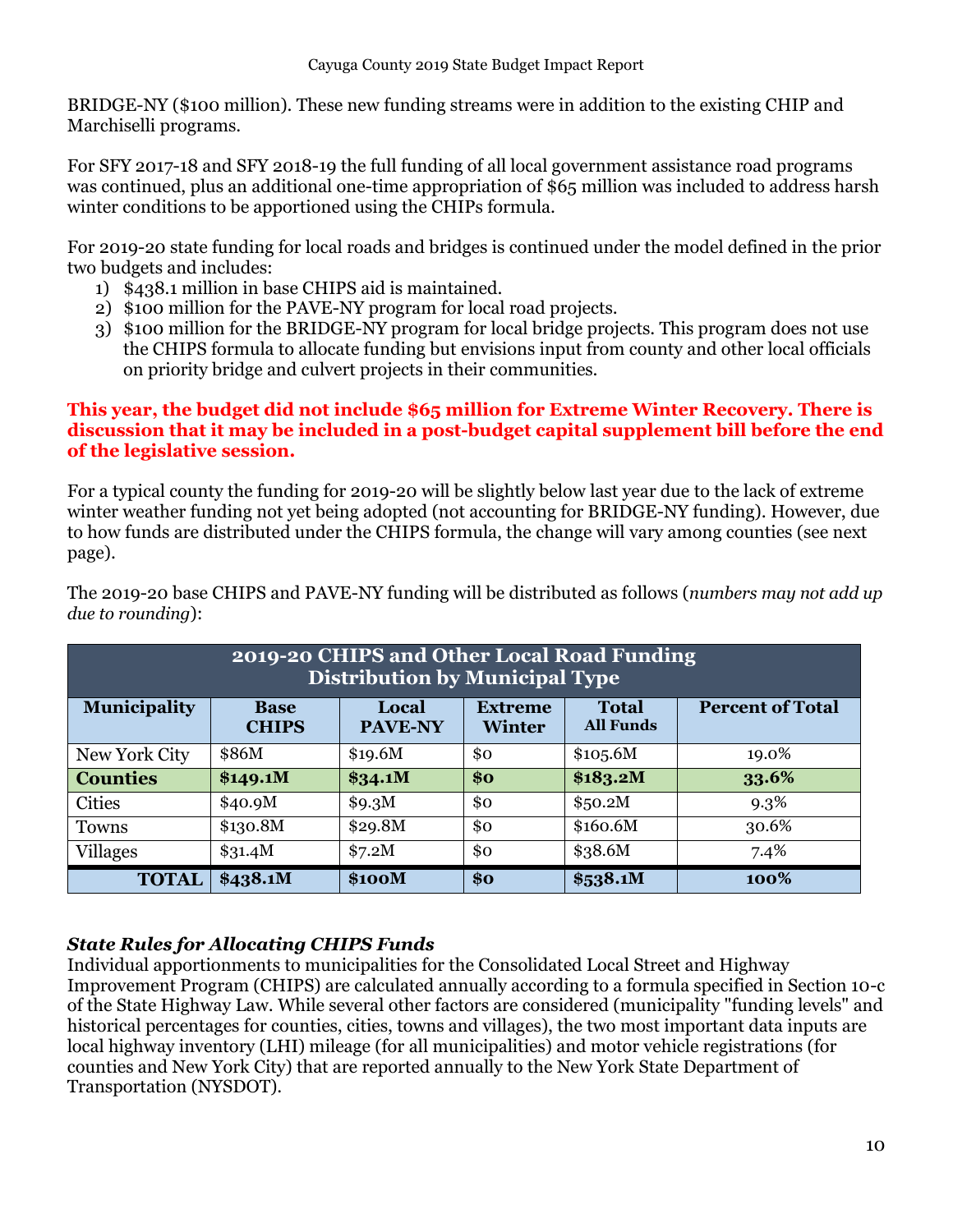BRIDGE-NY (\$100 million). These new funding streams were in addition to the existing CHIP and Marchiselli programs.

For SFY 2017-18 and SFY 2018-19 the full funding of all local government assistance road programs was continued, plus an additional one-time appropriation of \$65 million was included to address harsh winter conditions to be apportioned using the CHIPs formula.

For 2019-20 state funding for local roads and bridges is continued under the model defined in the prior two budgets and includes:

- 1) \$438.1 million in base CHIPS aid is maintained.
- 2) \$100 million for the PAVE-NY program for local road projects.
- 3) \$100 million for the BRIDGE-NY program for local bridge projects. This program does not use the CHIPS formula to allocate funding but envisions input from county and other local officials on priority bridge and culvert projects in their communities.

### **This year, the budget did not include \$65 million for Extreme Winter Recovery. There is discussion that it may be included in a post-budget capital supplement bill before the end of the legislative session.**

For a typical county the funding for 2019-20 will be slightly below last year due to the lack of extreme winter weather funding not yet being adopted (not accounting for BRIDGE-NY funding). However, due to how funds are distributed under the CHIPS formula, the change will vary among counties (see next page).

| 2019-20 CHIPS and Other Local Road Funding<br><b>Distribution by Municipal Type</b>                                                                                      |           |         |     |           |         |  |  |  |  |  |  |
|--------------------------------------------------------------------------------------------------------------------------------------------------------------------------|-----------|---------|-----|-----------|---------|--|--|--|--|--|--|
| <b>Municipality</b><br><b>Percent of Total</b><br><b>Total</b><br>Local<br><b>Extreme</b><br><b>Base</b><br><b>All Funds</b><br>PAVE-NY<br><b>CHIPS</b><br><b>Winter</b> |           |         |     |           |         |  |  |  |  |  |  |
| New York City                                                                                                                                                            | \$10,5.6M | 19.0%   |     |           |         |  |  |  |  |  |  |
| <b>Counties</b>                                                                                                                                                          | \$149.1M  | \$34.1M | \$o | \$183.2M  | 33.6%   |  |  |  |  |  |  |
| <b>Cities</b>                                                                                                                                                            | \$40.9M   | \$9.3M  | \$0 | \$50.2M\$ | $9.3\%$ |  |  |  |  |  |  |
| Towns                                                                                                                                                                    | \$130.8M  | \$29.8M | \$0 | \$160.6M  | 30.6%   |  |  |  |  |  |  |
| <b>Villages</b>                                                                                                                                                          | \$31.4M   | \$7.2M  | \$0 | \$38.6M   | 7.4%    |  |  |  |  |  |  |
| <b>TOTAL</b>                                                                                                                                                             | \$438.1M  | \$100M  | \$o | \$538.1M  | 100%    |  |  |  |  |  |  |

The 2019-20 base CHIPS and PAVE-NY funding will be distributed as follows (*numbers may not add up due to rounding*):

### <span id="page-9-0"></span>*State Rules for Allocating CHIPS Funds*

Individual apportionments to municipalities for the Consolidated Local Street and Highway Improvement Program (CHIPS) are calculated annually according to a formula specified in Section 10-c of the State Highway Law. While several other factors are considered (municipality "funding levels" and historical percentages for counties, cities, towns and villages), the two most important data inputs are local highway inventory (LHI) mileage (for all municipalities) and motor vehicle registrations (for counties and New York City) that are reported annually to the New York State Department of Transportation (NYSDOT).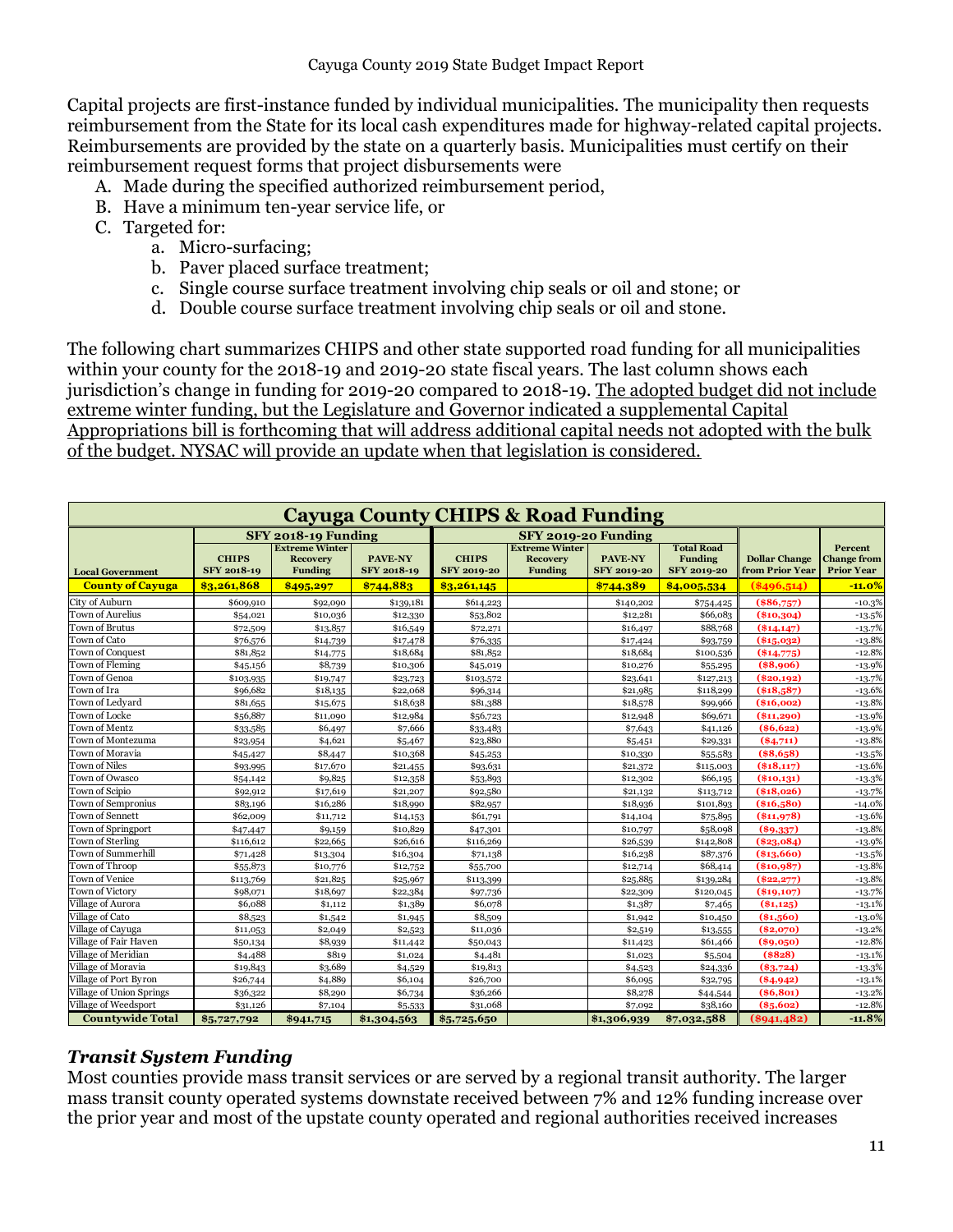Capital projects are first-instance funded by individual municipalities. The municipality then requests reimbursement from the State for its local cash expenditures made for highway-related capital projects. Reimbursements are provided by the state on a quarterly basis. Municipalities must certify on their reimbursement request forms that project disbursements were

- A. Made during the specified authorized reimbursement period,
- B. Have a minimum ten-year service life, or
- C. Targeted for:
	- a. Micro-surfacing;
	- b. Paver placed surface treatment;
	- c. Single course surface treatment involving chip seals or oil and stone; or
	- d. Double course surface treatment involving chip seals or oil and stone.

The following chart summarizes CHIPS and other state supported road funding for all municipalities within your county for the 2018-19 and 2019-20 state fiscal years. The last column shows each jurisdiction's change in funding for 2019-20 compared to 2018-19. The adopted budget did not include extreme winter funding, but the Legislature and Governor indicated a supplemental Capital Appropriations bill is forthcoming that will address additional capital needs not adopted with the bulk of the budget. NYSAC will provide an update when that legislation is considered.

| <b>Cayuga County CHIPS &amp; Road Funding</b> |                             |                                                            |                                      |                                    |                                                            |                                      |                                                           |                                         |                                                    |  |  |
|-----------------------------------------------|-----------------------------|------------------------------------------------------------|--------------------------------------|------------------------------------|------------------------------------------------------------|--------------------------------------|-----------------------------------------------------------|-----------------------------------------|----------------------------------------------------|--|--|
|                                               |                             | SFY 2018-19 Funding                                        |                                      |                                    | SFY 2019-20 Funding                                        |                                      |                                                           |                                         |                                                    |  |  |
| <b>Local Government</b>                       | <b>CHIPS</b><br>SFY 2018-19 | <b>Extreme Winter</b><br><b>Recovery</b><br><b>Funding</b> | <b>PAVE-NY</b><br><b>SFY 2018-19</b> | <b>CHIPS</b><br><b>SFY 2019-20</b> | <b>Extreme Winter</b><br><b>Recovery</b><br><b>Funding</b> | <b>PAVE-NY</b><br><b>SFY 2019-20</b> | <b>Total Road</b><br><b>Funding</b><br><b>SFY 2019-20</b> | <b>Dollar Change</b><br>from Prior Year | Percent<br><b>Change from</b><br><b>Prior Year</b> |  |  |
| <b>County of Cayuga</b>                       | \$3,261,868                 | \$495,297                                                  | \$744,883                            | \$3,261,145                        |                                                            | \$744,389                            | \$4,005,534                                               | (8496,514)                              | $-11.0\%$                                          |  |  |
| City of Auburn                                | \$609,910                   | \$92,090                                                   | \$139,181                            | \$614,223                          |                                                            | \$140,202                            | \$754,425                                                 | $(*86,757)$                             | $-10.3%$                                           |  |  |
| Town of Aurelius                              | \$54,021                    | \$10,036                                                   | \$12,330                             | \$53,802                           |                                                            | \$12,281                             | \$66,083                                                  | \$10,304                                | $-13.5%$                                           |  |  |
| Town of Brutus                                | \$72,509                    | \$13,857                                                   | \$16,549                             | \$72,271                           |                                                            | \$16,497                             | \$88,768                                                  | $(\$14,147)$                            | $-13.7%$                                           |  |  |
| Town of Cato                                  | \$76,576                    | \$14,739                                                   | \$17,478                             | \$76,335                           |                                                            | \$17,424                             | \$93,759                                                  | $(*15,032)$                             | $-13.8%$                                           |  |  |
| Town of Conquest                              | \$81,852                    | \$14,775                                                   | \$18,684                             | \$81,852                           |                                                            | \$18,684                             | \$100,536                                                 | $(*14,775)$                             | $-12.8%$                                           |  |  |
| Town of Fleming                               | \$45,156                    | \$8,739                                                    | \$10,306                             | \$45,019                           |                                                            | \$10,276                             | \$55,295                                                  | (\$8,906)                               | $-13.9%$                                           |  |  |
| Town of Genoa                                 | \$103,935                   | \$19,747                                                   | \$23,723                             | \$103,572                          |                                                            | \$23,641                             | \$127,213                                                 | (\$20.192)                              | $-13.7%$                                           |  |  |
| Town of Ira                                   | \$96,682                    | \$18,135                                                   | \$22,068                             | \$96,314                           |                                                            | \$21,985                             | \$118,299                                                 | $(*18,587)$                             | $-13.6%$                                           |  |  |
| Town of Ledvard                               | \$81,655                    | \$15,675                                                   | \$18,638                             | \$81,388                           |                                                            | \$18,578                             | \$99,966                                                  | (\$16,002)                              | $-13.8%$                                           |  |  |
| Town of Locke                                 | \$56,887                    | \$11,090                                                   | \$12,984                             | \$56,723                           |                                                            | \$12,948                             | \$69,671                                                  | (\$11,290)                              | $-13.9%$                                           |  |  |
| Town of Mentz                                 | \$33,585                    | \$6,497                                                    | \$7,666                              | \$33,483                           |                                                            | \$7,643                              | \$41,126                                                  | ( \$6,622)                              | $-13.9%$                                           |  |  |
| own of Montezuma                              | \$23,954                    | \$4,621                                                    | \$5,467                              | \$23,880                           |                                                            | \$5,451                              | \$29,331                                                  | $(*4,711)$                              | $-13.8%$                                           |  |  |
| Town of Moravia                               | \$45,427                    | \$8,447                                                    | \$10,368                             | \$45,253                           |                                                            | \$10,330                             | \$55,583                                                  | $(*8,658)$                              | $-13.5%$                                           |  |  |
| Town of Niles                                 | \$93,995                    | \$17,670                                                   | \$21,455                             | \$93,631                           |                                                            | \$21,372                             | \$115,003                                                 | (\$18,117)                              | $-13.6%$                                           |  |  |
| Town of Owasco                                | \$54,142                    | \$9,825                                                    | \$12,358                             | \$53,893                           |                                                            | \$12,302                             | \$66,195                                                  | $(\$10,131)$                            | $-13.3%$                                           |  |  |
| Town of Scipio                                | \$92,912                    | \$17,619                                                   | \$21,207                             | \$92,580                           |                                                            | \$21,132                             | \$113,712                                                 | (\$18,026)                              | $-13.7%$                                           |  |  |
| Town of Sempronius                            | \$83,196                    | \$16,286                                                   | \$18,990                             | \$82,957                           |                                                            | \$18,936                             | \$101,893                                                 | $(*16,580)$                             | $-14.0%$                                           |  |  |
| Town of Sennett                               | \$62,009                    | \$11,712                                                   | \$14,153                             | \$61,791                           |                                                            | \$14,104                             | \$75,895                                                  | (\$11,978)                              | $-13.6%$                                           |  |  |
| Town of Springport                            | \$47,447                    | \$9,159                                                    | \$10,829                             | \$47,301                           |                                                            | \$10,797                             | \$58,098                                                  | $(\$9,337)$                             | $-13.8%$                                           |  |  |
| Town of Sterling                              | \$116,612                   | \$22,665                                                   | \$26,616                             | \$116,269                          |                                                            | \$26,539                             | \$142,808                                                 | (\$23,084)                              | $-13.9%$                                           |  |  |
| Town of Summerhill                            | \$71,428                    | \$13,304                                                   | \$16,304                             | \$71,138                           |                                                            | \$16,238                             | \$87,376                                                  | (\$13,660)                              | $-13.5%$                                           |  |  |
| Town of Throop                                | \$55,873                    | \$10,776                                                   | \$12,752                             | \$55,700                           |                                                            | \$12,714                             | \$68,414                                                  | (\$10,987)                              | $-13.8%$                                           |  |  |
| Town of Venice                                | \$113,769                   | \$21,825                                                   | \$25,967                             | \$113,399                          |                                                            | \$25,885                             | \$139,284                                                 | $(\$22,277)$                            | $-13.8%$                                           |  |  |
| Town of Victory                               | \$98,071                    | \$18,697                                                   | \$22,384                             | \$97,736                           |                                                            | \$22,309                             | \$120,045                                                 | (\$19,107)                              | $-13.7%$                                           |  |  |
| /illage of Aurora                             | \$6,088                     | \$1,112                                                    | \$1,389                              | \$6,078                            |                                                            | \$1,387                              | \$7,465                                                   | $(*1,125)$                              | $-13.1%$                                           |  |  |
| Village of Cato                               | \$8,523                     | \$1,542                                                    | \$1,945                              | \$8,509                            |                                                            | \$1,942                              | \$10,450                                                  | $(*1,560)$                              | $-13.0%$                                           |  |  |
| Village of Cayuga                             | \$11,053                    | \$2,049                                                    | \$2,523                              | \$11,036                           |                                                            | \$2,519                              | \$13,555                                                  | (\$2,070)                               | $-13.2%$                                           |  |  |
| Village of Fair Haven                         | \$50,134                    | \$8,939                                                    | \$11,442                             | \$50,043                           |                                                            | \$11,423                             | \$61,466                                                  | $(\$9,050)$                             | $-12.8%$                                           |  |  |
| Village of Meridian                           | \$4,488                     | \$819                                                      | \$1,024                              | \$4,481                            |                                                            | \$1,023                              | \$5,504                                                   | (\$828)                                 | $-13.1%$                                           |  |  |
| Village of Moravia                            | \$19,843                    | \$3,689                                                    | \$4,529                              | \$19,813                           |                                                            | \$4,523                              | \$24,336                                                  | $(*3,724)$                              | $-13.3%$                                           |  |  |
| Village of Port Byron                         | \$26,744                    | \$4,889                                                    | \$6,104                              | \$26,700                           |                                                            | \$6,095                              | \$32,795                                                  | $(*4,942)$                              | $-13.1%$                                           |  |  |
| Village of Union Springs                      | \$36,322                    | \$8,290                                                    | \$6,734                              | \$36,266                           |                                                            | \$8,278                              | \$44,544                                                  | (86, 801)                               | $-13.2%$                                           |  |  |
| Village of Weedsport                          | \$31,126                    | \$7,104                                                    | \$5,533                              | \$31,068                           |                                                            | \$7,092                              | \$38,160                                                  | $(*5,602)$                              | $-12.8%$                                           |  |  |
| <b>Countywide Total</b>                       | \$5,727,792                 | \$941,715                                                  | \$1,304,563                          | \$5,725,650                        |                                                            | \$1,306,939                          | \$7,032,588                                               | (§941.482)                              | $-11.8%$                                           |  |  |

### <span id="page-10-0"></span>*Transit System Funding*

Most counties provide mass transit services or are served by a regional transit authority. The larger mass transit county operated systems downstate received between 7% and 12% funding increase over the prior year and most of the upstate county operated and regional authorities received increases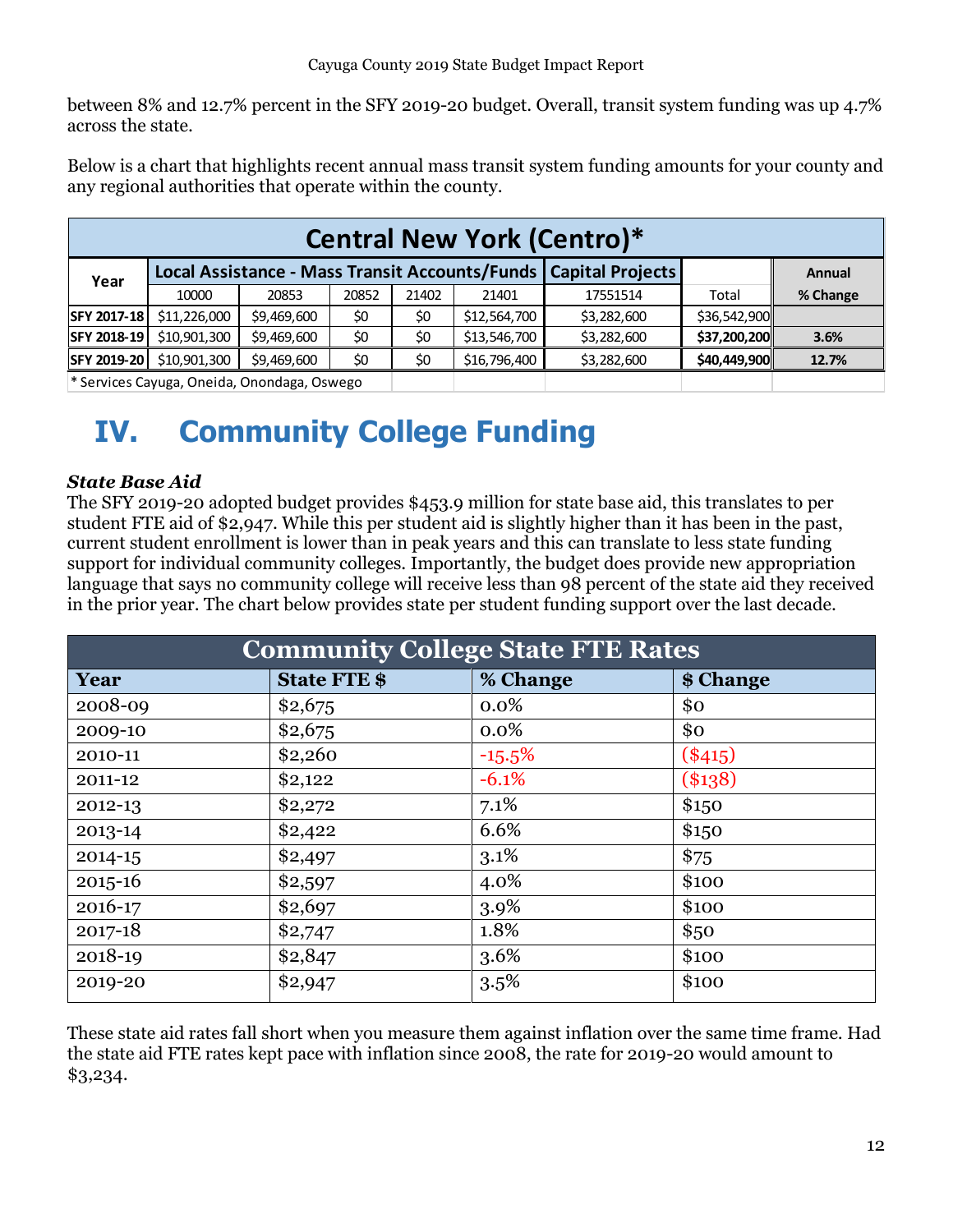between 8% and 12.7% percent in the SFY 2019-20 budget. Overall, transit system funding was up 4.7% across the state.

Below is a chart that highlights recent annual mass transit system funding amounts for your county and any regional authorities that operate within the county.

|                    | <b>Central New York (Centro)*</b>         |             |       |       |                                                |                         |              |          |  |  |  |  |
|--------------------|-------------------------------------------|-------------|-------|-------|------------------------------------------------|-------------------------|--------------|----------|--|--|--|--|
| Year               |                                           |             |       |       | Local Assistance - Mass Transit Accounts/Funds | <b>Capital Projects</b> |              | Annual   |  |  |  |  |
|                    | 10000                                     | 20853       | 20852 | 21402 | 21401                                          | 17551514                | Total        | % Change |  |  |  |  |
| <b>SFY 2017-18</b> | \$11,226,000                              | \$9,469,600 | \$0   | \$0   | \$12,564,700                                   | \$3,282,600             | \$36,542,900 |          |  |  |  |  |
| SFY 2018-19        | \$10,901,300                              | \$9,469,600 | \$0   | \$0   | \$13,546,700                                   | \$3,282,600             | \$37,200,200 | 3.6%     |  |  |  |  |
| SFY 2019-20        | \$10,901,300                              | \$9,469,600 | \$0   | \$0   | \$16,796,400                                   | \$3,282,600             | \$40,449,900 | 12.7%    |  |  |  |  |
|                    | $*$ Sanicas Cavuga Onaida Onondaga Oswago |             |       |       |                                                |                         |              |          |  |  |  |  |

ervices Cayuga, Oneida, Onondaga, Oswego

# <span id="page-11-0"></span>**IV. Community College Funding**

### <span id="page-11-1"></span>*State Base Aid*

The SFY 2019-20 adopted budget provides \$453.9 million for state base aid, this translates to per student FTE aid of \$2,947. While this per student aid is slightly higher than it has been in the past, current student enrollment is lower than in peak years and this can translate to less state funding support for individual community colleges. Importantly, the budget does provide new appropriation language that says no community college will receive less than 98 percent of the state aid they received in the prior year. The chart below provides state per student funding support over the last decade.

| <b>Community College State FTE Rates</b> |                     |          |           |  |  |  |  |  |  |  |
|------------------------------------------|---------------------|----------|-----------|--|--|--|--|--|--|--|
| Year                                     | <b>State FTE \$</b> | % Change | \$ Change |  |  |  |  |  |  |  |
| 2008-09                                  | \$2,675             | 0.0%     | \$0       |  |  |  |  |  |  |  |
| 2009-10                                  | \$2,675             | $0.0\%$  | \$0       |  |  |  |  |  |  |  |
| 2010-11                                  | \$2,260             | $-15.5%$ | $(*415)$  |  |  |  |  |  |  |  |
| 2011-12                                  | \$2,122             | $-6.1%$  | $(*138)$  |  |  |  |  |  |  |  |
| 2012-13                                  | \$2,272             | 7.1%     | \$150     |  |  |  |  |  |  |  |
| 2013-14                                  | \$2,422             | 6.6%     | \$150     |  |  |  |  |  |  |  |
| 2014-15                                  | \$2,497             | 3.1%     | \$75      |  |  |  |  |  |  |  |
| $2015 - 16$                              | \$2,597             | 4.0%     | \$100     |  |  |  |  |  |  |  |
| 2016-17                                  | \$2,697             | 3.9%     | \$100     |  |  |  |  |  |  |  |
| 2017-18                                  | \$2,747             | 1.8%     | \$50      |  |  |  |  |  |  |  |
| 2018-19                                  | \$2,847             | 3.6%     | \$100     |  |  |  |  |  |  |  |
| 2019-20                                  | \$2,947             | 3.5%     | \$100     |  |  |  |  |  |  |  |

These state aid rates fall short when you measure them against inflation over the same time frame. Had the state aid FTE rates kept pace with inflation since 2008, the rate for 2019-20 would amount to \$3,234.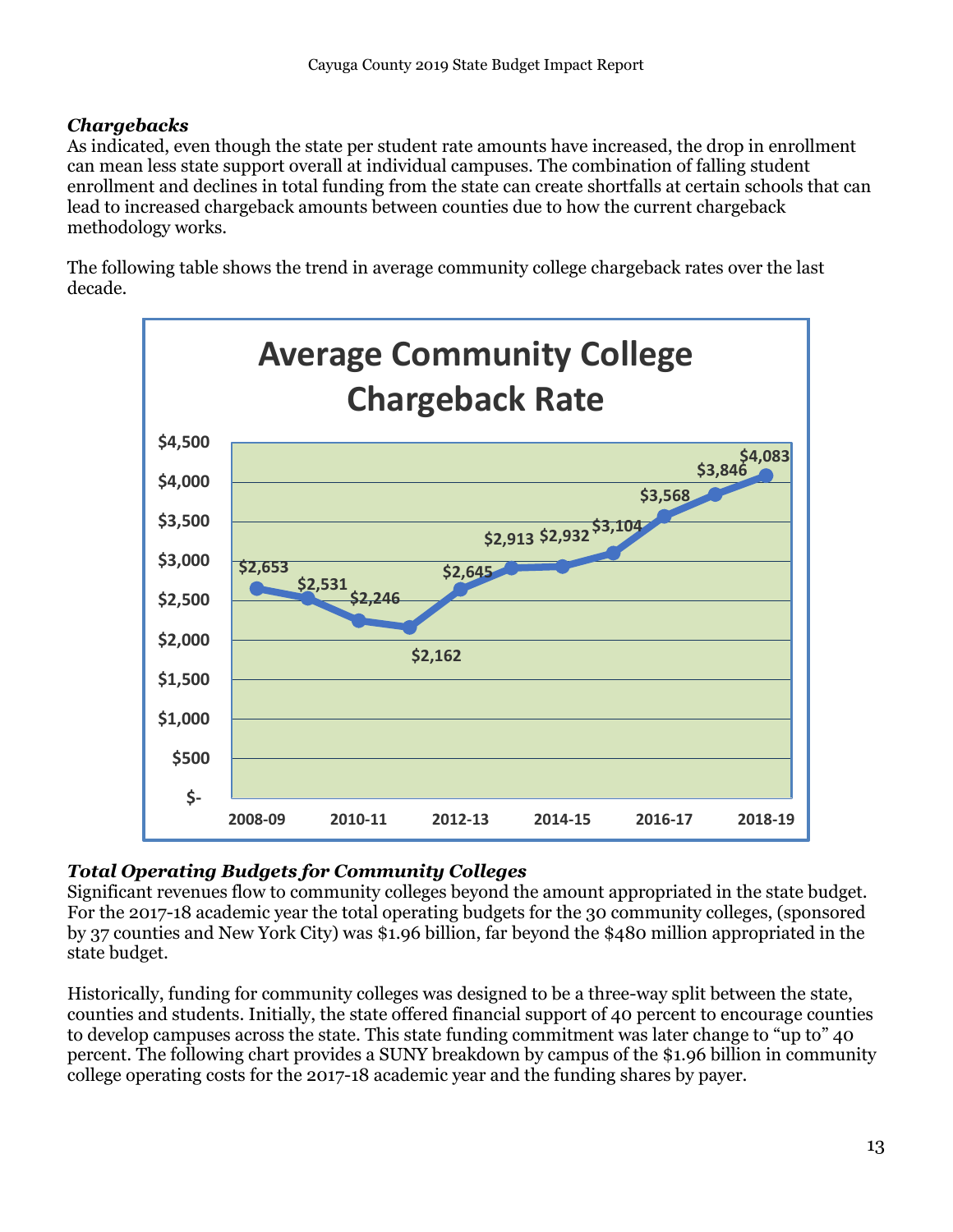### <span id="page-12-0"></span>*Chargebacks*

As indicated, even though the state per student rate amounts have increased, the drop in enrollment can mean less state support overall at individual campuses. The combination of falling student enrollment and declines in total funding from the state can create shortfalls at certain schools that can lead to increased chargeback amounts between counties due to how the current chargeback methodology works.

The following table shows the trend in average community college chargeback rates over the last decade.



### <span id="page-12-1"></span>*Total Operating Budgets for Community Colleges*

Significant revenues flow to community colleges beyond the amount appropriated in the state budget. For the 2017-18 academic year the total operating budgets for the 30 community colleges, (sponsored by 37 counties and New York City) was \$1.96 billion, far beyond the \$480 million appropriated in the state budget.

Historically, funding for community colleges was designed to be a three-way split between the state, counties and students. Initially, the state offered financial support of 40 percent to encourage counties to develop campuses across the state. This state funding commitment was later change to "up to" 40 percent. The following chart provides a SUNY breakdown by campus of the \$1.96 billion in community college operating costs for the 2017-18 academic year and the funding shares by payer.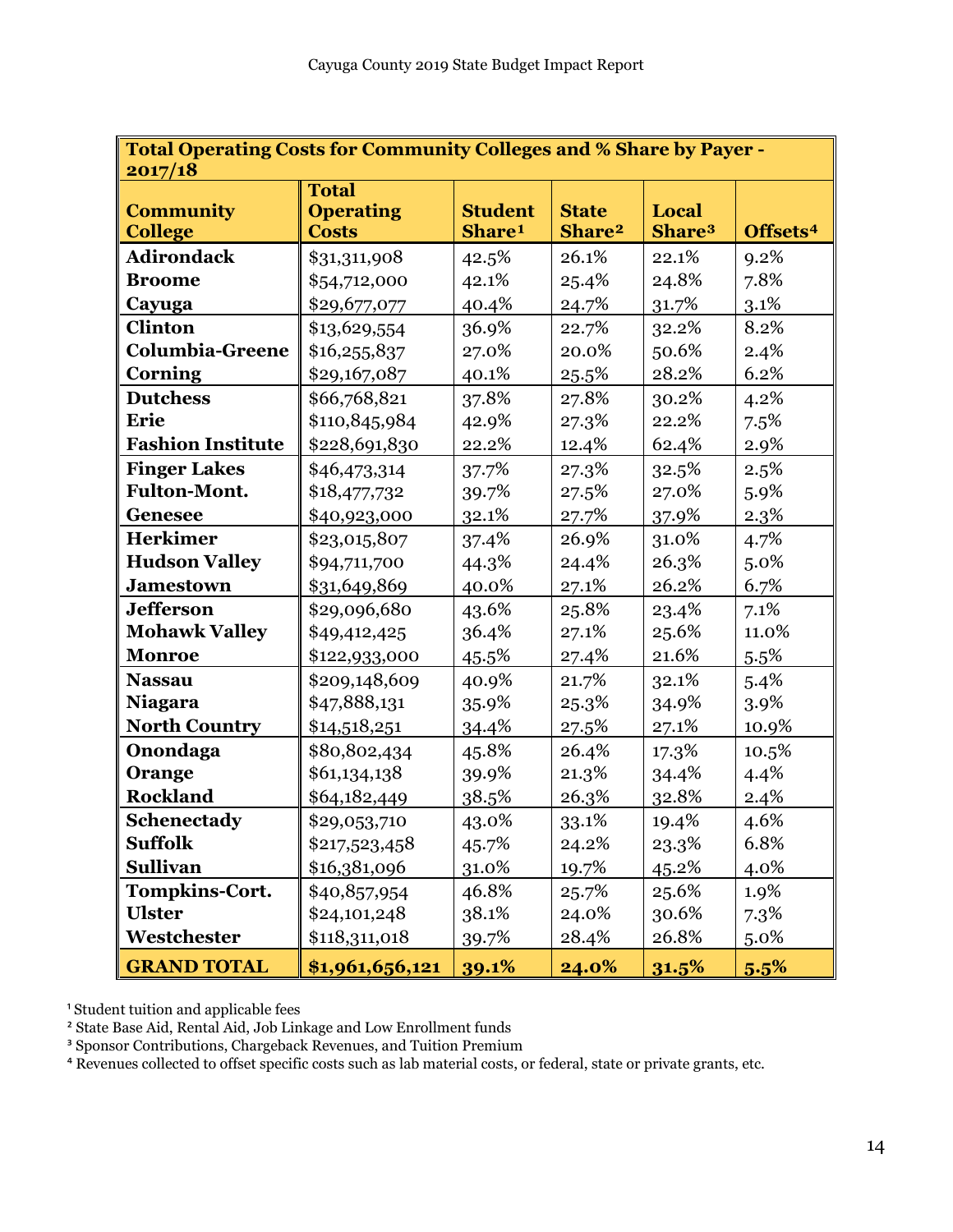| Total Operating Costs for Community Colleges and % Share by Payer -<br>2017/18 |                                                  |                                      |                                    |                             |                      |  |  |  |  |  |
|--------------------------------------------------------------------------------|--------------------------------------------------|--------------------------------------|------------------------------------|-----------------------------|----------------------|--|--|--|--|--|
| <b>Community</b><br><b>College</b>                                             | <b>Total</b><br><b>Operating</b><br><b>Costs</b> | <b>Student</b><br>Share <sup>1</sup> | <b>State</b><br>Share <sup>2</sup> | Local<br>Share <sup>3</sup> | Offsets <sup>4</sup> |  |  |  |  |  |
| <b>Adirondack</b>                                                              | \$31,311,908                                     | 42.5%                                | 26.1%                              | 22.1%                       | 9.2%                 |  |  |  |  |  |
| <b>Broome</b>                                                                  | \$54,712,000                                     | 42.1%                                | 25.4%                              | 24.8%                       | 7.8%                 |  |  |  |  |  |
| Cayuga                                                                         | \$29,677,077                                     | 40.4%                                | 24.7%                              | 31.7%                       | 3.1%                 |  |  |  |  |  |
| <b>Clinton</b>                                                                 | \$13,629,554                                     | 36.9%                                | 22.7%                              | 32.2%                       | 8.2%                 |  |  |  |  |  |
| <b>Columbia-Greene</b>                                                         | \$16,255,837                                     | 27.0%                                | 20.0%                              | 50.6%                       | 2.4%                 |  |  |  |  |  |
| <b>Corning</b>                                                                 | \$29,167,087                                     | 40.1%                                | 25.5%                              | 28.2%                       | 6.2%                 |  |  |  |  |  |
| <b>Dutchess</b>                                                                | \$66,768,821                                     | 37.8%                                | 27.8%                              | 30.2%                       | 4.2%                 |  |  |  |  |  |
| Erie                                                                           | \$110,845,984                                    | 42.9%                                | 27.3%                              | 22.2%                       | 7.5%                 |  |  |  |  |  |
| <b>Fashion Institute</b>                                                       | \$228,691,830                                    | 22.2%                                | 12.4%                              | 62.4%                       | 2.9%                 |  |  |  |  |  |
| <b>Finger Lakes</b>                                                            | \$46,473,314                                     | 37.7%                                | 27.3%                              | 32.5%                       | 2.5%                 |  |  |  |  |  |
| <b>Fulton-Mont.</b>                                                            | \$18,477,732                                     | 39.7%                                | 27.5%                              | 27.0%                       | 5.9%                 |  |  |  |  |  |
| <b>Genesee</b>                                                                 | \$40,923,000                                     | 32.1%                                | 27.7%                              | 37.9%                       | 2.3%                 |  |  |  |  |  |
| <b>Herkimer</b>                                                                | \$23,015,807                                     | 37.4%                                | 26.9%                              | 31.0%                       | 4.7%                 |  |  |  |  |  |
| <b>Hudson Valley</b>                                                           | \$94,711,700                                     | 44.3%                                | 24.4%                              | 26.3%                       | 5.0%                 |  |  |  |  |  |
| <b>Jamestown</b>                                                               | \$31,649,869                                     | 40.0%                                | 27.1%                              | 26.2%                       | 6.7%                 |  |  |  |  |  |
| <b>Jefferson</b>                                                               | \$29,096,680                                     | 43.6%                                | 25.8%                              | 23.4%                       | 7.1%                 |  |  |  |  |  |
| <b>Mohawk Valley</b>                                                           | \$49,412,425                                     | 36.4%                                | 27.1%                              | 25.6%                       | 11.0%                |  |  |  |  |  |
| <b>Monroe</b>                                                                  | \$122,933,000                                    | 45.5%                                | 27.4%                              | 21.6%                       | 5.5%                 |  |  |  |  |  |
| <b>Nassau</b>                                                                  | \$209,148,609                                    | 40.9%                                | 21.7%                              | 32.1%                       | 5.4%                 |  |  |  |  |  |
| <b>Niagara</b>                                                                 | \$47,888,131                                     | 35.9%                                | 25.3%                              | 34.9%                       | 3.9%                 |  |  |  |  |  |
| <b>North Country</b>                                                           | \$14,518,251                                     | 34.4%                                | 27.5%                              | 27.1%                       | 10.9%                |  |  |  |  |  |
| Onondaga                                                                       | \$80,802,434                                     | 45.8%                                | 26.4%                              | 17.3%                       | 10.5%                |  |  |  |  |  |
| Orange                                                                         | \$61,134,138                                     | 39.9%                                | 21.3%                              | 34.4%                       | 4.4%                 |  |  |  |  |  |
| <b>Rockland</b>                                                                | \$64,182,449                                     | 38.5%                                | 26.3%                              | 32.8%                       | 2.4%                 |  |  |  |  |  |
| Schenectady                                                                    | \$29,053,710                                     | 43.0%                                | 33.1%                              | 19.4%                       | 4.6%                 |  |  |  |  |  |
| <b>Suffolk</b>                                                                 | \$217,523,458                                    | 45.7%                                | 24.2%                              | 23.3%                       | 6.8%                 |  |  |  |  |  |
| <b>Sullivan</b>                                                                | \$16,381,096                                     | 31.0%                                | 19.7%                              | 45.2%                       | 4.0%                 |  |  |  |  |  |
| <b>Tompkins-Cort.</b>                                                          | \$40,857,954                                     | 46.8%                                | 25.7%                              | 25.6%                       | 1.9%                 |  |  |  |  |  |
| <b>Ulster</b>                                                                  | \$24,101,248                                     | 38.1%                                | 24.0%                              | 30.6%                       | 7.3%                 |  |  |  |  |  |
| Westchester                                                                    | \$118,311,018                                    | 39.7%                                | 28.4%                              | 26.8%                       | 5.0%                 |  |  |  |  |  |
| <b>GRAND TOTAL</b>                                                             | \$1,961,656,121                                  | 39.1%                                | 24.0%                              | 31.5%                       | 5.5%                 |  |  |  |  |  |

<sup>1</sup> Student tuition and applicable fees

² State Base Aid, Rental Aid, Job Linkage and Low Enrollment funds

<sup>3</sup> Sponsor Contributions, Chargeback Revenues, and Tuition Premium

<sup>4</sup> Revenues collected to offset specific costs such as lab material costs, or federal, state or private grants, etc.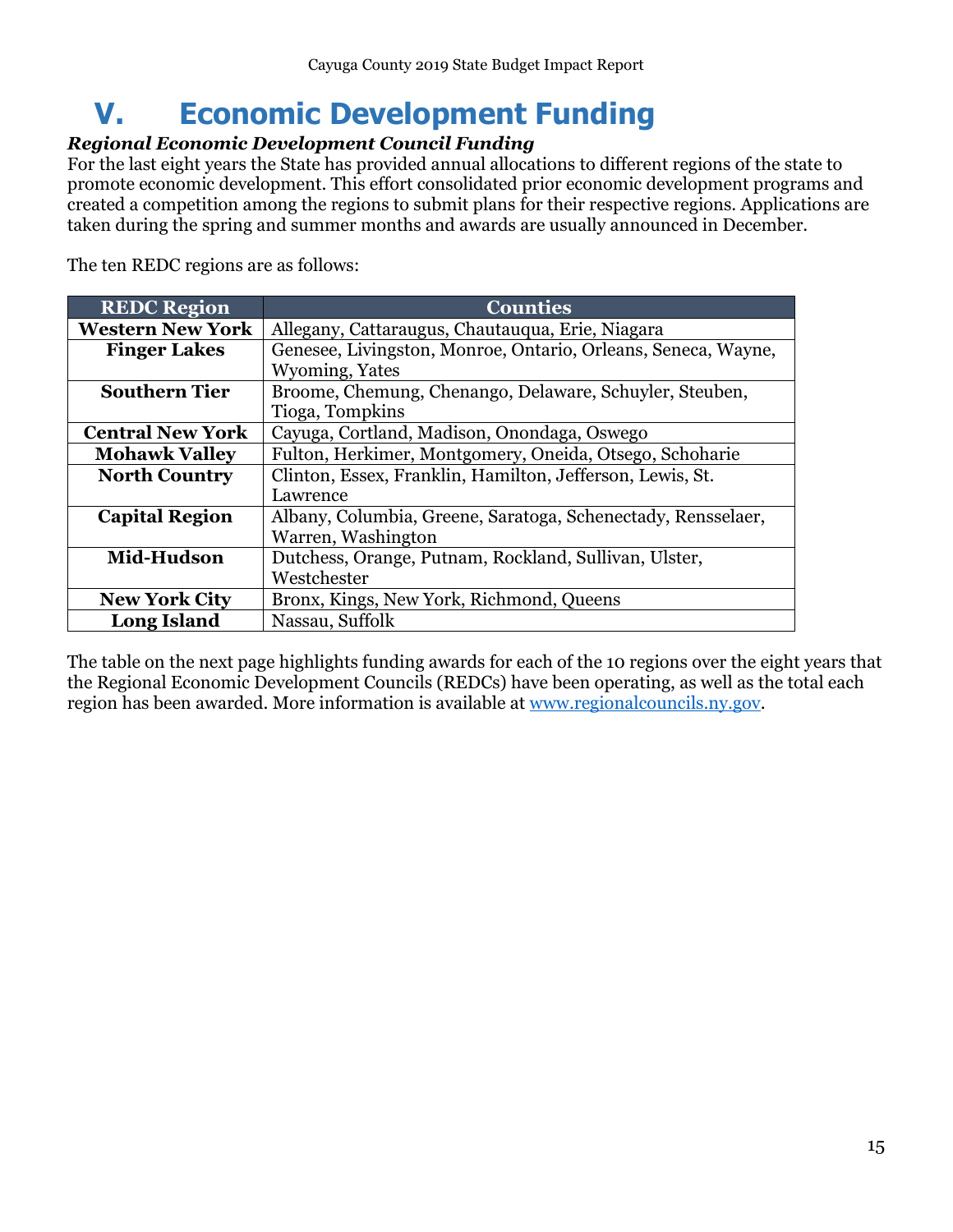# <span id="page-14-0"></span>**V. Economic Development Funding**

### <span id="page-14-1"></span>*Regional Economic Development Council Funding*

For the last eight years the State has provided annual allocations to different regions of the state to promote economic development. This effort consolidated prior economic development programs and created a competition among the regions to submit plans for their respective regions. Applications are taken during the spring and summer months and awards are usually announced in December.

The ten REDC regions are as follows:

| <b>REDC Region</b>      | <b>Counties</b>                                               |
|-------------------------|---------------------------------------------------------------|
| <b>Western New York</b> | Allegany, Cattaraugus, Chautauqua, Erie, Niagara              |
| <b>Finger Lakes</b>     | Genesee, Livingston, Monroe, Ontario, Orleans, Seneca, Wayne, |
|                         | Wyoming, Yates                                                |
| <b>Southern Tier</b>    | Broome, Chemung, Chenango, Delaware, Schuyler, Steuben,       |
|                         | Tioga, Tompkins                                               |
| <b>Central New York</b> | Cayuga, Cortland, Madison, Onondaga, Oswego                   |
| <b>Mohawk Valley</b>    | Fulton, Herkimer, Montgomery, Oneida, Otsego, Schoharie       |
| <b>North Country</b>    | Clinton, Essex, Franklin, Hamilton, Jefferson, Lewis, St.     |
|                         | Lawrence                                                      |
| <b>Capital Region</b>   | Albany, Columbia, Greene, Saratoga, Schenectady, Rensselaer,  |
|                         | Warren, Washington                                            |
| Mid-Hudson              | Dutchess, Orange, Putnam, Rockland, Sullivan, Ulster,         |
|                         | Westchester                                                   |
| <b>New York City</b>    | Bronx, Kings, New York, Richmond, Queens                      |
| <b>Long Island</b>      | Nassau, Suffolk                                               |

The table on the next page highlights funding awards for each of the 10 regions over the eight years that the Regional Economic Development Councils (REDCs) have been operating, as well as the total each region has been awarded. More information is available at [www.regionalcouncils.ny.gov.](http://www.regionalcouncils.ny.gov/)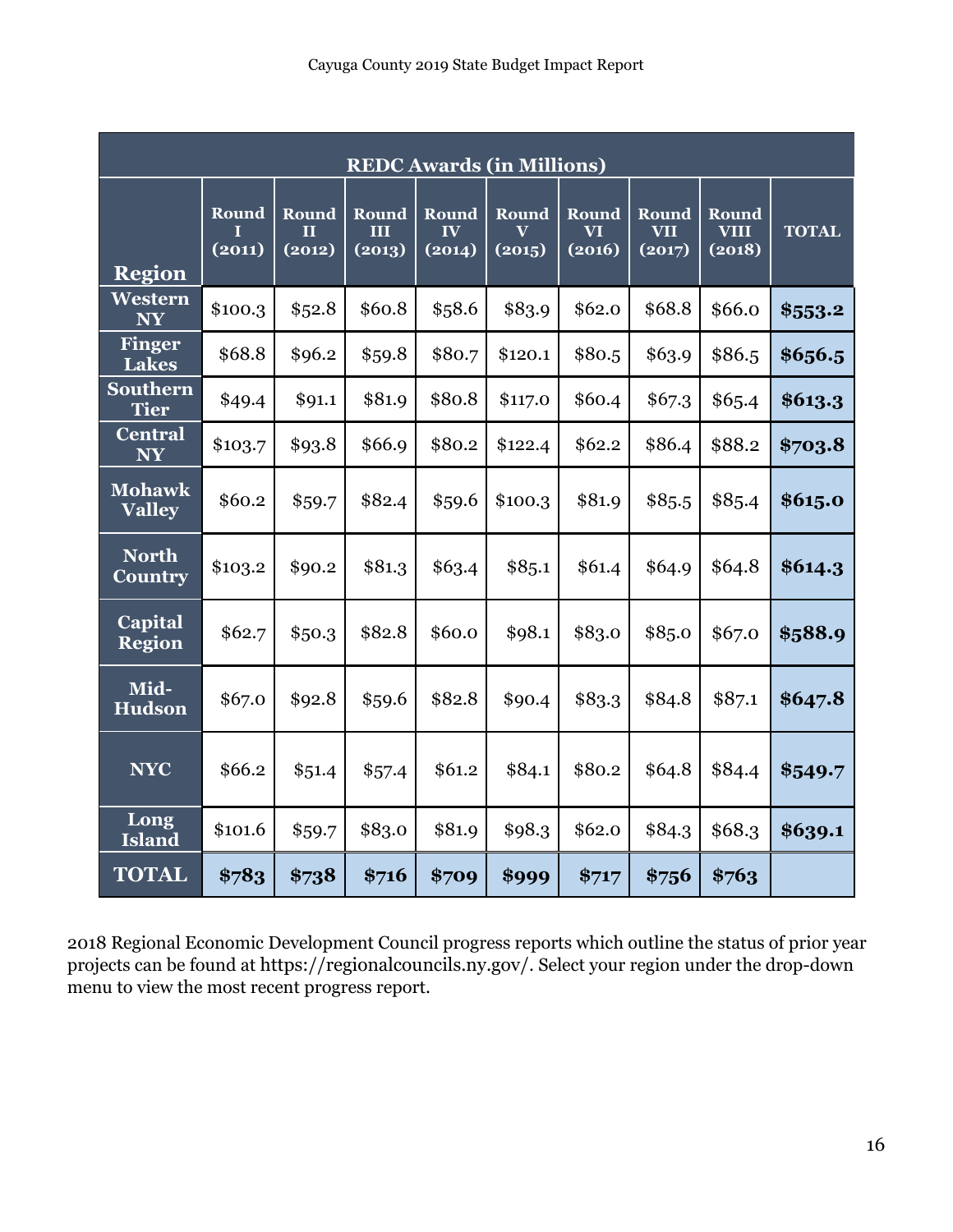| <b>REDC Awards (in Millions)</b> |                      |                      |                      |                                                   |                                            |                              |                               |                                |              |  |  |  |
|----------------------------------|----------------------|----------------------|----------------------|---------------------------------------------------|--------------------------------------------|------------------------------|-------------------------------|--------------------------------|--------------|--|--|--|
| <b>Region</b>                    | Round<br>Τ<br>(2011) | Round<br>П<br>(2012) | Round<br>Ш<br>(2013) | <b>Round</b><br>$\mathbf{I} \mathbf{V}$<br>(2014) | Round<br>$\overline{\mathbf{V}}$<br>(2015) | <b>Round</b><br>VT<br>(2016) | Round<br><b>VII</b><br>(2017) | Round<br><b>VIII</b><br>(2018) | <b>TOTAL</b> |  |  |  |
| Western<br><b>NY</b>             | \$100.3              | \$52.8               | \$60.8               | \$58.6                                            | \$83.9                                     | \$62.0                       | \$68.8                        | \$66.0                         | \$553.2      |  |  |  |
| <b>Finger</b><br><b>Lakes</b>    | \$68.8               | \$96.2               | \$59.8               | \$80.7                                            | \$120.1                                    | \$80.5                       | \$63.9                        | \$86.5                         | \$656.5      |  |  |  |
| <b>Southern</b><br><b>Tier</b>   | \$49.4               | \$91.1               | \$81.9               | \$80.8                                            | \$117.0                                    | \$60.4                       | \$67.3                        | \$65.4                         | \$613.3      |  |  |  |
| <b>Central</b><br><b>NY</b>      | \$103.7              | \$93.8               | \$66.9               | \$80.2                                            | \$122.4                                    | \$62.2\$                     | \$86.4                        | \$88.2                         | \$703.8      |  |  |  |
| <b>Mohawk</b><br><b>Valley</b>   | \$60.2               | \$59.7               | \$82.4               | \$59.6                                            | \$100.3                                    | \$81.9                       | \$85.5                        | \$85.4                         | \$615.0      |  |  |  |
| <b>North</b><br><b>Country</b>   | \$103.2              | \$90.2               | \$81.3               | \$63.4                                            | \$85.1                                     | \$61.4                       | \$64.9                        | \$64.8                         | \$614.3      |  |  |  |
| <b>Capital</b><br><b>Region</b>  | \$62.7               | \$50.3\$             | \$82.8               | \$60.0                                            | \$98.1                                     | \$83.0                       | \$85.0                        | \$67.0                         | \$588.9      |  |  |  |
| Mid-<br><b>Hudson</b>            | \$67.0               | \$92.8               | \$59.6               | \$82.8                                            | \$90.4                                     | \$83.3                       | \$84.8                        | \$87.1                         | \$647.8      |  |  |  |
| <b>NYC</b>                       | \$66.2               | \$51.4               | \$57.4               | \$61.2                                            | \$84.1                                     | \$80.2                       | \$64.8                        | \$84.4                         | \$549.7      |  |  |  |
| Long<br><b>Island</b>            | \$101.6              | \$59.7               | \$83.0               | \$81.9                                            | \$98.3                                     | \$62.0                       | \$84.3                        | \$68.3                         | \$639.1      |  |  |  |
| <b>TOTAL</b>                     | \$783                | \$738                | \$716                | \$709                                             | \$999                                      | \$717                        | \$756                         | \$763                          |              |  |  |  |

2018 Regional Economic Development Council progress reports which outline the status of prior year projects can be found at <https://regionalcouncils.ny.gov/>. Select your region under the drop-down menu to view the most recent progress report.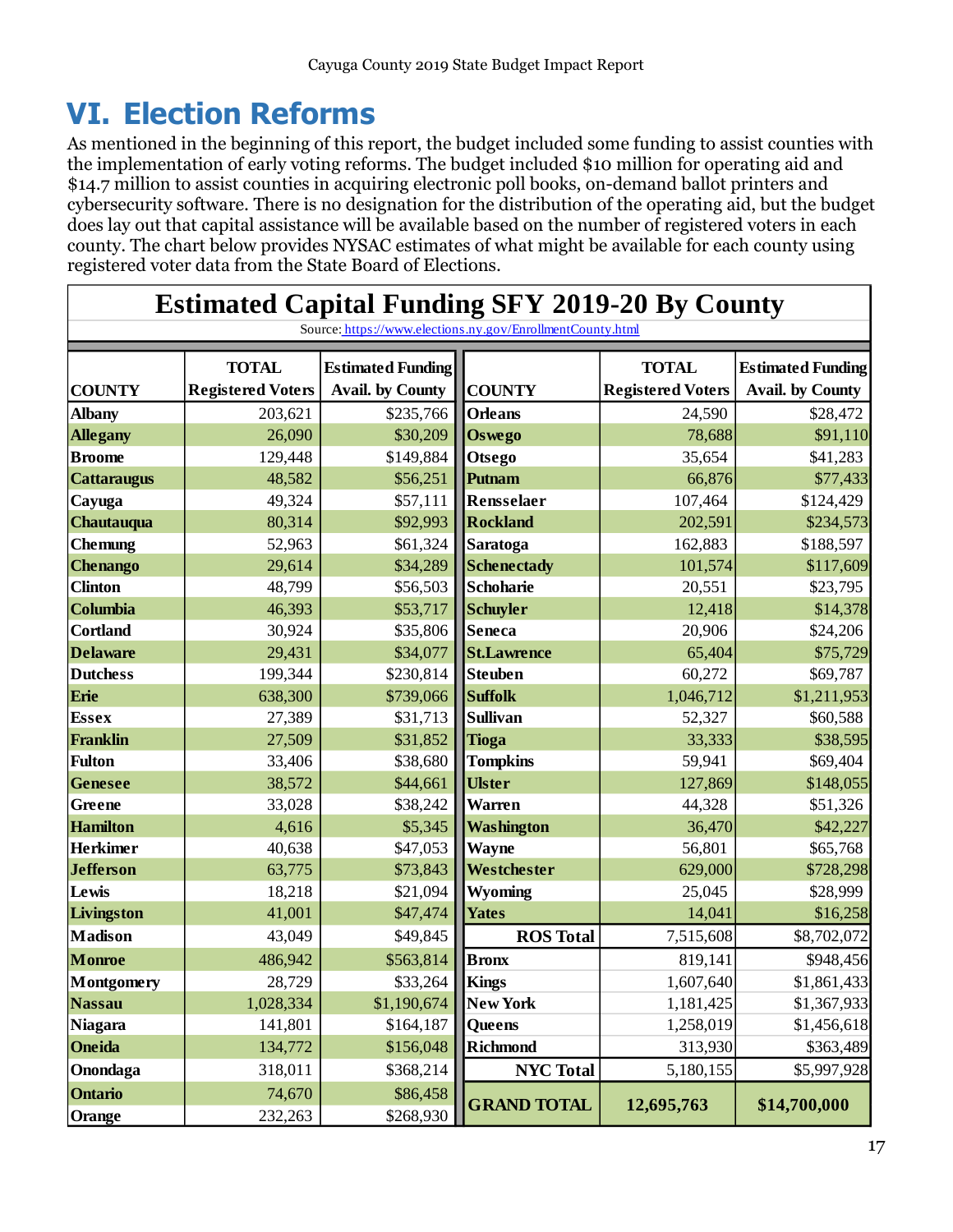# <span id="page-16-0"></span>**VI. Election Reforms**

As mentioned in the beginning of this report, the budget included some funding to assist counties with the implementation of early voting reforms. The budget included \$10 million for operating aid and \$14.7 million to assist counties in acquiring electronic poll books, on-demand ballot printers and cybersecurity software. There is no designation for the distribution of the operating aid, but the budget does lay out that capital assistance will be available based on the number of registered voters in each county. The chart below provides NYSAC estimates of what might be available for each county using registered voter data from the State Board of Elections.

|                    | <b>Estimated Capital Funding SFY 2019-20 By County</b>     |                          |                    |                          |                          |  |  |  |  |  |  |  |  |
|--------------------|------------------------------------------------------------|--------------------------|--------------------|--------------------------|--------------------------|--|--|--|--|--|--|--|--|
|                    | Source: https://www.elections.ny.gov/EnrollmentCounty.html |                          |                    |                          |                          |  |  |  |  |  |  |  |  |
|                    | <b>TOTAL</b>                                               | <b>Estimated Funding</b> |                    | <b>TOTAL</b>             | <b>Estimated Funding</b> |  |  |  |  |  |  |  |  |
| <b>COUNTY</b>      | <b>Registered Voters</b>                                   | <b>Avail.</b> by County  | <b>COUNTY</b>      | <b>Registered Voters</b> | <b>Avail.</b> by County  |  |  |  |  |  |  |  |  |
| <b>Albany</b>      | 203,621                                                    | \$235,766                | <b>Orleans</b>     | 24,590                   | \$28,472                 |  |  |  |  |  |  |  |  |
| <b>Allegany</b>    | 26,090                                                     | \$30,209                 | <b>Oswego</b>      | 78,688                   | \$91,110                 |  |  |  |  |  |  |  |  |
| <b>Broome</b>      | 129,448                                                    | \$149,884                | <b>Otsego</b>      | 35,654                   | \$41,283                 |  |  |  |  |  |  |  |  |
| <b>Cattaraugus</b> | 48,582                                                     | \$56,251                 | Putnam             | 66,876                   | \$77,433                 |  |  |  |  |  |  |  |  |
| Cayuga             | 49,324                                                     | \$57,111                 | Rensselaer         | 107,464                  | \$124,429                |  |  |  |  |  |  |  |  |
| Chautauqua         | 80,314                                                     | \$92,993                 | <b>Rockland</b>    | 202,591                  | \$234,573                |  |  |  |  |  |  |  |  |
| <b>Chemung</b>     | 52,963                                                     | \$61,324                 | Saratoga           | 162,883                  | \$188,597                |  |  |  |  |  |  |  |  |
| Chenango           | 29,614                                                     | \$34,289                 | <b>Schenectady</b> | 101,574                  | \$117,609                |  |  |  |  |  |  |  |  |
| <b>Clinton</b>     | 48,799                                                     | \$56,503                 | Schoharie          | 20,551                   | \$23,795                 |  |  |  |  |  |  |  |  |
| Columbia           | 46,393                                                     | \$53,717                 | <b>Schuyler</b>    | 12,418                   | \$14,378                 |  |  |  |  |  |  |  |  |
| <b>Cortland</b>    | 30,924                                                     | \$35,806                 | <b>Seneca</b>      | 20,906                   | \$24,206                 |  |  |  |  |  |  |  |  |
| <b>Delaware</b>    | 29,431                                                     | \$34,077                 | <b>St.Lawrence</b> | 65,404                   | \$75,729                 |  |  |  |  |  |  |  |  |
| <b>Dutchess</b>    | 199,344                                                    | \$230,814                | <b>Steuben</b>     | 60,272                   | \$69,787                 |  |  |  |  |  |  |  |  |
| Erie               | 638,300                                                    | \$739,066                | <b>Suffolk</b>     | 1,046,712                | \$1,211,953              |  |  |  |  |  |  |  |  |
| <b>Essex</b>       | 27,389                                                     | \$31,713                 | <b>Sullivan</b>    | 52,327                   | \$60,588                 |  |  |  |  |  |  |  |  |
| <b>Franklin</b>    | 27,509                                                     | \$31,852                 | <b>Tioga</b>       | 33,333                   | \$38,595                 |  |  |  |  |  |  |  |  |
| <b>Fulton</b>      | 33,406                                                     | \$38,680                 | <b>Tompkins</b>    | 59,941                   | \$69,404                 |  |  |  |  |  |  |  |  |
| Genesee            | 38,572                                                     | \$44,661                 | <b>Ulster</b>      | 127,869                  | \$148,055                |  |  |  |  |  |  |  |  |
| Greene             | 33,028                                                     | \$38,242                 | <b>Warren</b>      | 44,328                   | \$51,326                 |  |  |  |  |  |  |  |  |
| <b>Hamilton</b>    | 4,616                                                      | \$5,345                  | <b>Washington</b>  | 36,470                   | \$42,227                 |  |  |  |  |  |  |  |  |
| <b>Herkimer</b>    | 40,638                                                     | \$47,053                 | <b>Wayne</b>       | 56,801                   | \$65,768                 |  |  |  |  |  |  |  |  |
| <b>Jefferson</b>   | 63,775                                                     | \$73,843                 | Westchester        | 629,000                  | \$728,298                |  |  |  |  |  |  |  |  |
| Lewis              | 18,218                                                     | \$21,094                 | <b>Wyoming</b>     | 25,045                   | \$28,999                 |  |  |  |  |  |  |  |  |
| Livingston         | 41,001                                                     | \$47,474                 | <b>Yates</b>       | 14,041                   | \$16,258                 |  |  |  |  |  |  |  |  |
| <b>Madison</b>     | 43,049                                                     | \$49,845                 | <b>ROS Total</b>   | 7,515,608                | \$8,702,072              |  |  |  |  |  |  |  |  |
| <b>Monroe</b>      | 486,942                                                    | \$563,814                | <b>Bronx</b>       | 819,141                  | \$948,456                |  |  |  |  |  |  |  |  |
| Montgomery         | 28,729                                                     | \$33,264                 | <b>Kings</b>       | 1,607,640                | \$1,861,433              |  |  |  |  |  |  |  |  |
| <b>Nassau</b>      | 1,028,334                                                  | \$1,190,674              | <b>New York</b>    | 1,181,425                | \$1,367,933              |  |  |  |  |  |  |  |  |
| <b>Niagara</b>     | 141,801                                                    | \$164,187                | Queens             | 1,258,019                | \$1,456,618              |  |  |  |  |  |  |  |  |
| Oneida             | 134,772                                                    | \$156,048                | <b>Richmond</b>    | 313,930                  | \$363,489                |  |  |  |  |  |  |  |  |
| Onondaga           | 318,011                                                    | \$368,214                | <b>NYC Total</b>   | 5,180,155                | \$5,997,928              |  |  |  |  |  |  |  |  |
| Ontario            | 74,670                                                     | \$86,458                 | <b>GRAND TOTAL</b> | 12,695,763               | \$14,700,000             |  |  |  |  |  |  |  |  |
| Orange             | 232,263                                                    | \$268,930                |                    |                          |                          |  |  |  |  |  |  |  |  |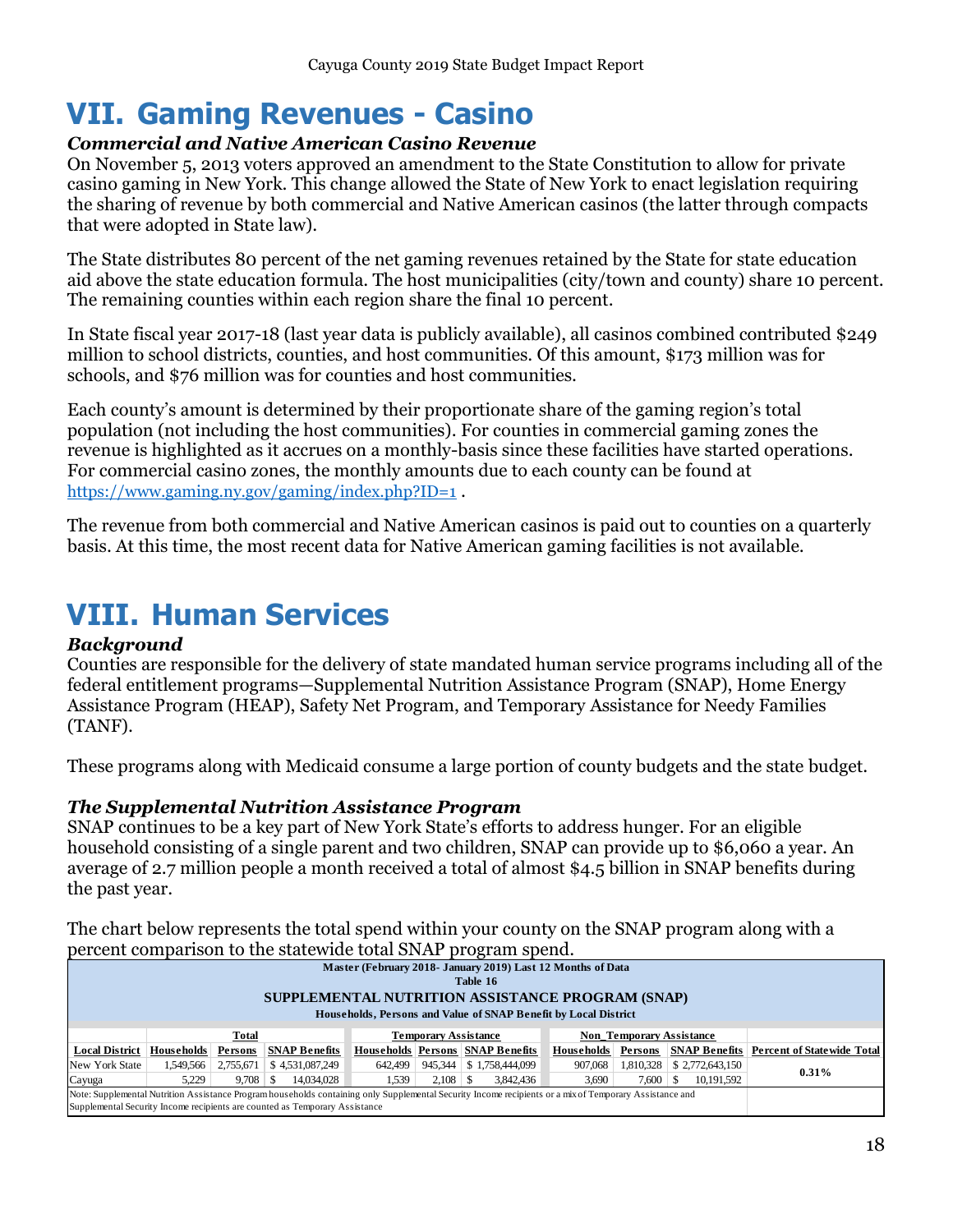# <span id="page-17-0"></span>**VII. Gaming Revenues - Casino**

### <span id="page-17-1"></span>*Commercial and Native American Casino Revenue*

On November 5, 2013 voters approved an amendment to the State Constitution to allow for private casino gaming in New York. This change allowed the State of New York to enact legislation requiring the sharing of revenue by both commercial and Native American casinos (the latter through compacts that were adopted in State law).

The State distributes 80 percent of the net gaming revenues retained by the State for state education aid above the state education formula. The host municipalities (city/town and county) share 10 percent. The remaining counties within each region share the final 10 percent.

In State fiscal year 2017-18 (last year data is publicly available), all casinos combined contributed \$249 million to school districts, counties, and host communities. Of this amount, \$173 million was for schools, and \$76 million was for counties and host communities.

Each county's amount is determined by their proportionate share of the gaming region's total population (not including the host communities). For counties in commercial gaming zones the revenue is highlighted as it accrues on a monthly-basis since these facilities have started operations. For commercial casino zones, the monthly amounts due to each county can be found at <https://www.gaming.ny.gov/gaming/index.php?ID=1> .

The revenue from both commercial and Native American casinos is paid out to counties on a quarterly basis. At this time, the most recent data for Native American gaming facilities is not available.

# <span id="page-17-2"></span>**VIII. Human Services**

#### <span id="page-17-3"></span>*Background*

Counties are responsible for the delivery of state mandated human service programs including all of the federal entitlement programs—Supplemental Nutrition Assistance Program (SNAP), Home Energy Assistance Program (HEAP), Safety Net Program, and Temporary Assistance for Needy Families (TANF).

These programs along with Medicaid consume a large portion of county budgets and the state budget.

### <span id="page-17-4"></span>*The Supplemental Nutrition Assistance Program*

SNAP continues to be a key part of New York State's efforts to address hunger. For an eligible household consisting of a single parent and two children, SNAP can provide up to \$6,060 a year. An average of 2.7 million people a month received a total of almost \$4.5 billion in SNAP benefits during the past year.

The chart below represents the total spend within your county on the SNAP program along with a percent comparison to the statewide total SNAP program spend.

|                       | percent comparison to the state may total stark program spend.                                                                                          |                         |                                                                             |         |                             |                                         |                   |              |                                 |                                                 |  |  |
|-----------------------|---------------------------------------------------------------------------------------------------------------------------------------------------------|-------------------------|-----------------------------------------------------------------------------|---------|-----------------------------|-----------------------------------------|-------------------|--------------|---------------------------------|-------------------------------------------------|--|--|
|                       | Master (February 2018- January 2019) Last 12 Months of Data                                                                                             |                         |                                                                             |         |                             |                                         |                   |              |                                 |                                                 |  |  |
|                       | Table 16                                                                                                                                                |                         |                                                                             |         |                             |                                         |                   |              |                                 |                                                 |  |  |
|                       |                                                                                                                                                         |                         |                                                                             |         |                             |                                         |                   |              |                                 |                                                 |  |  |
|                       | SUPPLEMENTAL NUTRITION ASSISTANCE PROGRAM (SNAP)                                                                                                        |                         |                                                                             |         |                             |                                         |                   |              |                                 |                                                 |  |  |
|                       | Households, Persons and Value of SNAP Benefit by Local District                                                                                         |                         |                                                                             |         |                             |                                         |                   |              |                                 |                                                 |  |  |
|                       |                                                                                                                                                         | <b>Total</b>            |                                                                             |         | <b>Temporary Assistance</b> |                                         |                   |              | <b>Non Temporary Assistance</b> |                                                 |  |  |
| <b>Local District</b> | <b>Households</b>                                                                                                                                       | Persons                 | <b>SNAP Benefits</b>                                                        |         |                             | <b>Households Persons SNAP Benefits</b> | <b>Households</b> | Persons      |                                 | <b>SNAP Benefits Percent of Statewide Total</b> |  |  |
| New York State        |                                                                                                                                                         | $1,549,566$   2,755,671 | \$4,531,087,249                                                             | 642.499 |                             | 945,344   \$1,758,444,099               | 907.068           |              | $1,810,328$   \$ 2,772,643,150  | $0.31\%$                                        |  |  |
| Cayuga                | 5.229                                                                                                                                                   | $9.708 \pm S$           | 14,034,028                                                                  | 1.539   |                             | 3.842.436                               | 3.690             | $7,600$ \ \$ | 10,191,592                      |                                                 |  |  |
|                       | Note: Supplemental Nutrition Assistance Program households containing only Supplemental Security Income recipients or a mix of Temporary Assistance and |                         |                                                                             |         |                             |                                         |                   |              |                                 |                                                 |  |  |
|                       |                                                                                                                                                         |                         | Supplemental Security Income recipients are counted as Temporary Assistance |         |                             |                                         |                   |              |                                 |                                                 |  |  |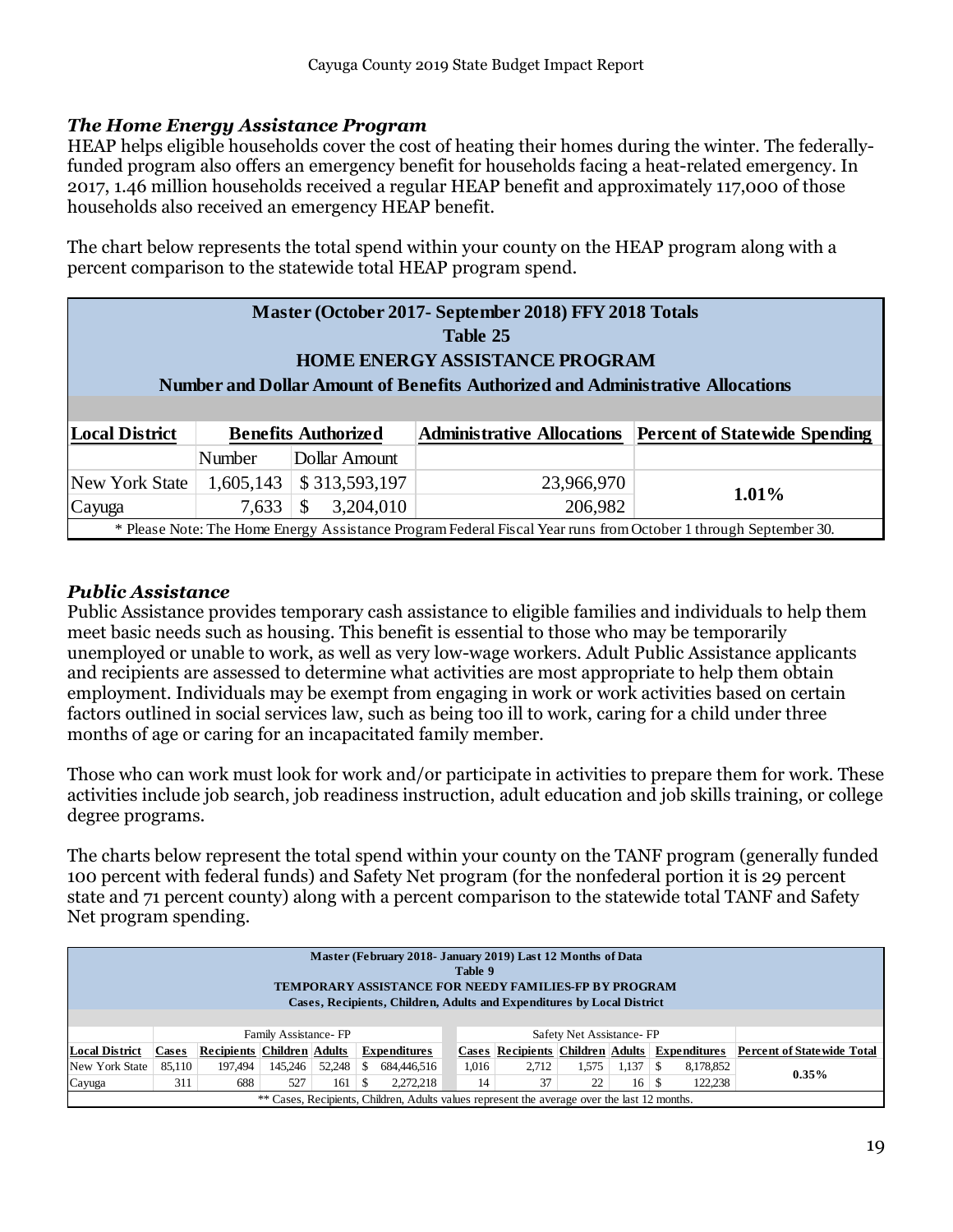### <span id="page-18-0"></span>*The Home Energy Assistance Program*

HEAP helps eligible households cover the cost of heating their homes during the winter. The federallyfunded program also offers an emergency benefit for households facing a heat-related emergency. In 2017, 1.46 million households received a regular HEAP benefit and approximately 117,000 of those households also received an emergency HEAP benefit.

The chart below represents the total spend within your county on the HEAP program along with a percent comparison to the statewide total HEAP program spend.

| Master (October 2017- September 2018) FFY 2018 Totals<br>Table 25<br><b>HOME ENERGY ASSISTANCE PROGRAM</b><br>Number and Dollar Amount of Benefits Authorized and Administrative Allocations |           |                            |                                                                                                                 |                                      |  |  |  |  |
|----------------------------------------------------------------------------------------------------------------------------------------------------------------------------------------------|-----------|----------------------------|-----------------------------------------------------------------------------------------------------------------|--------------------------------------|--|--|--|--|
| <b>Local District</b>                                                                                                                                                                        |           | <b>Benefits Authorized</b> | <b>Administrative Allocations</b>                                                                               | <b>Percent of Statewide Spending</b> |  |  |  |  |
|                                                                                                                                                                                              | Number    | Dollar Amount              |                                                                                                                 |                                      |  |  |  |  |
| <b>New York State</b>                                                                                                                                                                        | 1,605,143 | \$313,593,197              | 23,966,970                                                                                                      | $1.01\%$                             |  |  |  |  |
| Cayuga                                                                                                                                                                                       | 7,633     | 3,204,010<br>\$            | 206,982                                                                                                         |                                      |  |  |  |  |
|                                                                                                                                                                                              |           |                            | * Please Note: The Home Energy Assistance Program Federal Fiscal Year runs from October 1 through September 30. |                                      |  |  |  |  |

### <span id="page-18-1"></span>*Public Assistance*

Public Assistance provides temporary cash assistance to eligible families and individuals to help them meet basic needs such as housing. This benefit is essential to those who may be temporarily unemployed or unable to work, as well as very low-wage workers. Adult Public Assistance applicants and recipients are assessed to determine what activities are most appropriate to help them obtain employment. Individuals may be exempt from engaging in work or work activities based on certain factors outlined in social services law, such as being too ill to work, caring for a child under three months of age or caring for an incapacitated family member.

Those who can work must look for work and/or participate in activities to prepare them for work. These activities include job search, job readiness instruction, adult education and job skills training, or college degree programs.

The charts below represent the total spend within your county on the TANF program (generally funded 100 percent with federal funds) and Safety Net program (for the nonfederal portion it is 29 percent state and 71 percent county) along with a percent comparison to the statewide total TANF and Safety Net program spending.

| Master (February 2018- January 2019) Last 12 Months of Data<br>Table 9<br><b>TEMPORARY ASSISTANCE FOR NEEDY FAMILIES-FP BY PROGRAM</b><br>Cases, Recipients, Children, Adults and Expenditures by Local District |        |                                   |                      |        |     |                                                                                              |       |                                                      |                          |              |           |                                   |
|------------------------------------------------------------------------------------------------------------------------------------------------------------------------------------------------------------------|--------|-----------------------------------|----------------------|--------|-----|----------------------------------------------------------------------------------------------|-------|------------------------------------------------------|--------------------------|--------------|-----------|-----------------------------------|
|                                                                                                                                                                                                                  |        |                                   | Family Assistance-FP |        |     |                                                                                              |       |                                                      | Safety Net Assistance-FP |              |           |                                   |
| <b>Local District</b>                                                                                                                                                                                            | Cases  | <b>Recipients Children Adults</b> |                      |        |     | <b>Expenditures</b>                                                                          |       | <b>Cases Recipients Children Adults Expenditures</b> |                          |              |           | <b>Percent of Statewide Total</b> |
| New York State                                                                                                                                                                                                   | 85.110 | 197.494                           | 145.246              | 52,248 | \$. | 684,446,516                                                                                  | 1,016 | 2.712                                                | 1.575                    |              | 8,178,852 |                                   |
| Cayuga                                                                                                                                                                                                           | 311    | 688                               | 527                  | 161    | S   | 2.272.218                                                                                    | 14    | 37                                                   | 22                       | $16 \mid$ \$ | 122,238   | $0.35\%$                          |
|                                                                                                                                                                                                                  |        |                                   |                      |        |     | ** Cases, Recipients, Children, Adults values represent the average over the last 12 months. |       |                                                      |                          |              |           |                                   |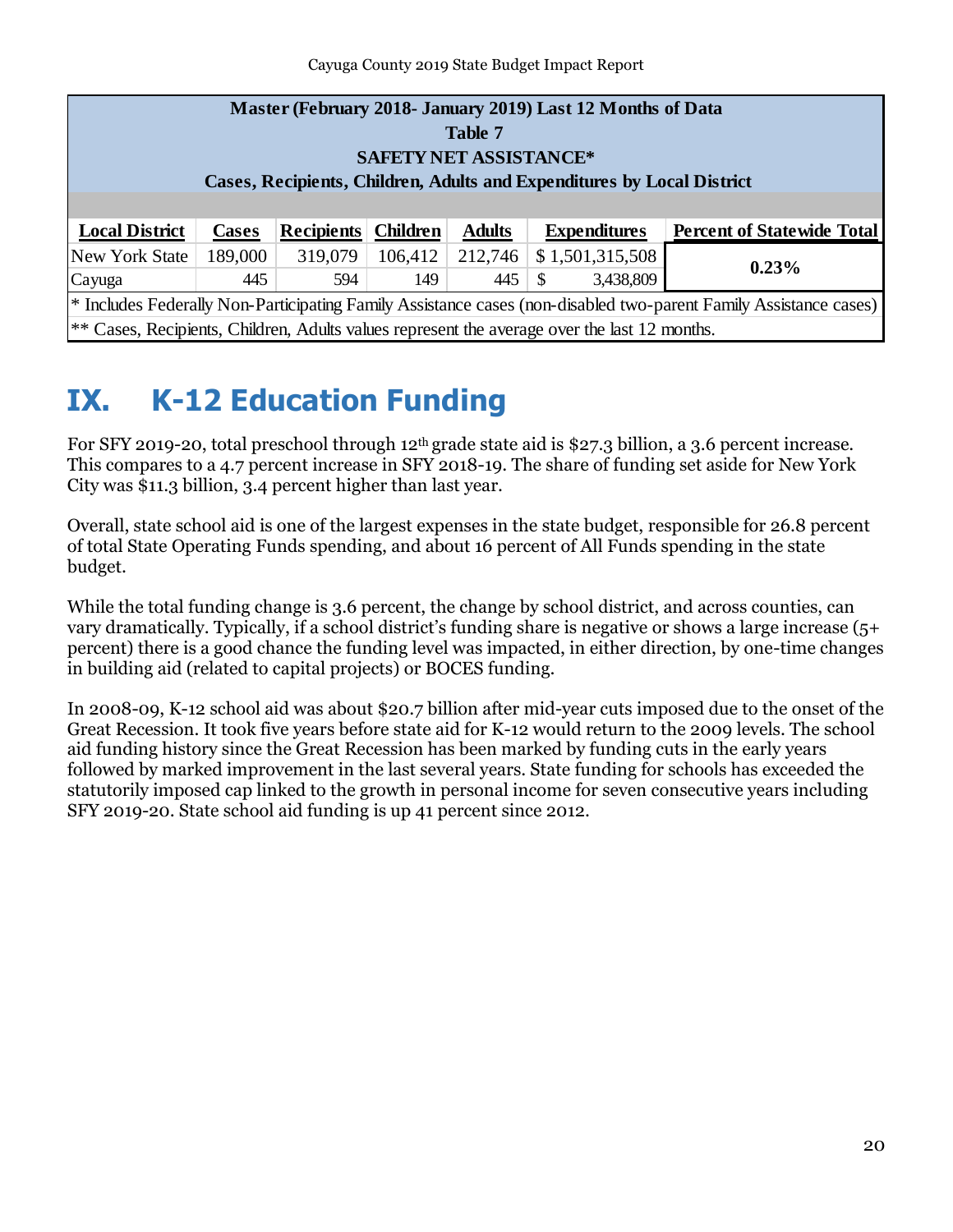Cayuga County 2019 State Budget Impact Report

| Master (February 2018- January 2019) Last 12 Months of Data<br>Table 7<br><b>SAFETY NET ASSISTANCE*</b><br>Cases, Recipients, Children, Adults and Expenditures by Local District |              |                   |                 |               |               |                     |                                   |  |  |
|-----------------------------------------------------------------------------------------------------------------------------------------------------------------------------------|--------------|-------------------|-----------------|---------------|---------------|---------------------|-----------------------------------|--|--|
| <b>Local District</b>                                                                                                                                                             | <b>Cases</b> | <b>Recipients</b> | <b>Children</b> | <b>Adults</b> |               | <b>Expenditures</b> | <b>Percent of Statewide Total</b> |  |  |
| New York State                                                                                                                                                                    | 189,000      | 319,079           | 106,412         | 212,746       |               | \$1,501,315,508     |                                   |  |  |
| Cayuga                                                                                                                                                                            | 445          | 594               | 149             | 445           | <sup>\$</sup> | 3,438,809           | 0.23%                             |  |  |
| <sup>*</sup> Includes Federally Non-Participating Family Assistance cases (non-disabled two-parent Family Assistance cases)                                                       |              |                   |                 |               |               |                     |                                   |  |  |
| $\ast$ Cases, Recipients, Children, Adults values represent the average over the last 12 months.                                                                                  |              |                   |                 |               |               |                     |                                   |  |  |

# <span id="page-19-0"></span>**IX. K-12 Education Funding**

For SFY 2019-20, total preschool through 12<sup>th</sup> grade state aid is \$27.3 billion, a 3.6 percent increase. This compares to a 4.7 percent increase in SFY 2018-19. The share of funding set aside for New York City was \$11.3 billion, 3.4 percent higher than last year.

Overall, state school aid is one of the largest expenses in the state budget, responsible for 26.8 percent of total State Operating Funds spending, and about 16 percent of All Funds spending in the state budget.

While the total funding change is 3.6 percent, the change by school district, and across counties, can vary dramatically. Typically, if a school district's funding share is negative or shows a large increase (5+ percent) there is a good chance the funding level was impacted, in either direction, by one-time changes in building aid (related to capital projects) or BOCES funding.

In 2008-09, K-12 school aid was about \$20.7 billion after mid-year cuts imposed due to the onset of the Great Recession. It took five years before state aid for K-12 would return to the 2009 levels. The school aid funding history since the Great Recession has been marked by funding cuts in the early years followed by marked improvement in the last several years. State funding for schools has exceeded the statutorily imposed cap linked to the growth in personal income for seven consecutive years including SFY 2019-20. State school aid funding is up 41 percent since 2012.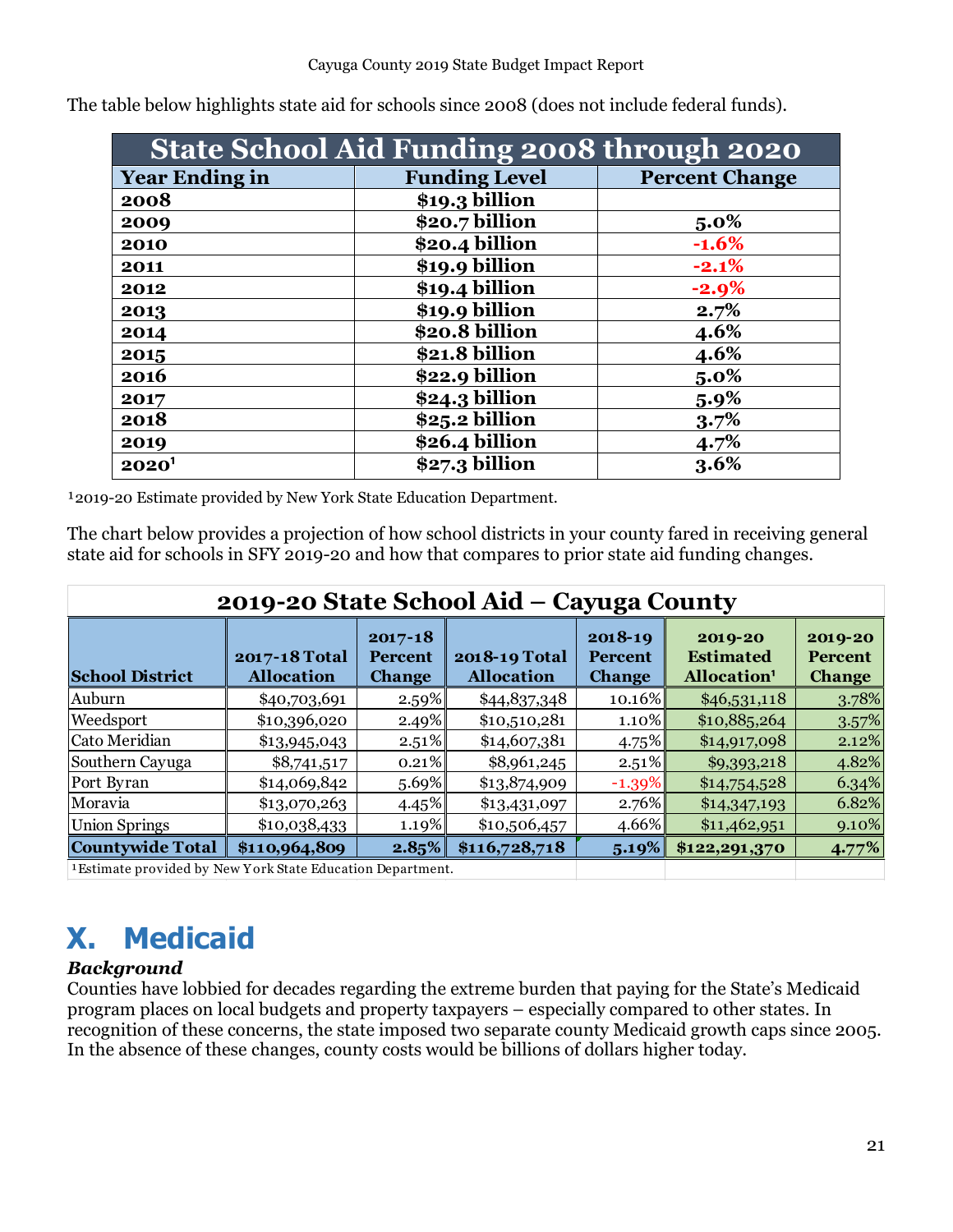| <b>State School Aid Funding 2008 through 2020</b> |                      |                       |  |  |  |  |  |  |
|---------------------------------------------------|----------------------|-----------------------|--|--|--|--|--|--|
| <b>Year Ending in</b>                             | <b>Funding Level</b> | <b>Percent Change</b> |  |  |  |  |  |  |
| 2008                                              | \$19.3 billion       |                       |  |  |  |  |  |  |
| 2009                                              | \$20.7 billion       | $5.0\%$               |  |  |  |  |  |  |
| 2010                                              | \$20.4 billion       | $-1.6%$               |  |  |  |  |  |  |
| 2011                                              | \$19.9 billion       | $-2.1%$               |  |  |  |  |  |  |
| 2012                                              | \$19.4 billion       | $-2.9%$               |  |  |  |  |  |  |
| 2013                                              | \$19.9 billion       | 2.7%                  |  |  |  |  |  |  |
| 2014                                              | \$20.8 billion       | 4.6%                  |  |  |  |  |  |  |
| 2015                                              | \$21.8 billion       | 4.6%                  |  |  |  |  |  |  |
| 2016                                              | \$22.9 billion       | $5.0\%$               |  |  |  |  |  |  |
| 2017                                              | \$24.3 billion       | $5.9\%$               |  |  |  |  |  |  |
| 2018                                              | \$25.2 billion       | 3.7%                  |  |  |  |  |  |  |
| 2019                                              | \$26.4 billion       | 4.7%                  |  |  |  |  |  |  |
| $2020^1$                                          | \$27.3 billion       | 3.6%                  |  |  |  |  |  |  |

The table below highlights state aid for schools since 2008 (does not include federal funds).

<sup>1</sup>2019-20 Estimate provided by New York State Education Department.

The chart below provides a projection of how school districts in your county fared in receiving general state aid for schools in SFY 2019-20 and how that compares to prior state aid funding changes.

| 2019-20 State School Aid – Cayuga County                   |                                    |                                                |                                    |                                                |                                                        |                                            |  |  |  |
|------------------------------------------------------------|------------------------------------|------------------------------------------------|------------------------------------|------------------------------------------------|--------------------------------------------------------|--------------------------------------------|--|--|--|
| <b>School District</b>                                     | 2017-18 Total<br><b>Allocation</b> | $2017 - 18$<br><b>Percent</b><br><b>Change</b> | 2018-19 Total<br><b>Allocation</b> | $2018 - 19$<br><b>Percent</b><br><b>Change</b> | 2019-20<br><b>Estimated</b><br>Allocation <sup>1</sup> | 2019-20<br><b>Percent</b><br><b>Change</b> |  |  |  |
| Auburn                                                     | \$40,703,691                       | 2.59%                                          | \$44,837,348                       | 10.16%                                         | \$46,531,118                                           | 3.78%                                      |  |  |  |
| Weedsport                                                  | \$10,396,020                       | 2.49%                                          | \$10,510,281                       | $1.10\%$                                       | \$10,885,264                                           | 3.57%                                      |  |  |  |
| Cato Meridian                                              | \$13,945,043                       | $2.51\%$                                       | \$14,607,381                       | $4.75\%$                                       | \$14,917,098                                           | 2.12%                                      |  |  |  |
| Southern Cayuga                                            | \$8,741,517                        | $0.21\%$                                       | \$8,961,245                        | $2.51\%$                                       | \$9,393,218                                            | 4.82%                                      |  |  |  |
| Port Byran                                                 | \$14,069,842                       | $5.69\%$                                       | \$13,874,909                       | $-1.39\%$                                      | \$14,754,528                                           | 6.34%                                      |  |  |  |
| Moravia                                                    | \$13,070,263                       | 4.45%                                          | \$13,431,097                       | 2.76%                                          | \$14,347,193                                           | 6.82%                                      |  |  |  |
| <b>Union Springs</b>                                       | \$10,038,433                       | 1.19%                                          | \$10,506,457                       | 4.66%                                          | \$11,462,951                                           | 9.10%                                      |  |  |  |
| <b>Countywide Total</b>                                    | \$110,964,809                      | 2.85%                                          | \$116,728,718                      | 5.19%                                          | \$122,291,370                                          | 4.77%                                      |  |  |  |
| 1 Estimate provided by New York State Education Department |                                    |                                                |                                    |                                                |                                                        |                                            |  |  |  |

sumate provided by New Y ork State Education Department.

# <span id="page-20-0"></span>**X. Medicaid**

### <span id="page-20-1"></span>*Background*

Counties have lobbied for decades regarding the extreme burden that paying for the State's Medicaid program places on local budgets and property taxpayers – especially compared to other states. In recognition of these concerns, the state imposed two separate county Medicaid growth caps since 2005. In the absence of these changes, county costs would be billions of dollars higher today.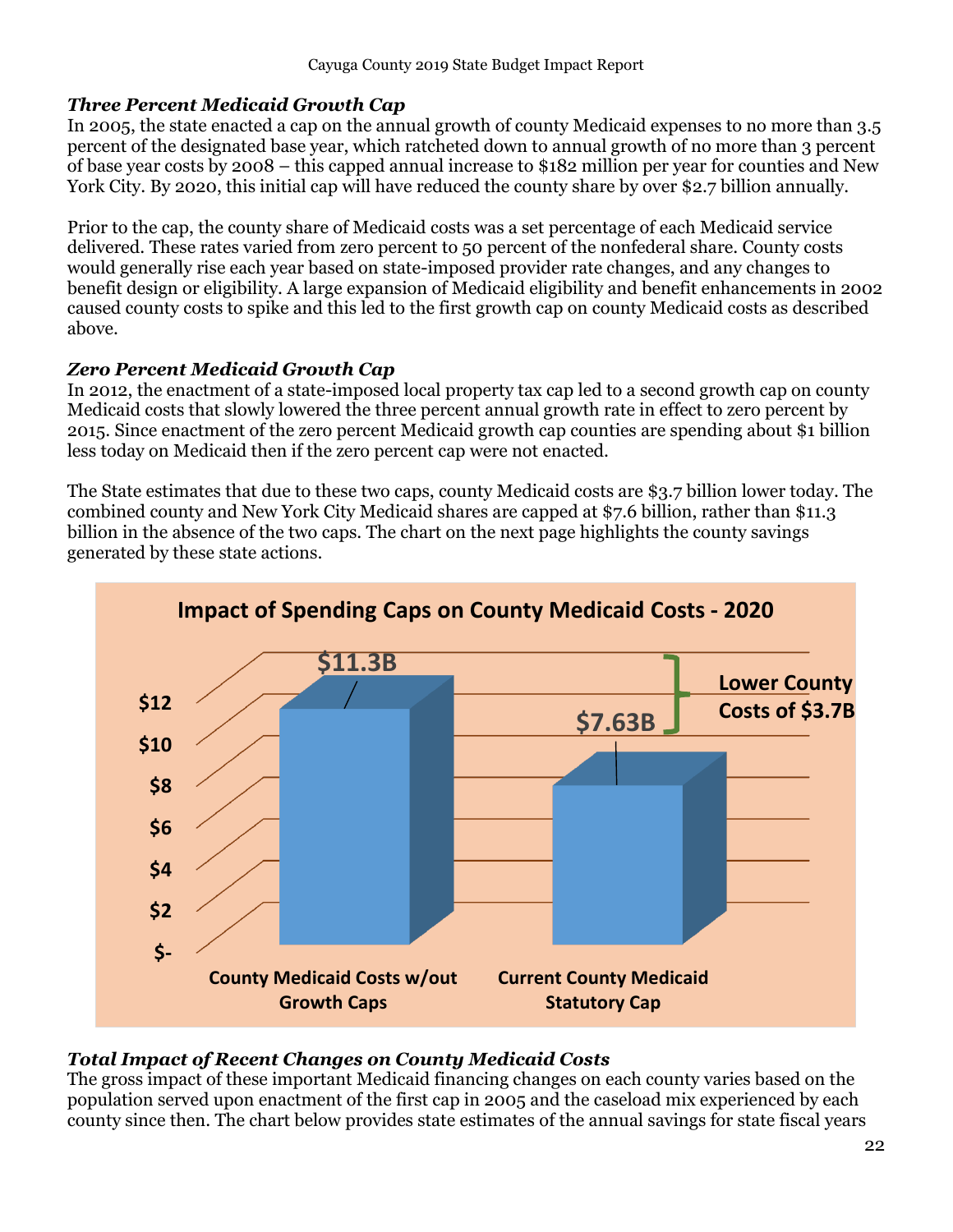### <span id="page-21-0"></span>*Three Percent Medicaid Growth Cap*

In 2005, the state enacted a cap on the annual growth of county Medicaid expenses to no more than 3.5 percent of the designated base year, which ratcheted down to annual growth of no more than 3 percent of base year costs by 2008 – this capped annual increase to \$182 million per year for counties and New York City. By 2020, this initial cap will have reduced the county share by over \$2.7 billion annually.

Prior to the cap, the county share of Medicaid costs was a set percentage of each Medicaid service delivered. These rates varied from zero percent to 50 percent of the nonfederal share. County costs would generally rise each year based on state-imposed provider rate changes, and any changes to benefit design or eligibility. A large expansion of Medicaid eligibility and benefit enhancements in 2002 caused county costs to spike and this led to the first growth cap on county Medicaid costs as described above.

### <span id="page-21-1"></span>*Zero Percent Medicaid Growth Cap*

In 2012, the enactment of a state-imposed local property tax cap led to a second growth cap on county Medicaid costs that slowly lowered the three percent annual growth rate in effect to zero percent by 2015. Since enactment of the zero percent Medicaid growth cap counties are spending about \$1 billion less today on Medicaid then if the zero percent cap were not enacted.

The State estimates that due to these two caps, county Medicaid costs are \$3.7 billion lower today. The combined county and New York City Medicaid shares are capped at \$7.6 billion, rather than \$11.3 billion in the absence of the two caps. The chart on the next page highlights the county savings generated by these state actions.



### <span id="page-21-2"></span>*Total Impact of Recent Changes on County Medicaid Costs*

The gross impact of these important Medicaid financing changes on each county varies based on the population served upon enactment of the first cap in 2005 and the caseload mix experienced by each county since then. The chart below provides state estimates of the annual savings for state fiscal years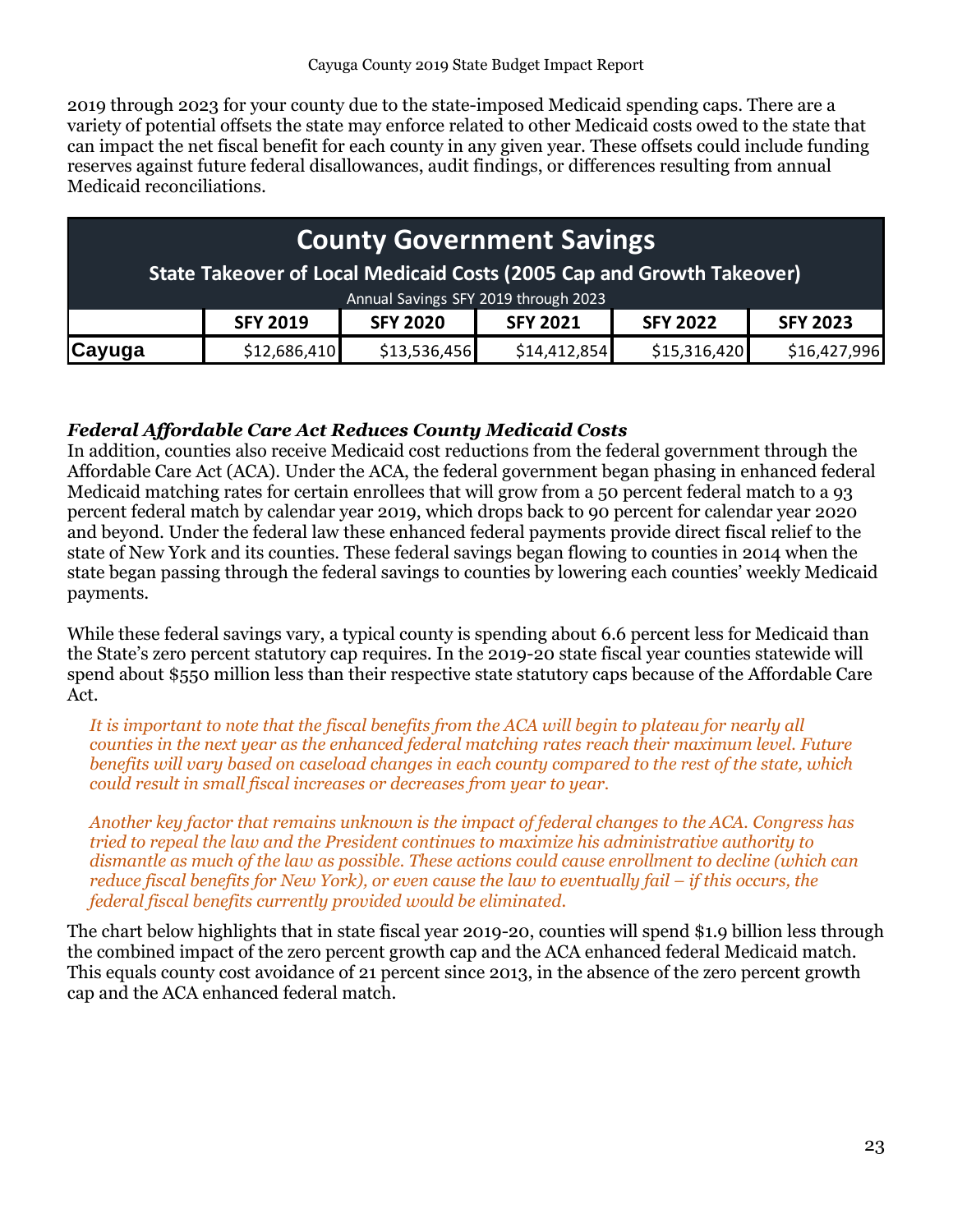2019 through 2023 for your county due to the state-imposed Medicaid spending caps. There are a variety of potential offsets the state may enforce related to other Medicaid costs owed to the state that can impact the net fiscal benefit for each county in any given year. These offsets could include funding reserves against future federal disallowances, audit findings, or differences resulting from annual Medicaid reconciliations.

### **SFY 2019 SFY 2020 SFY 2021 SFY 2022 SFY 2023 Cayuga |** \$12,686,410 \$13,536,456 \$14,412,854 \$15,316,420 \$16,427,996 **County Government Savings State Takeover of Local Medicaid Costs (2005 Cap and Growth Takeover)** Annual Savings SFY 2019 through 2023

### <span id="page-22-0"></span>*Federal Affordable Care Act Reduces County Medicaid Costs*

In addition, counties also receive Medicaid cost reductions from the federal government through the Affordable Care Act (ACA). Under the ACA, the federal government began phasing in enhanced federal Medicaid matching rates for certain enrollees that will grow from a 50 percent federal match to a 93 percent federal match by calendar year 2019, which drops back to 90 percent for calendar year 2020 and beyond. Under the federal law these enhanced federal payments provide direct fiscal relief to the state of New York and its counties. These federal savings began flowing to counties in 2014 when the state began passing through the federal savings to counties by lowering each counties' weekly Medicaid payments.

While these federal savings vary, a typical county is spending about 6.6 percent less for Medicaid than the State's zero percent statutory cap requires. In the 2019-20 state fiscal year counties statewide will spend about \$550 million less than their respective state statutory caps because of the Affordable Care Act.

*It is important to note that the fiscal benefits from the ACA will begin to plateau for nearly all counties in the next year as the enhanced federal matching rates reach their maximum level. Future benefits will vary based on caseload changes in each county compared to the rest of the state, which could result in small fiscal increases or decreases from year to year.*

*Another key factor that remains unknown is the impact of federal changes to the ACA. Congress has tried to repeal the law and the President continues to maximize his administrative authority to dismantle as much of the law as possible. These actions could cause enrollment to decline (which can reduce fiscal benefits for New York), or even cause the law to eventually fail – if this occurs, the federal fiscal benefits currently provided would be eliminated.* 

The chart below highlights that in state fiscal year 2019-20, counties will spend \$1.9 billion less through the combined impact of the zero percent growth cap and the ACA enhanced federal Medicaid match. This equals county cost avoidance of 21 percent since 2013, in the absence of the zero percent growth cap and the ACA enhanced federal match.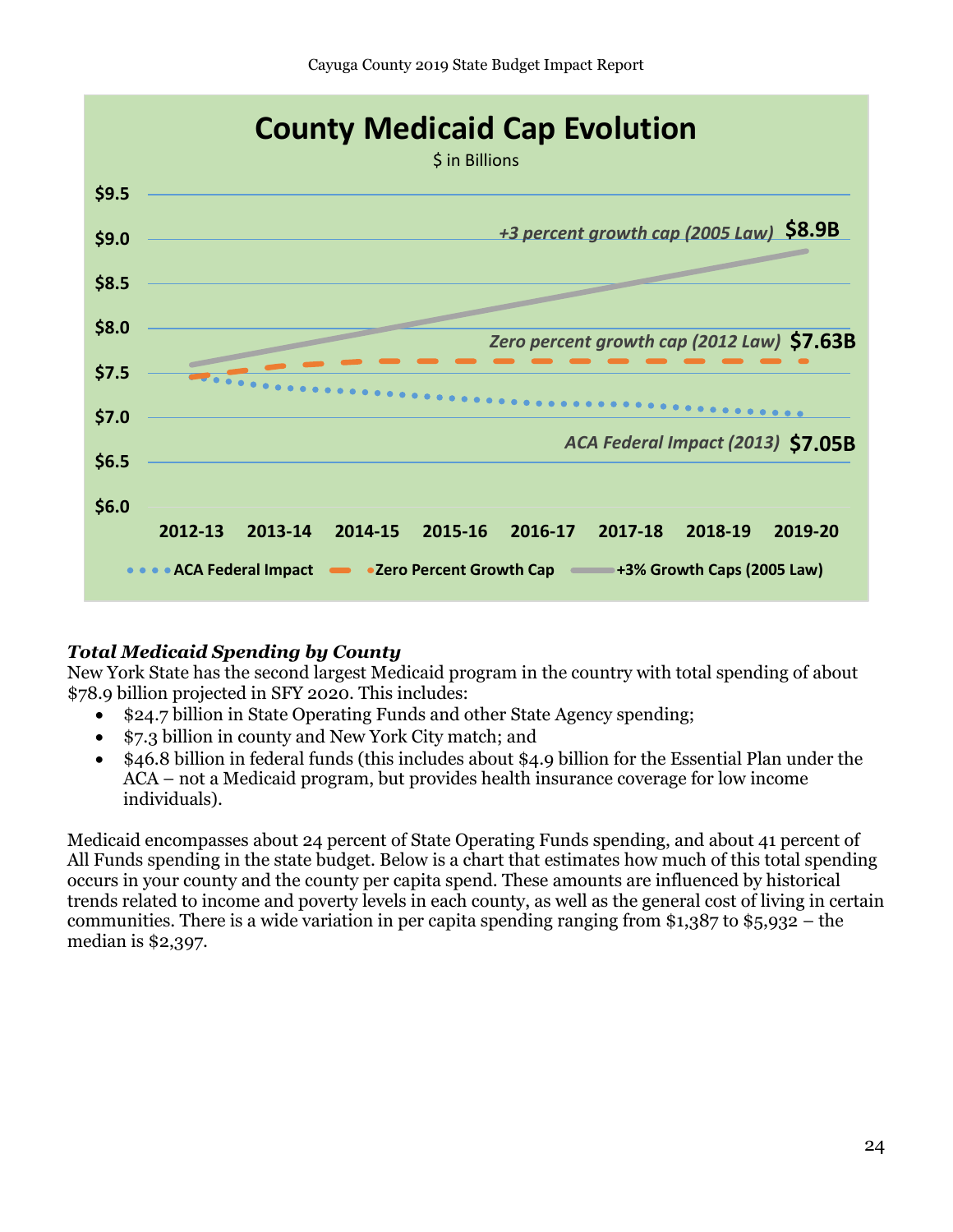

### <span id="page-23-0"></span>*Total Medicaid Spending by County*

New York State has the second largest Medicaid program in the country with total spending of about \$78.9 billion projected in SFY 2020. This includes:

- \$24.7 billion in State Operating Funds and other State Agency spending;
- \$7.3 billion in county and New York City match; and
- \$46.8 billion in federal funds (this includes about \$4.9 billion for the Essential Plan under the ACA – not a Medicaid program, but provides health insurance coverage for low income individuals).

Medicaid encompasses about 24 percent of State Operating Funds spending, and about 41 percent of All Funds spending in the state budget. Below is a chart that estimates how much of this total spending occurs in your county and the county per capita spend. These amounts are influenced by historical trends related to income and poverty levels in each county, as well as the general cost of living in certain communities. There is a wide variation in per capita spending ranging from \$1,387 to \$5,932 – the median is \$2,397.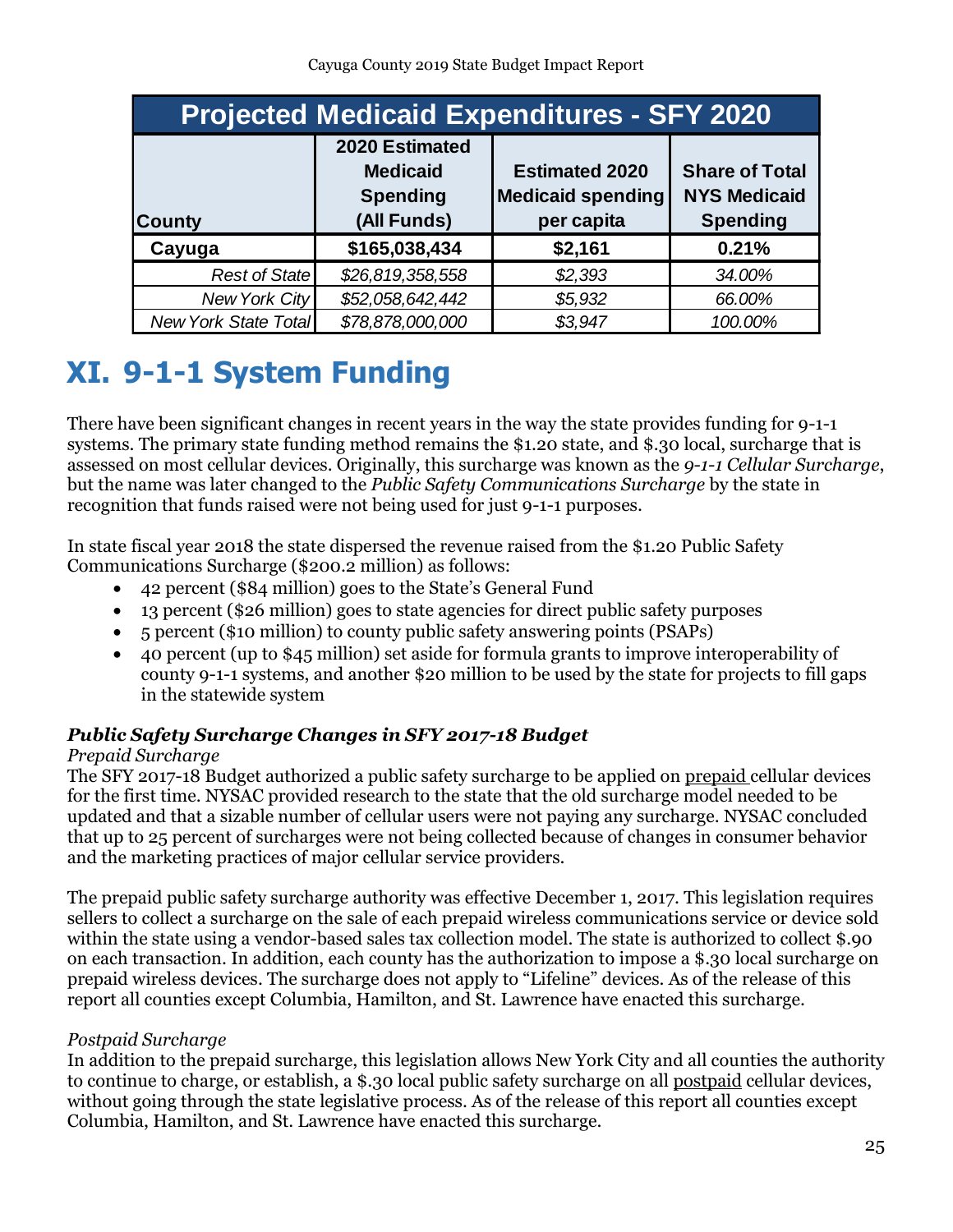| <b>Projected Medicaid Expenditures - SFY 2020</b> |                                                                     |                                                                 |                                                                 |  |  |  |  |  |
|---------------------------------------------------|---------------------------------------------------------------------|-----------------------------------------------------------------|-----------------------------------------------------------------|--|--|--|--|--|
| <b>County</b>                                     | 2020 Estimated<br><b>Medicaid</b><br><b>Spending</b><br>(All Funds) | <b>Estimated 2020</b><br><b>Medicaid spending</b><br>per capita | <b>Share of Total</b><br><b>NYS Medicaid</b><br><b>Spending</b> |  |  |  |  |  |
| Cayuga                                            | \$165,038,434                                                       | \$2,161                                                         | 0.21%                                                           |  |  |  |  |  |
| <b>Rest of State</b>                              | \$26,819,358,558                                                    | \$2,393                                                         | 34.00%                                                          |  |  |  |  |  |
| <b>New York City</b>                              | \$52,058,642,442                                                    | \$5,932                                                         | 66.00%                                                          |  |  |  |  |  |
| <b>New York State Total</b>                       | \$78,878,000,000                                                    | \$3,947                                                         | 100.00%                                                         |  |  |  |  |  |

# <span id="page-24-0"></span>**XI. 9-1-1 System Funding**

There have been significant changes in recent years in the way the state provides funding for 9-1-1 systems. The primary state funding method remains the \$1.20 state, and \$.30 local, surcharge that is assessed on most cellular devices. Originally, this surcharge was known as the *9-1-1 Cellular Surcharge*, but the name was later changed to the *Public Safety Communications Surcharge* by the state in recognition that funds raised were not being used for just 9-1-1 purposes.

In state fiscal year 2018 the state dispersed the revenue raised from the \$1.20 Public Safety Communications Surcharge (\$200.2 million) as follows:

- 42 percent (\$84 million) goes to the State's General Fund
- 13 percent (\$26 million) goes to state agencies for direct public safety purposes
- 5 percent (\$10 million) to county public safety answering points (PSAPs)
- 40 percent (up to \$45 million) set aside for formula grants to improve interoperability of county 9-1-1 systems, and another \$20 million to be used by the state for projects to fill gaps in the statewide system

### <span id="page-24-1"></span>*Public Safety Surcharge Changes in SFY 2017-18 Budget*

### *Prepaid Surcharge*

The SFY 2017-18 Budget authorized a public safety surcharge to be applied on prepaid cellular devices for the first time. NYSAC provided research to the state that the old surcharge model needed to be updated and that a sizable number of cellular users were not paying any surcharge. NYSAC concluded that up to 25 percent of surcharges were not being collected because of changes in consumer behavior and the marketing practices of major cellular service providers.

The prepaid public safety surcharge authority was effective December 1, 2017. This legislation requires sellers to collect a surcharge on the sale of each prepaid wireless communications service or device sold within the state using a vendor-based sales tax collection model. The state is authorized to collect \$.90 on each transaction. In addition, each county has the authorization to impose a \$.30 local surcharge on prepaid wireless devices. The surcharge does not apply to "Lifeline" devices. As of the release of this report all counties except Columbia, Hamilton, and St. Lawrence have enacted this surcharge.

### *Postpaid Surcharge*

In addition to the prepaid surcharge, this legislation allows New York City and all counties the authority to continue to charge, or establish, a \$.30 local public safety surcharge on all postpaid cellular devices, without going through the state legislative process. As of the release of this report all counties except Columbia, Hamilton, and St. Lawrence have enacted this surcharge.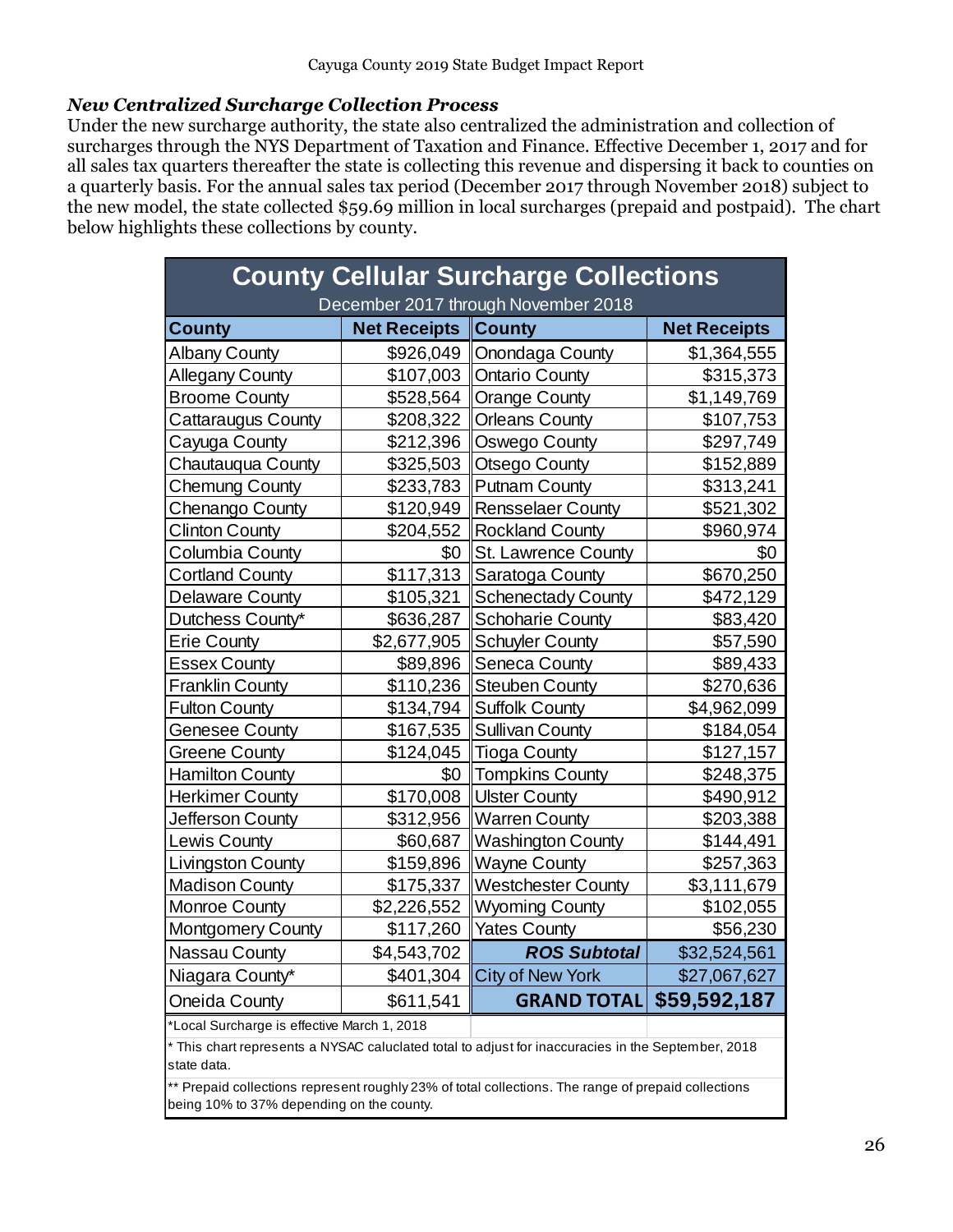### <span id="page-25-0"></span>*New Centralized Surcharge Collection Process*

Under the new surcharge authority, the state also centralized the administration and collection of surcharges through the NYS Department of Taxation and Finance. Effective December 1, 2017 and for all sales tax quarters thereafter the state is collecting this revenue and dispersing it back to counties on a quarterly basis. For the annual sales tax period (December 2017 through November 2018) subject to the new model, the state collected \$59.69 million in local surcharges (prepaid and postpaid). The chart below highlights these collections by county.

| <b>County Cellular Surcharge Collections</b><br>December 2017 through November 2018 |                                                                                                    |                                                                                                     |                     |  |  |  |  |  |  |
|-------------------------------------------------------------------------------------|----------------------------------------------------------------------------------------------------|-----------------------------------------------------------------------------------------------------|---------------------|--|--|--|--|--|--|
| <b>County</b>                                                                       | <b>Net Receipts</b>                                                                                | <b>County</b>                                                                                       | <b>Net Receipts</b> |  |  |  |  |  |  |
| <b>Albany County</b>                                                                |                                                                                                    | \$926,049   Onondaga County                                                                         | \$1,364,555         |  |  |  |  |  |  |
| <b>Allegany County</b>                                                              | \$107,003                                                                                          | Ontario County                                                                                      | \$315,373           |  |  |  |  |  |  |
| <b>Broome County</b>                                                                | \$528,564                                                                                          | Orange County                                                                                       | \$1,149,769         |  |  |  |  |  |  |
| <b>Cattaraugus County</b>                                                           | \$208,322                                                                                          | Orleans County                                                                                      | \$107,753           |  |  |  |  |  |  |
| Cayuga County                                                                       | \$212,396                                                                                          | <b>Oswego County</b>                                                                                | \$297,749           |  |  |  |  |  |  |
| Chautauqua County                                                                   | \$325,503                                                                                          | <b>Otsego County</b>                                                                                | \$152,889           |  |  |  |  |  |  |
| <b>Chemung County</b>                                                               | \$233,783                                                                                          | Putnam County                                                                                       | \$313,241           |  |  |  |  |  |  |
| Chenango County                                                                     | \$120,949                                                                                          | <b>Rensselaer County</b>                                                                            | \$521,302           |  |  |  |  |  |  |
| <b>Clinton County</b>                                                               | \$204,552                                                                                          | <b>Rockland County</b>                                                                              | \$960,974           |  |  |  |  |  |  |
| <b>Columbia County</b>                                                              | \$0                                                                                                | St. Lawrence County                                                                                 | \$0                 |  |  |  |  |  |  |
| <b>Cortland County</b>                                                              | \$117,313                                                                                          | Saratoga County                                                                                     | \$670,250           |  |  |  |  |  |  |
| <b>Delaware County</b>                                                              | \$105,321                                                                                          | <b>Schenectady County</b>                                                                           | \$472,129           |  |  |  |  |  |  |
| Dutchess County*                                                                    | \$636,287                                                                                          | <b>Schoharie County</b>                                                                             | \$83,420            |  |  |  |  |  |  |
| <b>Erie County</b>                                                                  | \$2,677,905                                                                                        | Schuyler County                                                                                     | \$57,590            |  |  |  |  |  |  |
| <b>Essex County</b>                                                                 | \$89,896                                                                                           | Seneca County                                                                                       | \$89,433            |  |  |  |  |  |  |
| <b>Franklin County</b>                                                              | \$110,236                                                                                          | <b>Steuben County</b>                                                                               | \$270,636           |  |  |  |  |  |  |
| <b>Fulton County</b>                                                                | \$134,794                                                                                          | Suffolk County                                                                                      | \$4,962,099         |  |  |  |  |  |  |
| <b>Genesee County</b>                                                               | \$167,535                                                                                          | <b>Sullivan County</b>                                                                              | \$184,054           |  |  |  |  |  |  |
| Greene County                                                                       | \$124,045                                                                                          | Tioga County                                                                                        | \$127,157           |  |  |  |  |  |  |
| <b>Hamilton County</b>                                                              | \$0                                                                                                | <b>Tompkins County</b>                                                                              | \$248,375           |  |  |  |  |  |  |
| <b>Herkimer County</b>                                                              | \$170,008                                                                                          | <b>Ulster County</b>                                                                                | \$490,912           |  |  |  |  |  |  |
| Jefferson County                                                                    | \$312,956                                                                                          | <b>Warren County</b>                                                                                | \$203,388           |  |  |  |  |  |  |
| Lewis County                                                                        | \$60,687                                                                                           | <b>Washington County</b>                                                                            | \$144,491           |  |  |  |  |  |  |
| Livingston County                                                                   | \$159,896                                                                                          | <b>Wayne County</b>                                                                                 | \$257,363           |  |  |  |  |  |  |
| <b>Madison County</b>                                                               | \$175,337                                                                                          | <b>Westchester County</b>                                                                           | \$3,111,679         |  |  |  |  |  |  |
| <b>Monroe County</b>                                                                | \$2,226,552                                                                                        | <b>Wyoming County</b>                                                                               | \$102,055           |  |  |  |  |  |  |
| <b>Montgomery County</b>                                                            | \$117,260                                                                                          | <b>Yates County</b>                                                                                 | \$56,230            |  |  |  |  |  |  |
| Nassau County                                                                       | \$4,543,702                                                                                        | <b>ROS Subtotal</b>                                                                                 | \$32,524,561        |  |  |  |  |  |  |
| Niagara County*                                                                     | \$401,304                                                                                          | <b>City of New York</b>                                                                             | \$27,067,627        |  |  |  |  |  |  |
| Oneida County                                                                       | \$611,541                                                                                          | <b>GRAND TOTAL</b>                                                                                  | \$59,592,187        |  |  |  |  |  |  |
| *Local Surcharge is effective March 1, 2018                                         |                                                                                                    |                                                                                                     |                     |  |  |  |  |  |  |
| state data.                                                                         | * This chart represents a NYSAC caluclated total to adjust for inaccuracies in the September, 2018 |                                                                                                     |                     |  |  |  |  |  |  |
| being 10% to 37% depending on the county.                                           |                                                                                                    | ** Prepaid collections represent roughly 23% of total collections. The range of prepaid collections |                     |  |  |  |  |  |  |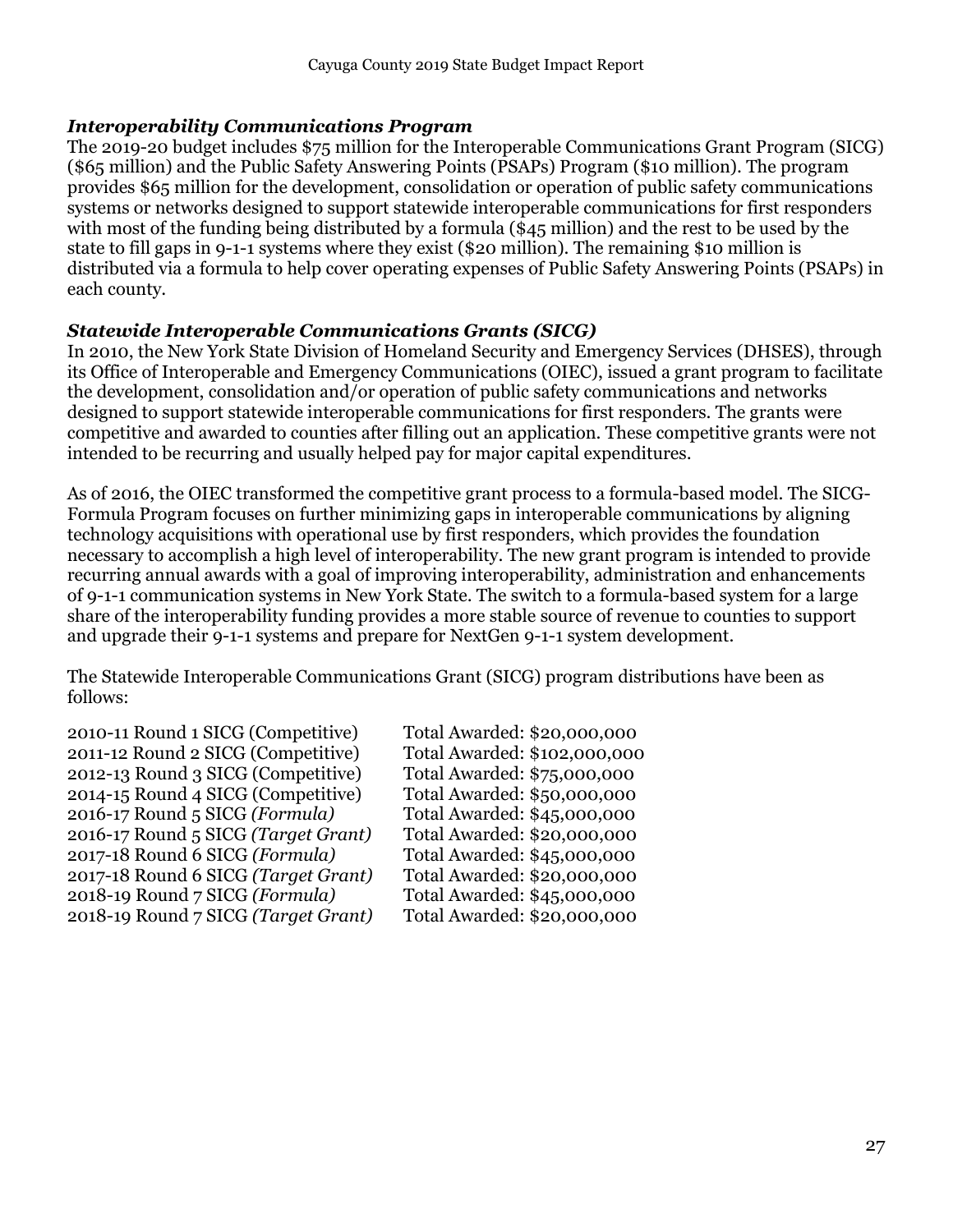### <span id="page-26-0"></span>*Interoperability Communications Program*

The 2019-20 budget includes \$75 million for the Interoperable Communications Grant Program (SICG) (\$65 million) and the Public Safety Answering Points (PSAPs) Program (\$10 million). The program provides \$65 million for the development, consolidation or operation of public safety communications systems or networks designed to support statewide interoperable communications for first responders with most of the funding being distributed by a formula (\$45 million) and the rest to be used by the state to fill gaps in 9-1-1 systems where they exist (\$20 million). The remaining \$10 million is distributed via a formula to help cover operating expenses of Public Safety Answering Points (PSAPs) in each county.

### <span id="page-26-1"></span>*Statewide Interoperable Communications Grants (SICG)*

In 2010, the New York State Division of Homeland Security and Emergency Services (DHSES), through its Office of Interoperable and Emergency Communications (OIEC), issued a grant program to facilitate the development, consolidation and/or operation of public safety communications and networks designed to support statewide interoperable communications for first responders. The grants were competitive and awarded to counties after filling out an application. These competitive grants were not intended to be recurring and usually helped pay for major capital expenditures.

As of 2016, the OIEC transformed the competitive grant process to a formula-based model. The SICG-Formula Program focuses on further minimizing gaps in interoperable communications by aligning technology acquisitions with operational use by first responders, which provides the foundation necessary to accomplish a high level of interoperability. The new grant program is intended to provide recurring annual awards with a goal of improving interoperability, administration and enhancements of 9-1-1 communication systems in New York State. The switch to a formula-based system for a large share of the interoperability funding provides a more stable source of revenue to counties to support and upgrade their 9-1-1 systems and prepare for NextGen 9-1-1 system development.

The Statewide Interoperable Communications Grant (SICG) program distributions have been as follows:

2010-11 Round 1 SICG (Competitive) Total Awarded: \$20,000,000 2011-12 Round 2 SICG (Competitive) Total Awarded: \$102,000,000 2012-13 Round 3 SICG (Competitive) Total Awarded: \$75,000,000 2014-15 Round 4 SICG (Competitive) Total Awarded: \$50,000,000 2016-17 Round 5 SICG *(Formula)* Total Awarded: \$45,000,000 2016-17 Round 5 SICG *(Target Grant)* Total Awarded: \$20,000,000 2017-18 Round 6 SICG *(Formula)* 2017-18 Round 6 SICG *(Target Grant)* Total Awarded: \$20,000,000 2018-19 Round 7 SICG *(Formula)* Total Awarded: \$45,000,000 2018-19 Round 7 SICG *(Target Grant)* Total Awarded: \$20,000,000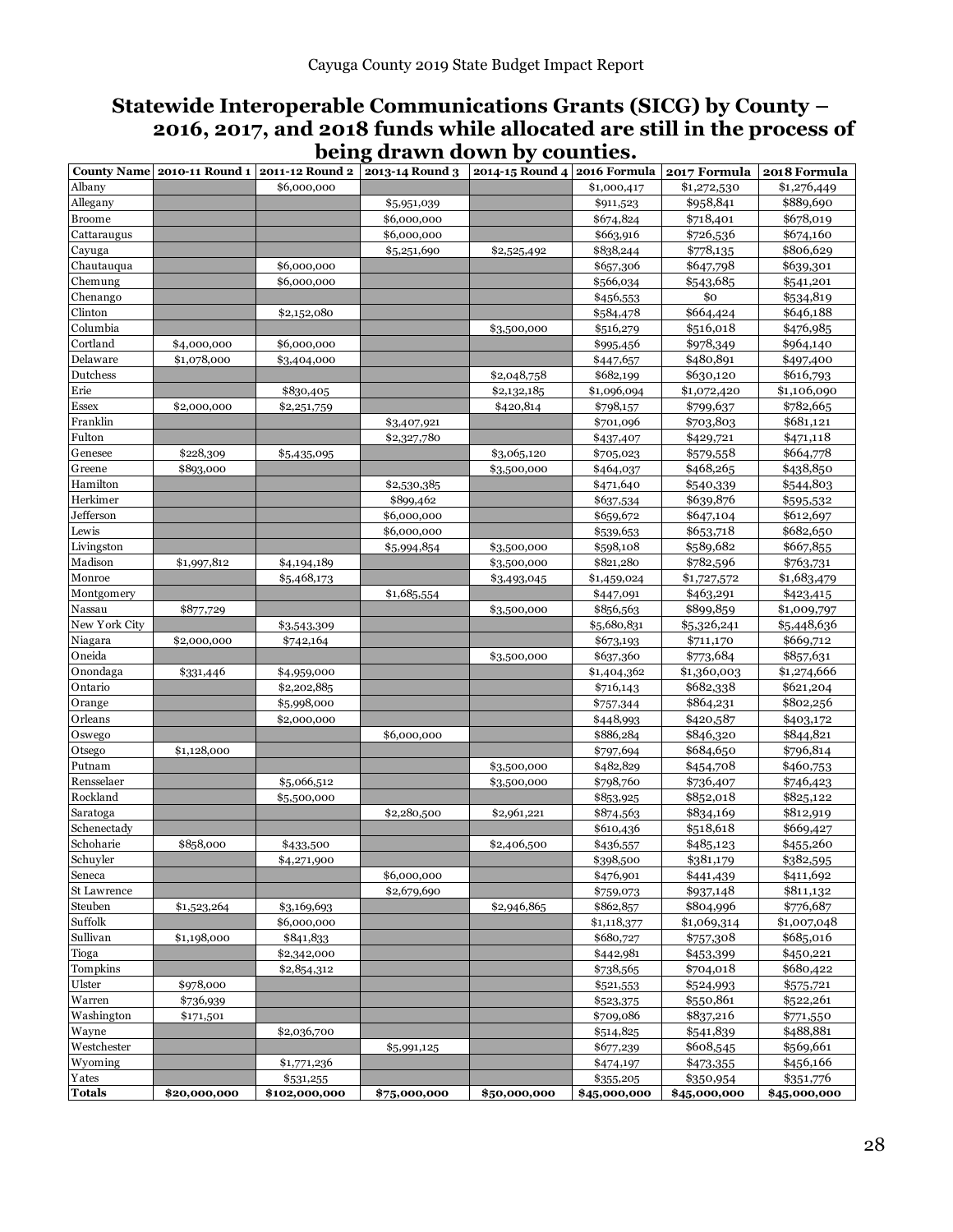### **Statewide Interoperable Communications Grants (SICG) by County – 2016, 2017, and 2018 funds while allocated are still in the process of being drawn down by counties.**

|                  | County Name 2010-11 Round 1 | 2011-12 Round 2            | 2013-14 Round 3 2014-15 Round 4 2016 Formula |              |                        | 2017 Formula           | 2018 Formula           |
|------------------|-----------------------------|----------------------------|----------------------------------------------|--------------|------------------------|------------------------|------------------------|
| Albany           |                             | \$6,000,000                |                                              |              | \$1,000,417            | \$1,272,530            | \$1,276,449            |
| Allegany         |                             |                            | \$5,951,039                                  |              | \$911,523              | \$958,841              | \$889,690              |
| <b>Broome</b>    |                             |                            | \$6,000,000                                  |              | \$674,824              | \$718,401              | \$678,019              |
| Cattaraugus      |                             |                            | \$6,000,000                                  |              | \$663,916              | \$726,536              | \$674,160              |
| Cayuga           |                             |                            | \$5,251,690                                  | \$2,525,492  | \$838,244              | \$778,135              | \$806,629              |
| Chautauqua       |                             | \$6,000,000                |                                              |              | \$657,306              | \$647,798              | \$639,301              |
| Chemung          |                             | \$6,000,000                |                                              |              | \$566,034              | \$543,685              | \$541,201              |
| Chenango         |                             |                            |                                              |              | \$456,553              | \$o                    | \$534,819              |
| Clinton          |                             | \$2,152,080                |                                              |              | \$584,478              | \$664,424              | \$646,188              |
| Columbia         |                             |                            |                                              | \$3,500,000  | \$516,279              | \$516,018              | \$476,985              |
| Cortland         | \$4,000,000                 | \$6,000,000                |                                              |              | \$995,456              | \$978,349              | \$964,140              |
| Delaware         | \$1,078,000                 | \$3,404,000                |                                              |              | \$447,657              | \$480,891              | \$497,400              |
| Dutchess         |                             |                            |                                              | \$2,048,758  | \$682,199              | \$630,120              | \$616,793              |
| Erie             |                             | \$830,405                  |                                              | \$2,132,185  | \$1,096,094            | \$1,072,420            | \$1,106,090            |
| Essex            | \$2,000,000                 | \$2,251,759                |                                              | \$420,814    | \$798,157              | \$799,637              | \$782,665              |
| Franklin         |                             |                            | \$3,407,921                                  |              | \$701,096              | \$703,803              | \$681,121              |
| Fulton           |                             |                            | \$2,327,780                                  |              | \$437,407              | \$429,721              | \$471,118              |
| Genesee          | \$228,309                   | \$5,435,095                |                                              | \$3,065,120  | \$705,023              | \$579,558              | \$664,778              |
| Greene           | \$893,000                   |                            |                                              | \$3,500,000  | \$464,037              | \$468,265              | \$438,850              |
| Hamilton         |                             |                            | \$2,530,385                                  |              | \$471,640              | \$540,339              | \$544,803              |
| Herkimer         |                             |                            | \$899,462                                    |              | \$637,534              | \$639,876              | \$595,532              |
| Jefferson        |                             |                            | \$6,000,000                                  |              | \$659,672              | \$647,104              | \$612,697              |
| Lewis            |                             |                            | \$6,000,000                                  |              | \$539,653              | \$653,718              | \$682,650              |
| Livingston       |                             |                            | \$5,994,854                                  | \$3,500,000  | \$598,108              | \$589,682              | \$667,855              |
| Madison          | \$1,997,812                 | \$4,194,189                |                                              | \$3,500,000  | \$821,280              | \$782,596              | \$763,731              |
| Monroe           |                             | \$5,468,173                |                                              | \$3,493,045  | \$1,459,024            | \$1,727,572            | \$1,683,479            |
| Montgomery       |                             |                            | \$1,685,554                                  |              | \$447,091              | \$463,291              | \$423,415              |
| Nassau           | \$877,729                   |                            |                                              | \$3,500,000  | \$856,563              | \$899,859              | \$1,009,797            |
| New York City    |                             | \$3,543,309                |                                              |              | \$5,680,831            | \$5,326,241            | \$5,448,636            |
| Niagara          | \$2,000,000                 | \$742,164                  |                                              |              | \$673,193              | \$711,170              | \$669,712              |
| Oneida           |                             |                            |                                              | \$3,500,000  | \$637,360              | \$773,684              | \$857,631              |
| Onondaga         | \$331,446                   | \$4,959,000                |                                              |              | \$1,404,362            | \$1,360,003            | \$1,274,666            |
| Ontario          |                             | \$2,202,885                |                                              |              | \$716,143              | \$682,338              | \$621,204              |
| Orange           |                             | \$5,998,000                |                                              |              | \$757,344              | \$864,231              | \$802,256              |
| Orleans          |                             | \$2,000,000                |                                              |              | \$448,993              | \$420,587              | \$403,172              |
| Oswego           |                             |                            | \$6,000,000                                  |              | \$886,284              | \$846,320<br>\$684,650 | \$844,821              |
| Otsego<br>Putnam | \$1,128,000                 |                            |                                              | \$3,500,000  | \$797,694<br>\$482,829 | \$454,708              | \$796,814<br>\$460,753 |
| Rensselaer       |                             |                            |                                              | \$3,500,000  | \$798,760              | \$736,407              |                        |
| Rockland         |                             | \$5,066,512<br>\$5,500,000 |                                              |              | \$853,925              | \$852,018              | \$746,423<br>\$825,122 |
| Saratoga         |                             |                            | \$2,280,500                                  | \$2,961,221  | \$874,563              | \$834,169              | \$812,919              |
| Schenectady      |                             |                            |                                              |              | \$610,436              | \$518,618              | \$669,427              |
| Schoharie        | \$858,000                   | \$433,500                  |                                              | \$2,406,500  | \$436,557              | \$485,123              | \$455,260              |
| Schuyler         |                             | \$4,271,900                |                                              |              | \$398,500              | \$381,179              | \$382,595              |
| Seneca           |                             |                            | \$6,000,000                                  |              | \$476,901              | \$441,439              | \$411,692              |
| St Lawrence      |                             |                            | \$2,679,690                                  |              | \$759,073              | \$937,148              | \$811,132              |
| Steuben          | \$1,523,264                 | \$3,169,693                |                                              | \$2,946,865  | \$862,857              | \$804,996              | \$776,687              |
| Suffolk          |                             | \$6,000,000                |                                              |              | \$1,118,377            | \$1,069,314            | \$1,007,048            |
| Sullivan         | \$1,198,000                 | \$841,833                  |                                              |              | \$680,727              | \$757,308              | \$685,016              |
| Tioga            |                             | \$2,342,000                |                                              |              | \$442,981              | \$453,399              | \$450,221              |
| Tompkins         |                             | \$2,854,312                |                                              |              | \$738,565              | \$704,018              | \$680,422              |
| Ulster           | \$978,000                   |                            |                                              |              | \$521,553              | \$524,993              | \$575,721              |
| Warren           | \$736,939                   |                            |                                              |              | \$523,375              | \$550,861              | \$522,261              |
| Washington       | \$171,501                   |                            |                                              |              | \$709,086              | \$837,216              | \$771,550              |
| Wayne            |                             | \$2,036,700                |                                              |              | \$514,825              | \$541,839              | \$488,881              |
| Westchester      |                             |                            | \$5,991,125                                  |              | \$677,239              | \$608,545              | \$569,661              |
| Wyoming          |                             | \$1,771,236                |                                              |              | \$474,197              | \$473,355              | \$456,166              |
| Yates            |                             | \$531,255                  |                                              |              | \$355,205              | \$350,954              | \$351,776              |
| <b>Totals</b>    | \$20,000,000                | \$102,000,000              | \$75,000,000                                 | \$50,000,000 | \$45,000,000           | \$45,000,000           | \$45,000,000           |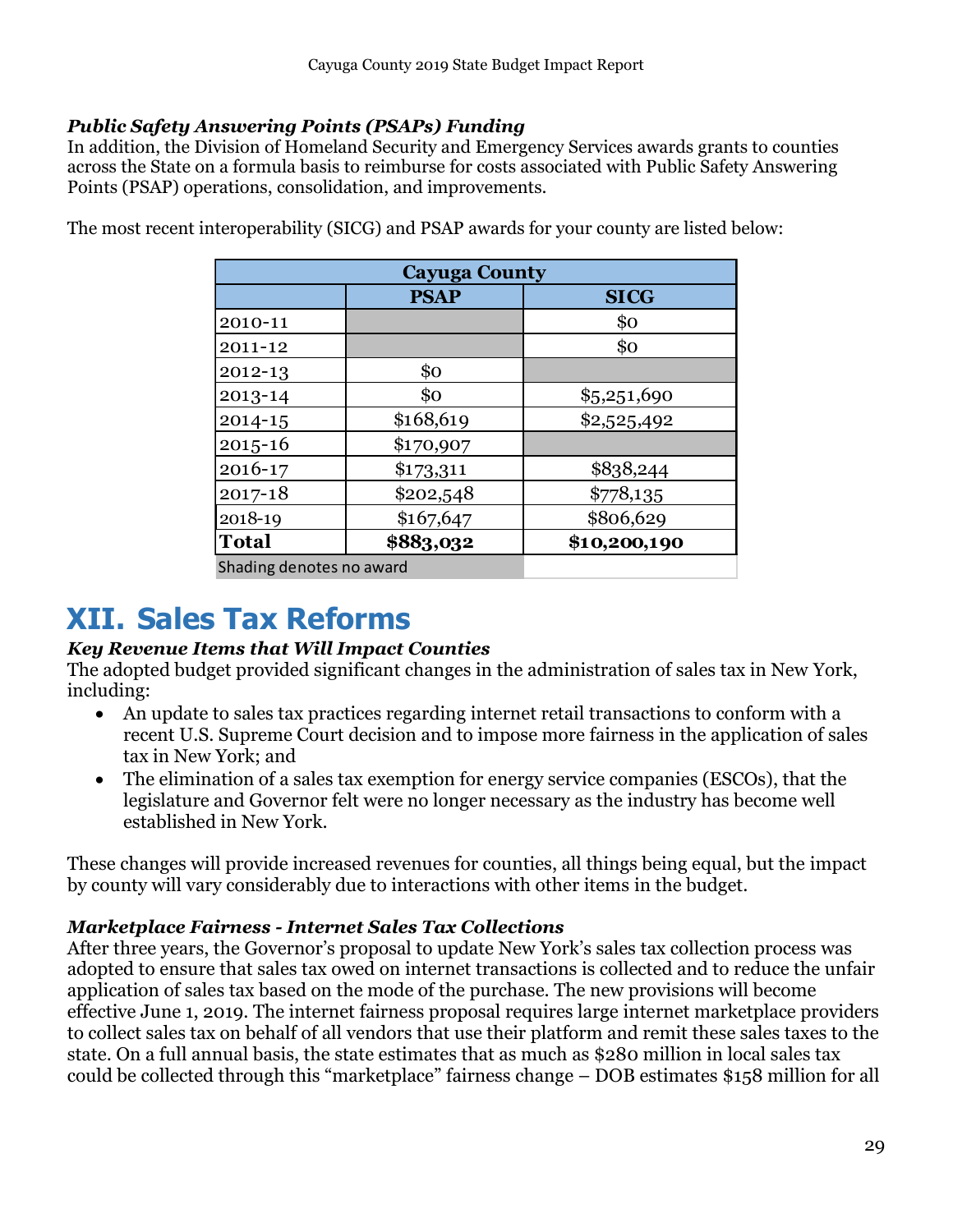### <span id="page-28-0"></span>*Public Safety Answering Points (PSAPs) Funding*

In addition, the Division of Homeland Security and Emergency Services awards grants to counties across the State on a formula basis to reimburse for costs associated with Public Safety Answering Points (PSAP) operations, consolidation, and improvements.

| <b>Cayuga County</b>     |             |              |  |  |  |  |  |
|--------------------------|-------------|--------------|--|--|--|--|--|
|                          | <b>SICG</b> |              |  |  |  |  |  |
| 2010-11                  |             | \$0          |  |  |  |  |  |
| 2011-12                  |             | \$0          |  |  |  |  |  |
| 2012-13                  | \$0         |              |  |  |  |  |  |
| 2013-14                  | \$0         | \$5,251,690  |  |  |  |  |  |
| $2014 - 15$              | \$168,619   | \$2,525,492  |  |  |  |  |  |
| $2015 - 16$              | \$170,907   |              |  |  |  |  |  |
| 2016-17                  | \$173,311   | \$838,244    |  |  |  |  |  |
| 2017-18                  | \$202,548   | \$778,135    |  |  |  |  |  |
| 2018-19                  | \$167,647   | \$806,629    |  |  |  |  |  |
| <b>Total</b>             | \$883,032   | \$10,200,190 |  |  |  |  |  |
| Shading denotes no award |             |              |  |  |  |  |  |

The most recent interoperability (SICG) and PSAP awards for your county are listed below:

### <span id="page-28-1"></span>**XII. Sales Tax Reforms**

### <span id="page-28-2"></span>*Key Revenue Items that Will Impact Counties*

The adopted budget provided significant changes in the administration of sales tax in New York, including:

- An update to sales tax practices regarding internet retail transactions to conform with a recent U.S. Supreme Court decision and to impose more fairness in the application of sales tax in New York; and
- The elimination of a sales tax exemption for energy service companies (ESCOs), that the legislature and Governor felt were no longer necessary as the industry has become well established in New York.

These changes will provide increased revenues for counties, all things being equal, but the impact by county will vary considerably due to interactions with other items in the budget.

### <span id="page-28-3"></span>*Marketplace Fairness - Internet Sales Tax Collections*

After three years, the Governor's proposal to update New York's sales tax collection process was adopted to ensure that sales tax owed on internet transactions is collected and to reduce the unfair application of sales tax based on the mode of the purchase. The new provisions will become effective June 1, 2019. The internet fairness proposal requires large internet marketplace providers to collect sales tax on behalf of all vendors that use their platform and remit these sales taxes to the state. On a full annual basis, the state estimates that as much as \$280 million in local sales tax could be collected through this "marketplace" fairness change – DOB estimates \$158 million for all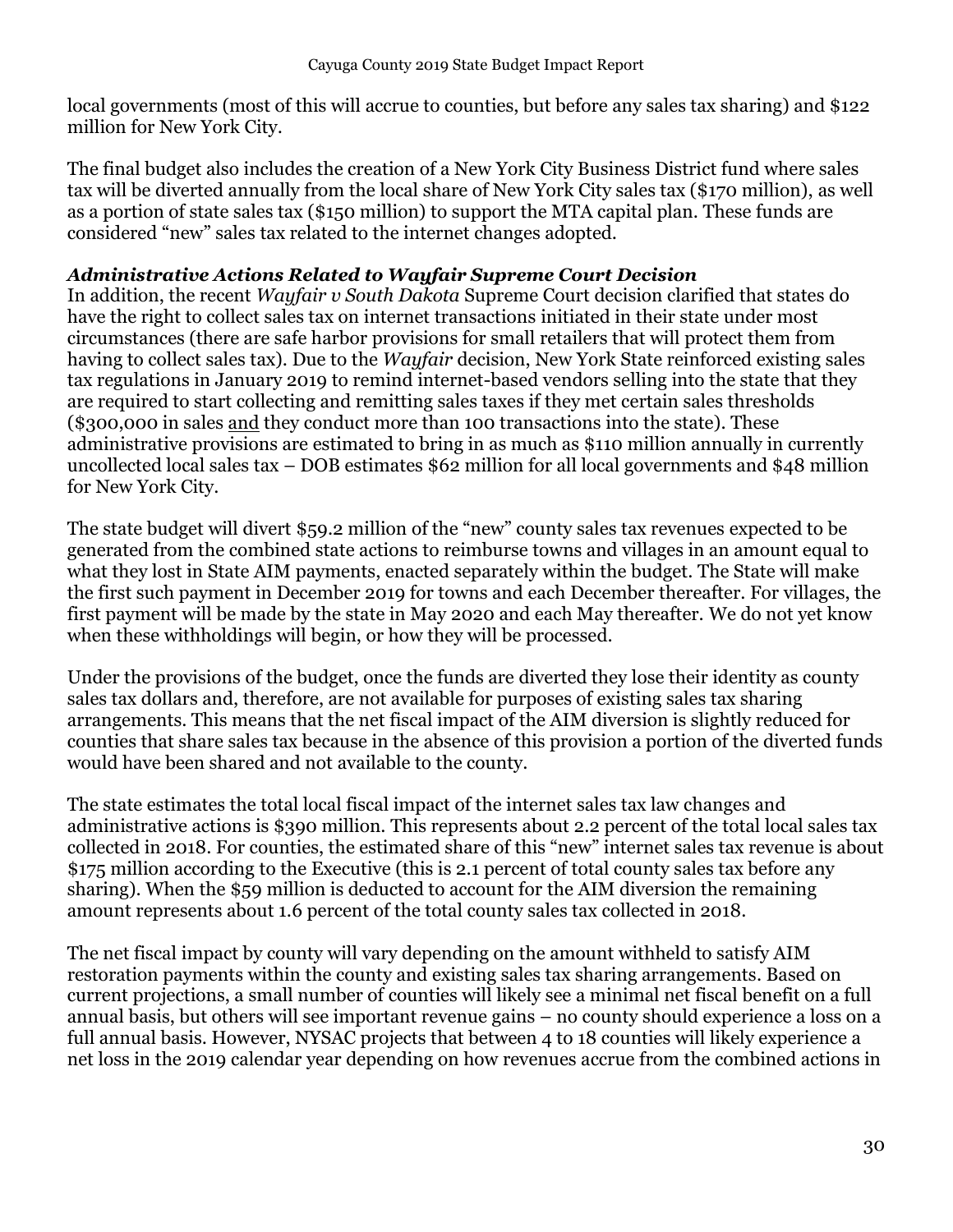local governments (most of this will accrue to counties, but before any sales tax sharing) and \$122 million for New York City.

The final budget also includes the creation of a New York City Business District fund where sales tax will be diverted annually from the local share of New York City sales tax (\$170 million), as well as a portion of state sales tax (\$150 million) to support the MTA capital plan. These funds are considered "new" sales tax related to the internet changes adopted.

### <span id="page-29-0"></span>*Administrative Actions Related to Wayfair Supreme Court Decision*

In addition, the recent *Wayfair v South Dakota* Supreme Court decision clarified that states do have the right to collect sales tax on internet transactions initiated in their state under most circumstances (there are safe harbor provisions for small retailers that will protect them from having to collect sales tax). Due to the *Wayfair* decision, New York State reinforced existing sales tax regulations in January 2019 to remind internet-based vendors selling into the state that they are required to start collecting and remitting sales taxes if they met certain sales thresholds (\$300,000 in sales and they conduct more than 100 transactions into the state). These administrative provisions are estimated to bring in as much as \$110 million annually in currently uncollected local sales tax – DOB estimates \$62 million for all local governments and \$48 million for New York City.

The state budget will divert \$59.2 million of the "new" county sales tax revenues expected to be generated from the combined state actions to reimburse towns and villages in an amount equal to what they lost in State AIM payments, enacted separately within the budget. The State will make the first such payment in December 2019 for towns and each December thereafter. For villages, the first payment will be made by the state in May 2020 and each May thereafter. We do not yet know when these withholdings will begin, or how they will be processed.

Under the provisions of the budget, once the funds are diverted they lose their identity as county sales tax dollars and, therefore, are not available for purposes of existing sales tax sharing arrangements. This means that the net fiscal impact of the AIM diversion is slightly reduced for counties that share sales tax because in the absence of this provision a portion of the diverted funds would have been shared and not available to the county.

The state estimates the total local fiscal impact of the internet sales tax law changes and administrative actions is \$390 million. This represents about 2.2 percent of the total local sales tax collected in 2018. For counties, the estimated share of this "new" internet sales tax revenue is about \$175 million according to the Executive (this is 2.1 percent of total county sales tax before any sharing). When the \$59 million is deducted to account for the AIM diversion the remaining amount represents about 1.6 percent of the total county sales tax collected in 2018.

The net fiscal impact by county will vary depending on the amount withheld to satisfy AIM restoration payments within the county and existing sales tax sharing arrangements. Based on current projections, a small number of counties will likely see a minimal net fiscal benefit on a full annual basis, but others will see important revenue gains – no county should experience a loss on a full annual basis. However, NYSAC projects that between 4 to 18 counties will likely experience a net loss in the 2019 calendar year depending on how revenues accrue from the combined actions in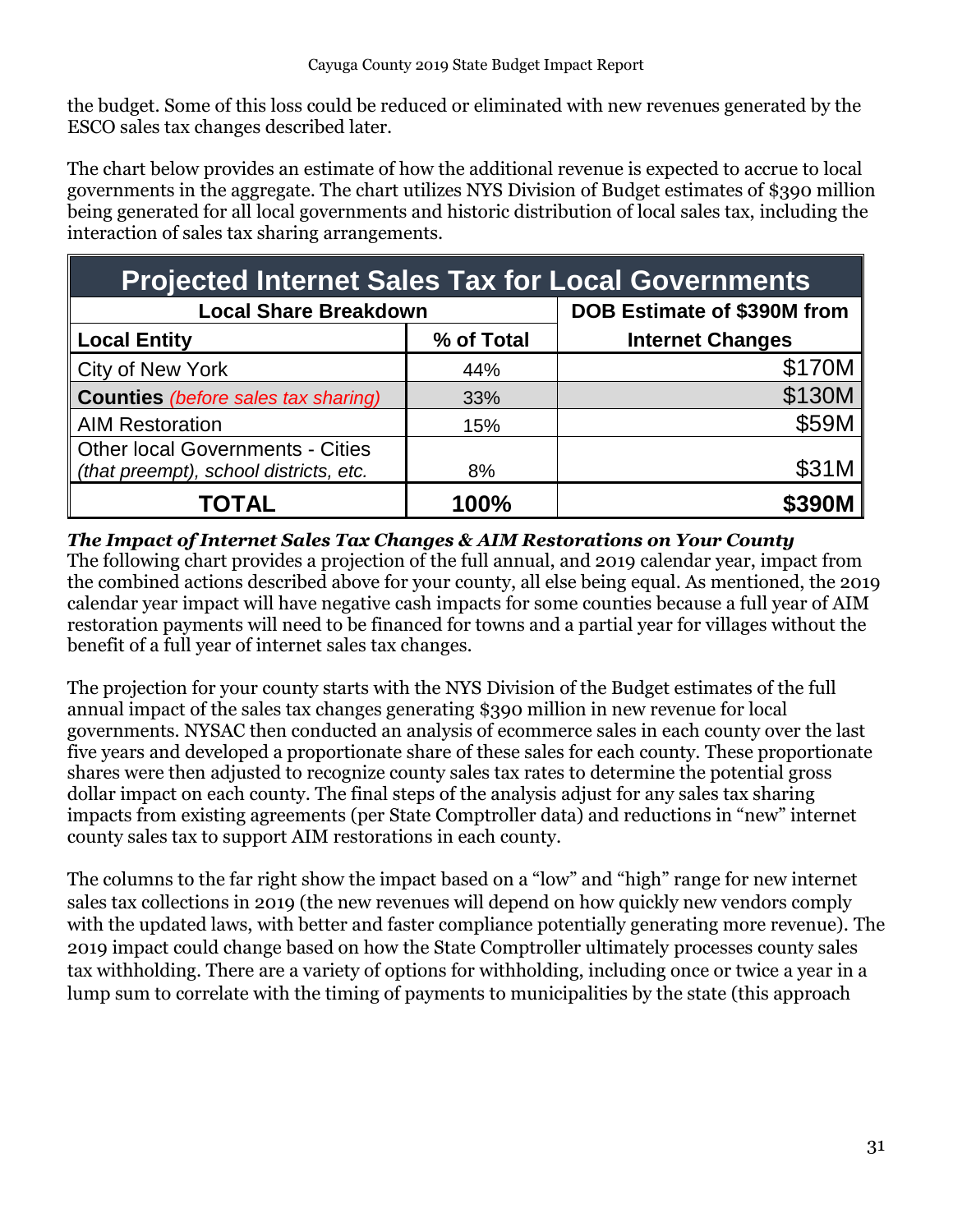the budget. Some of this loss could be reduced or eliminated with new revenues generated by the ESCO sales tax changes described later.

The chart below provides an estimate of how the additional revenue is expected to accrue to local governments in the aggregate. The chart utilizes NYS Division of Budget estimates of \$390 million being generated for all local governments and historic distribution of local sales tax, including the interaction of sales tax sharing arrangements.

| <b>Projected Internet Sales Tax for Local Governments</b>                  |                             |                         |  |  |  |  |  |  |
|----------------------------------------------------------------------------|-----------------------------|-------------------------|--|--|--|--|--|--|
| <b>Local Share Breakdown</b>                                               | DOB Estimate of \$390M from |                         |  |  |  |  |  |  |
| <b>Local Entity</b>                                                        | % of Total                  | <b>Internet Changes</b> |  |  |  |  |  |  |
| <b>City of New York</b>                                                    | 44%                         | \$170M                  |  |  |  |  |  |  |
| <b>Counties</b> (before sales tax sharing)                                 | 33%                         | \$130M                  |  |  |  |  |  |  |
| <b>AIM Restoration</b>                                                     | 15%                         | \$59M                   |  |  |  |  |  |  |
| Other local Governments - Cities<br>(that preempt), school districts, etc. | 8%                          | \$31M                   |  |  |  |  |  |  |
| TOTAL                                                                      | 100%                        | \$390M                  |  |  |  |  |  |  |

### <span id="page-30-0"></span>*The Impact of Internet Sales Tax Changes & AIM Restorations on Your County*

The following chart provides a projection of the full annual, and 2019 calendar year, impact from the combined actions described above for your county, all else being equal. As mentioned, the 2019 calendar year impact will have negative cash impacts for some counties because a full year of AIM restoration payments will need to be financed for towns and a partial year for villages without the benefit of a full year of internet sales tax changes.

The projection for your county starts with the NYS Division of the Budget estimates of the full annual impact of the sales tax changes generating \$390 million in new revenue for local governments. NYSAC then conducted an analysis of ecommerce sales in each county over the last five years and developed a proportionate share of these sales for each county. These proportionate shares were then adjusted to recognize county sales tax rates to determine the potential gross dollar impact on each county. The final steps of the analysis adjust for any sales tax sharing impacts from existing agreements (per State Comptroller data) and reductions in "new" internet county sales tax to support AIM restorations in each county.

The columns to the far right show the impact based on a "low" and "high" range for new internet sales tax collections in 2019 (the new revenues will depend on how quickly new vendors comply with the updated laws, with better and faster compliance potentially generating more revenue). The 2019 impact could change based on how the State Comptroller ultimately processes county sales tax withholding. There are a variety of options for withholding, including once or twice a year in a lump sum to correlate with the timing of payments to municipalities by the state (this approach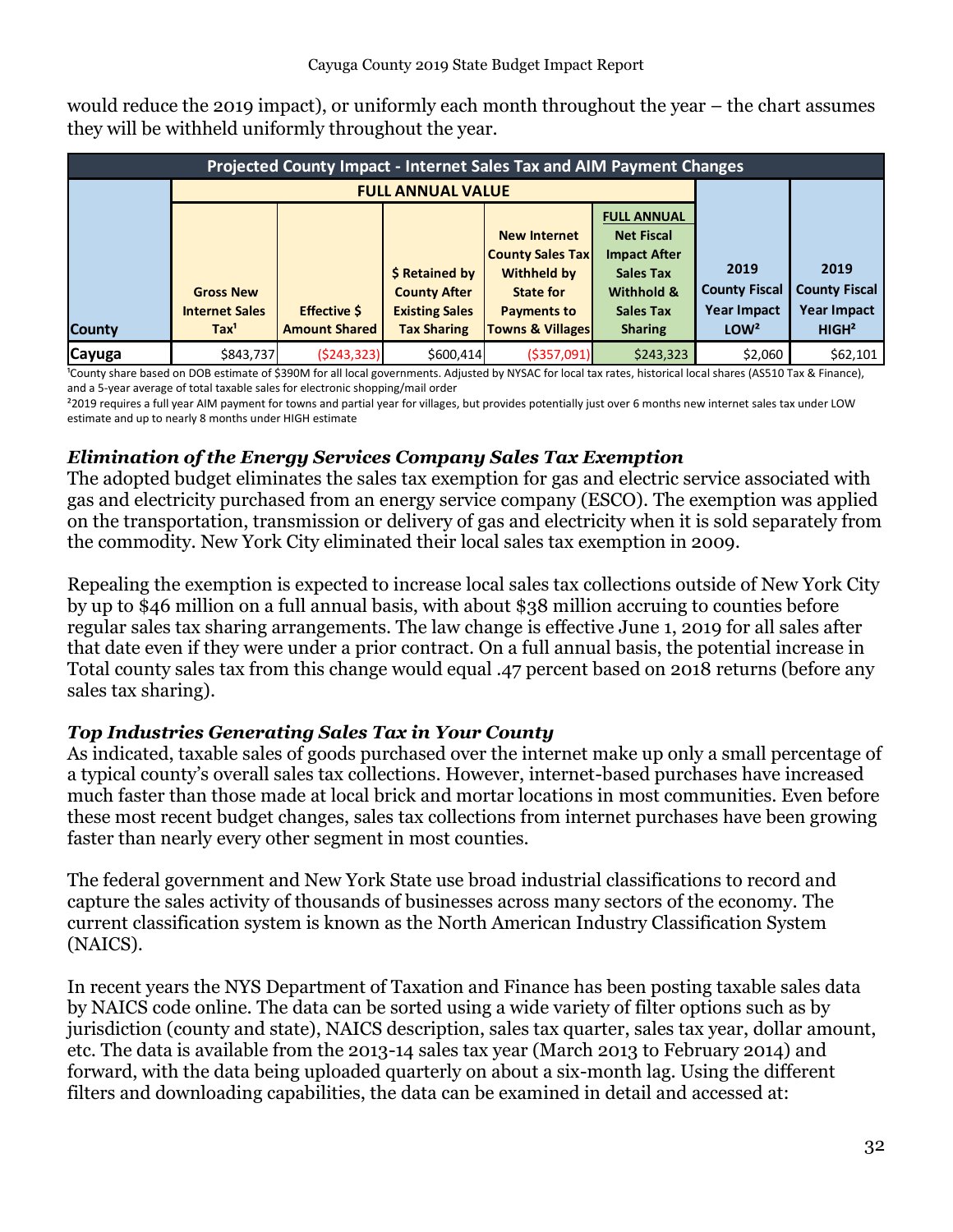would reduce the 2019 impact), or uniformly each month throughout the year – the chart assumes they will be withheld uniformly throughout the year.

|               | <b>Projected County Impact - Internet Sales Tax and AIM Payment Changes</b> |                          |                       |                             |                     |                      |                      |  |  |  |
|---------------|-----------------------------------------------------------------------------|--------------------------|-----------------------|-----------------------------|---------------------|----------------------|----------------------|--|--|--|
|               |                                                                             | <b>FULL ANNUAL VALUE</b> |                       |                             |                     |                      |                      |  |  |  |
|               |                                                                             |                          |                       |                             | <b>FULL ANNUAL</b>  |                      |                      |  |  |  |
|               |                                                                             |                          |                       | <b>New Internet</b>         | <b>Net Fiscal</b>   |                      |                      |  |  |  |
|               |                                                                             |                          |                       | <b>County Sales Tax</b>     | <b>Impact After</b> |                      |                      |  |  |  |
|               |                                                                             |                          | \$ Retained by        | <b>Withheld by</b>          | <b>Sales Tax</b>    | 2019                 | 2019                 |  |  |  |
|               | <b>Gross New</b>                                                            |                          | <b>County After</b>   | State for                   | Withhold &          | <b>County Fiscal</b> | <b>County Fiscal</b> |  |  |  |
|               | <b>Internet Sales</b>                                                       | <b>Effective \$</b>      | <b>Existing Sales</b> | <b>Payments to</b>          | <b>Sales Tax</b>    | Year Impact          | <b>Year Impact</b>   |  |  |  |
| <b>County</b> | Tax <sup>1</sup>                                                            | <b>Amount Shared</b>     | <b>Tax Sharing</b>    | <b>Towns &amp; Villages</b> | <b>Sharing</b>      | LOW <sup>2</sup>     | HIGH <sup>2</sup>    |  |  |  |
| Cayuga        | \$843,737                                                                   | (5243, 323)              | \$600,414             | ( \$357,091]                | \$243,323           | \$2,060              | \$62,101             |  |  |  |

<sup>1</sup>County share based on DOB estimate of \$390M for all local governments. Adjusted by NYSAC for local tax rates, historical local shares (AS510 Tax & Finance), and a 5-year average of total taxable sales for electronic shopping/mail order

²2019 requires a full year AIM payment for towns and partial year for villages, but provides potentially just over 6 months new internet sales tax under LOW estimate and up to nearly 8 months under HIGH estimate

### <span id="page-31-0"></span>*Elimination of the Energy Services Company Sales Tax Exemption*

The adopted budget eliminates the sales tax exemption for gas and electric service associated with gas and electricity purchased from an energy service company (ESCO). The exemption was applied on the transportation, transmission or delivery of gas and electricity when it is sold separately from the commodity. New York City eliminated their local sales tax exemption in 2009.

Repealing the exemption is expected to increase local sales tax collections outside of New York City by up to \$46 million on a full annual basis, with about \$38 million accruing to counties before regular sales tax sharing arrangements. The law change is effective June 1, 2019 for all sales after that date even if they were under a prior contract. On a full annual basis, the potential increase in Total county sales tax from this change would equal .47 percent based on 2018 returns (before any sales tax sharing).

### <span id="page-31-1"></span>*Top Industries Generating Sales Tax in Your County*

As indicated, taxable sales of goods purchased over the internet make up only a small percentage of a typical county's overall sales tax collections. However, internet-based purchases have increased much faster than those made at local brick and mortar locations in most communities. Even before these most recent budget changes, sales tax collections from internet purchases have been growing faster than nearly every other segment in most counties.

The federal government and New York State use broad industrial classifications to record and capture the sales activity of thousands of businesses across many sectors of the economy. The current classification system is known as the North American Industry Classification System (NAICS).

In recent years the NYS Department of Taxation and Finance has been posting taxable sales data by NAICS code online. The data can be sorted using a wide variety of filter options such as by jurisdiction (county and state), NAICS description, sales tax quarter, sales tax year, dollar amount, etc. The data is available from the 2013-14 sales tax year (March 2013 to February 2014) and forward, with the data being uploaded quarterly on about a six-month lag. Using the different filters and downloading capabilities, the data can be examined in detail and accessed at: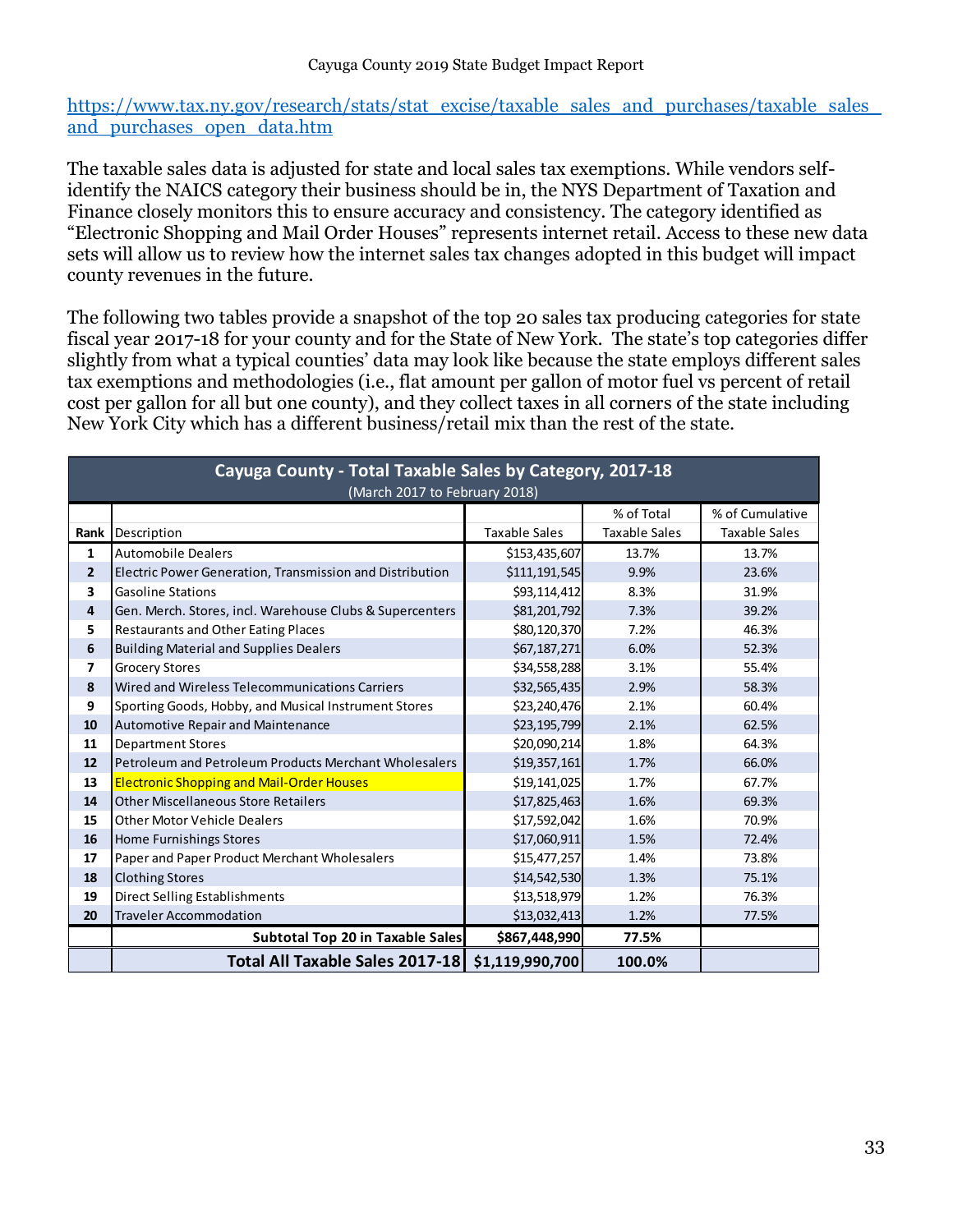https://www.tax.ny.gov/research/stats/stat\_excise/taxable\_sales\_and\_purchases/taxable\_sales [and\\_purchases\\_open\\_data.htm](https://www.tax.ny.gov/research/stats/stat_excise/taxable_sales_and_purchases/taxable_sales_and_purchases_open_data.htm) 

The taxable sales data is adjusted for state and local sales tax exemptions. While vendors selfidentify the NAICS category their business should be in, the NYS Department of Taxation and Finance closely monitors this to ensure accuracy and consistency. The category identified as "Electronic Shopping and Mail Order Houses" represents internet retail. Access to these new data sets will allow us to review how the internet sales tax changes adopted in this budget will impact county revenues in the future.

The following two tables provide a snapshot of the top 20 sales tax producing categories for state fiscal year 2017-18 for your county and for the State of New York. The state's top categories differ slightly from what a typical counties' data may look like because the state employs different sales tax exemptions and methodologies (i.e., flat amount per gallon of motor fuel vs percent of retail cost per gallon for all but one county), and they collect taxes in all corners of the state including New York City which has a different business/retail mix than the rest of the state.

|                         | Cayuga County - Total Taxable Sales by Category, 2017-18<br>(March 2017 to February 2018) |                 |                      |                      |  |  |  |  |  |
|-------------------------|-------------------------------------------------------------------------------------------|-----------------|----------------------|----------------------|--|--|--|--|--|
|                         |                                                                                           |                 | % of Total           | % of Cumulative      |  |  |  |  |  |
| Rank                    | Description                                                                               | Taxable Sales   | <b>Taxable Sales</b> | <b>Taxable Sales</b> |  |  |  |  |  |
| 1                       | <b>Automobile Dealers</b>                                                                 | \$153,435,607   | 13.7%                | 13.7%                |  |  |  |  |  |
| $\overline{2}$          | Electric Power Generation, Transmission and Distribution                                  | \$111,191,545   | 9.9%                 | 23.6%                |  |  |  |  |  |
| 3                       | <b>Gasoline Stations</b>                                                                  | \$93,114,412    | 8.3%                 | 31.9%                |  |  |  |  |  |
| 4                       | Gen. Merch. Stores, incl. Warehouse Clubs & Supercenters                                  | \$81,201,792    | 7.3%                 | 39.2%                |  |  |  |  |  |
| 5                       | <b>Restaurants and Other Eating Places</b>                                                | \$80,120,370    | 7.2%                 | 46.3%                |  |  |  |  |  |
| 6                       | <b>Building Material and Supplies Dealers</b>                                             | \$67,187,271    | 6.0%                 | 52.3%                |  |  |  |  |  |
| $\overline{\mathbf{z}}$ | <b>Grocery Stores</b>                                                                     | \$34,558,288    | 3.1%                 | 55.4%                |  |  |  |  |  |
| 8                       | Wired and Wireless Telecommunications Carriers                                            | \$32,565,435    | 2.9%                 | 58.3%                |  |  |  |  |  |
| 9                       | Sporting Goods, Hobby, and Musical Instrument Stores                                      | \$23,240,476    | 2.1%                 | 60.4%                |  |  |  |  |  |
| 10                      | Automotive Repair and Maintenance                                                         | \$23,195,799    | 2.1%                 | 62.5%                |  |  |  |  |  |
| 11                      | <b>Department Stores</b>                                                                  | \$20,090,214    | 1.8%                 | 64.3%                |  |  |  |  |  |
| 12                      | Petroleum and Petroleum Products Merchant Wholesalers                                     | \$19,357,161    | 1.7%                 | 66.0%                |  |  |  |  |  |
| 13                      | <b>Electronic Shopping and Mail-Order Houses</b>                                          | \$19,141,025    | 1.7%                 | 67.7%                |  |  |  |  |  |
| 14                      | <b>Other Miscellaneous Store Retailers</b>                                                | \$17,825,463    | 1.6%                 | 69.3%                |  |  |  |  |  |
| 15                      | <b>Other Motor Vehicle Dealers</b>                                                        | \$17,592,042    | 1.6%                 | 70.9%                |  |  |  |  |  |
| 16                      | Home Furnishings Stores                                                                   | \$17,060,911    | 1.5%                 | 72.4%                |  |  |  |  |  |
| 17                      | Paper and Paper Product Merchant Wholesalers                                              | \$15,477,257    | 1.4%                 | 73.8%                |  |  |  |  |  |
| 18                      | <b>Clothing Stores</b>                                                                    | \$14,542,530    | 1.3%                 | 75.1%                |  |  |  |  |  |
| 19                      | <b>Direct Selling Establishments</b>                                                      | \$13,518,979    | 1.2%                 | 76.3%                |  |  |  |  |  |
| 20                      | <b>Traveler Accommodation</b>                                                             | \$13,032,413    | 1.2%                 | 77.5%                |  |  |  |  |  |
|                         | Subtotal Top 20 in Taxable Sales                                                          | \$867,448,990   | 77.5%                |                      |  |  |  |  |  |
|                         | <b>Total All Taxable Sales 2017-18</b>                                                    | \$1,119,990,700 | 100.0%               |                      |  |  |  |  |  |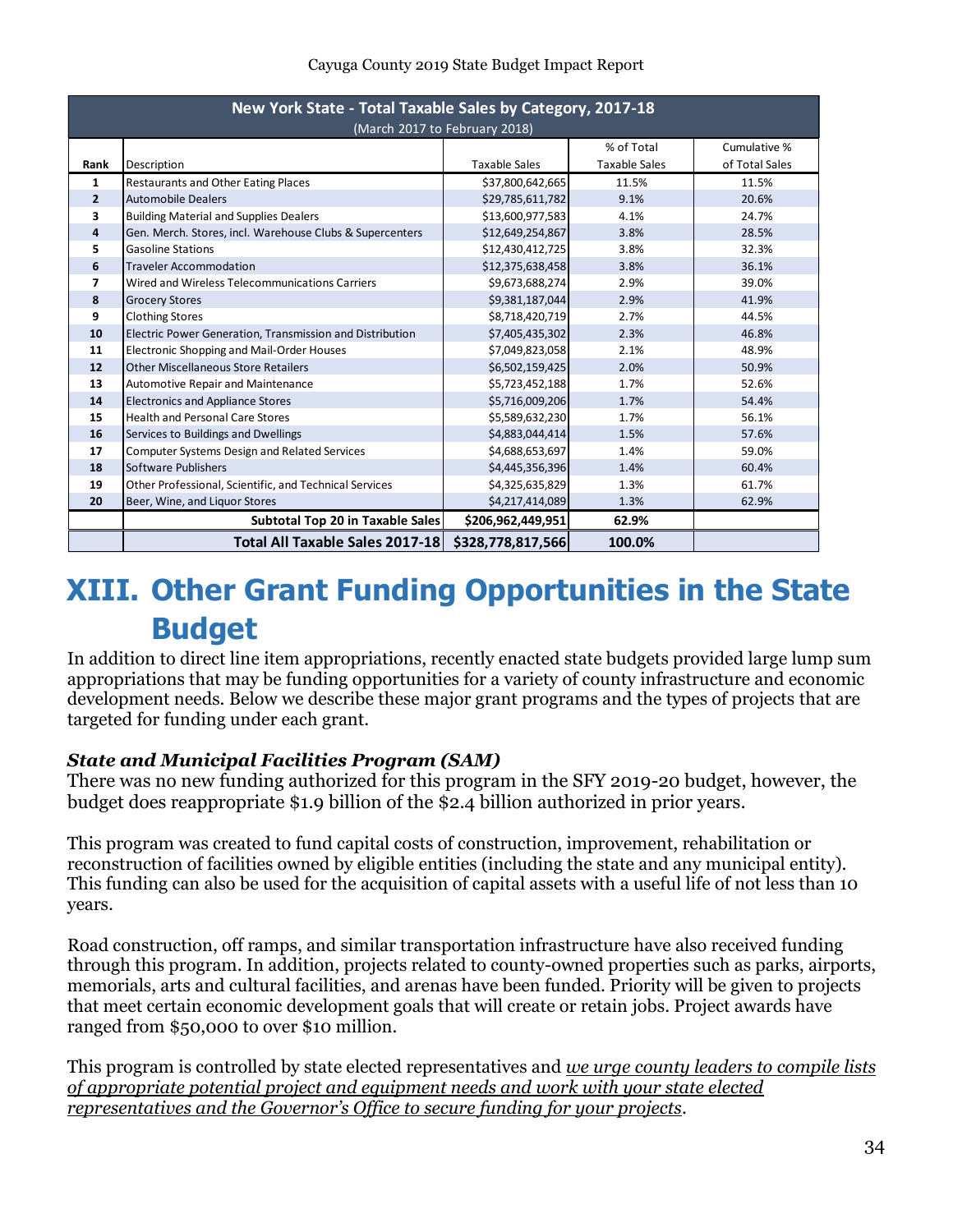#### Cayuga County 2019 State Budget Impact Report

| New York State - Total Taxable Sales by Category, 2017-18<br>(March 2017 to February 2018) |                                                          |                      |                      |                |  |  |  |
|--------------------------------------------------------------------------------------------|----------------------------------------------------------|----------------------|----------------------|----------------|--|--|--|
|                                                                                            | % of Total<br>Cumulative %                               |                      |                      |                |  |  |  |
| Rank                                                                                       | Description                                              | <b>Taxable Sales</b> | <b>Taxable Sales</b> | of Total Sales |  |  |  |
| 1                                                                                          | Restaurants and Other Eating Places                      | \$37,800,642,665     | 11.5%                | 11.5%          |  |  |  |
| $\overline{2}$                                                                             | <b>Automobile Dealers</b>                                | \$29,785,611,782     | 9.1%                 | 20.6%          |  |  |  |
| 3                                                                                          | <b>Building Material and Supplies Dealers</b>            | \$13,600,977,583     | 4.1%                 | 24.7%          |  |  |  |
| 4                                                                                          | Gen. Merch. Stores, incl. Warehouse Clubs & Supercenters | \$12,649,254,867     | 3.8%                 | 28.5%          |  |  |  |
| 5                                                                                          | <b>Gasoline Stations</b>                                 | \$12,430,412,725     | 3.8%                 | 32.3%          |  |  |  |
| 6                                                                                          | <b>Traveler Accommodation</b>                            | \$12,375,638,458     | 3.8%                 | 36.1%          |  |  |  |
| 7                                                                                          | Wired and Wireless Telecommunications Carriers           | \$9,673,688,274      | 2.9%                 | 39.0%          |  |  |  |
| 8                                                                                          | <b>Grocery Stores</b>                                    | \$9,381,187,044      | 2.9%                 | 41.9%          |  |  |  |
| 9                                                                                          | <b>Clothing Stores</b>                                   | \$8,718,420,719      | 2.7%                 | 44.5%          |  |  |  |
| 10                                                                                         | Electric Power Generation, Transmission and Distribution | \$7,405,435,302      | 2.3%                 | 46.8%          |  |  |  |
| 11                                                                                         | Electronic Shopping and Mail-Order Houses                | \$7,049,823,058      | 2.1%                 | 48.9%          |  |  |  |
| 12                                                                                         | <b>Other Miscellaneous Store Retailers</b>               | \$6,502,159,425      | 2.0%                 | 50.9%          |  |  |  |
| 13                                                                                         | Automotive Repair and Maintenance                        | \$5,723,452,188      | 1.7%                 | 52.6%          |  |  |  |
| 14                                                                                         | <b>Electronics and Appliance Stores</b>                  | \$5,716,009,206      | 1.7%                 | 54.4%          |  |  |  |
| 15                                                                                         | <b>Health and Personal Care Stores</b>                   | \$5,589,632,230      | 1.7%                 | 56.1%          |  |  |  |
| 16                                                                                         | Services to Buildings and Dwellings                      | \$4,883,044,414      | 1.5%                 | 57.6%          |  |  |  |
| 17                                                                                         | <b>Computer Systems Design and Related Services</b>      | \$4,688,653,697      | 1.4%                 | 59.0%          |  |  |  |
| 18                                                                                         | Software Publishers                                      | \$4,445,356,396      | 1.4%                 | 60.4%          |  |  |  |
| 19                                                                                         | Other Professional, Scientific, and Technical Services   | \$4,325,635,829      | 1.3%                 | 61.7%          |  |  |  |
| 20                                                                                         | Beer, Wine, and Liquor Stores                            | \$4,217,414,089      | 1.3%                 | 62.9%          |  |  |  |
|                                                                                            | Subtotal Top 20 in Taxable Sales                         | \$206,962,449,951    | 62.9%                |                |  |  |  |
|                                                                                            | Total All Taxable Sales 2017-18                          | \$328,778,817,566    | 100.0%               |                |  |  |  |

# <span id="page-33-0"></span>**XIII. Other Grant Funding Opportunities in the State Budget**

In addition to direct line item appropriations, recently enacted state budgets provided large lump sum appropriations that may be funding opportunities for a variety of county infrastructure and economic development needs. Below we describe these major grant programs and the types of projects that are targeted for funding under each grant.

### <span id="page-33-1"></span>*State and Municipal Facilities Program (SAM)*

There was no new funding authorized for this program in the SFY 2019-20 budget, however, the budget does reappropriate \$1.9 billion of the \$2.4 billion authorized in prior years.

This program was created to fund capital costs of construction, improvement, rehabilitation or reconstruction of facilities owned by eligible entities (including the state and any municipal entity). This funding can also be used for the acquisition of capital assets with a useful life of not less than 10 years.

Road construction, off ramps, and similar transportation infrastructure have also received funding through this program. In addition, projects related to county-owned properties such as parks, airports, memorials, arts and cultural facilities, and arenas have been funded. Priority will be given to projects that meet certain economic development goals that will create or retain jobs. Project awards have ranged from \$50,000 to over \$10 million.

This program is controlled by state elected representatives and *we urge county leaders to compile lists of appropriate potential project and equipment needs and work with your state elected representatives and the Governor's Office to secure funding for your projects*.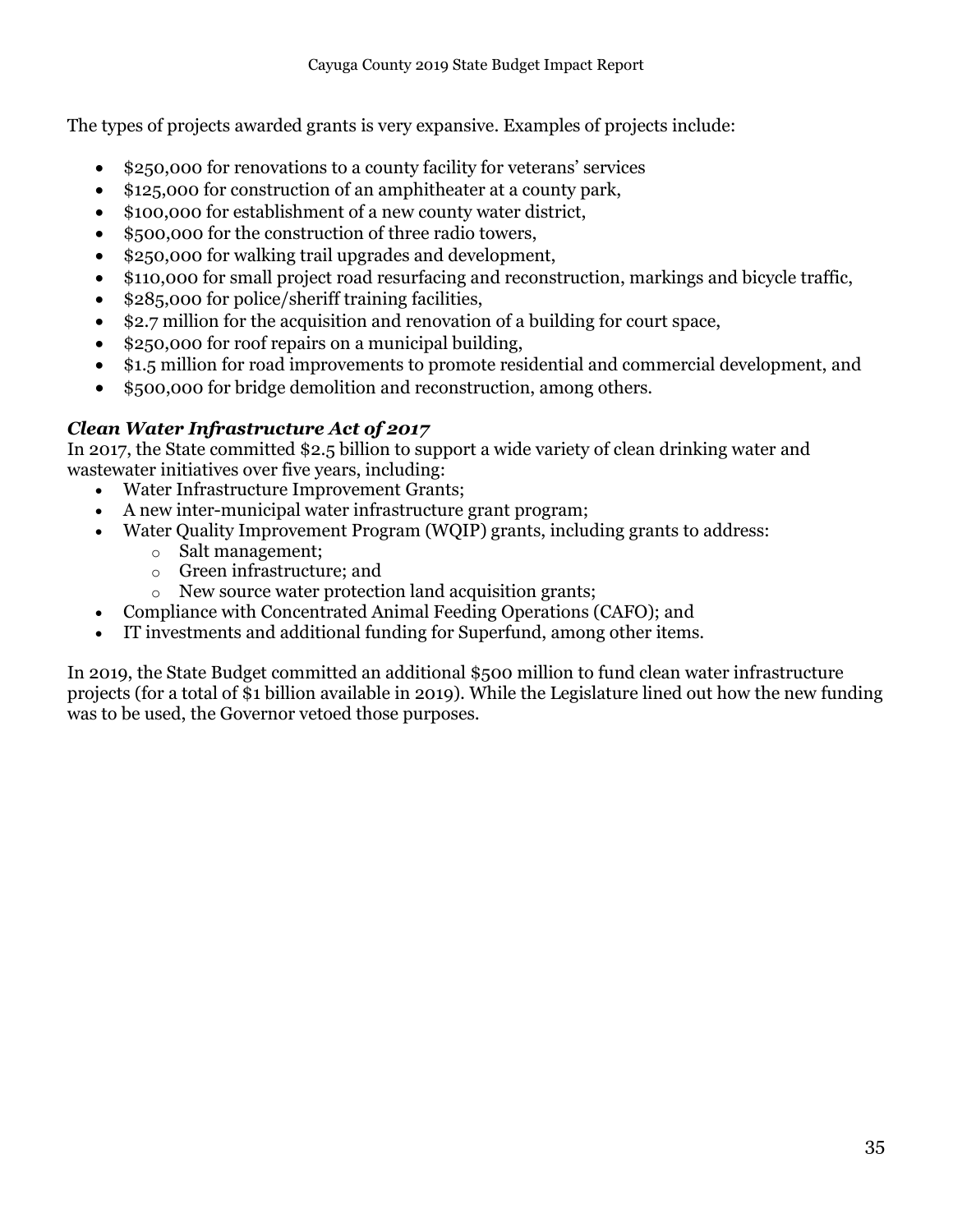The types of projects awarded grants is very expansive. Examples of projects include:

- \$250,000 for renovations to a county facility for veterans' services
- \$125,000 for construction of an amphitheater at a county park,
- \$100,000 for establishment of a new county water district,
- \$500,000 for the construction of three radio towers,
- \$250,000 for walking trail upgrades and development,
- \$110,000 for small project road resurfacing and reconstruction, markings and bicycle traffic,
- \$285,000 for police/sheriff training facilities,
- \$2.7 million for the acquisition and renovation of a building for court space,
- \$250,000 for roof repairs on a municipal building,
- \$1.5 million for road improvements to promote residential and commercial development, and
- \$500,000 for bridge demolition and reconstruction, among others.

### <span id="page-34-0"></span>*Clean Water Infrastructure Act of 2017*

In 2017, the State committed \$2.5 billion to support a wide variety of clean drinking water and wastewater initiatives over five years, including:

- Water Infrastructure Improvement Grants;
- A new inter-municipal water infrastructure grant program;
- Water Quality Improvement Program (WQIP) grants, including grants to address:
	- o Salt management;
	- o Green infrastructure; and
	- o New source water protection land acquisition grants;
- Compliance with Concentrated Animal Feeding Operations (CAFO); and
- IT investments and additional funding for Superfund, among other items.

In 2019, the State Budget committed an additional \$500 million to fund clean water infrastructure projects (for a total of \$1 billion available in 2019). While the Legislature lined out how the new funding was to be used, the Governor vetoed those purposes.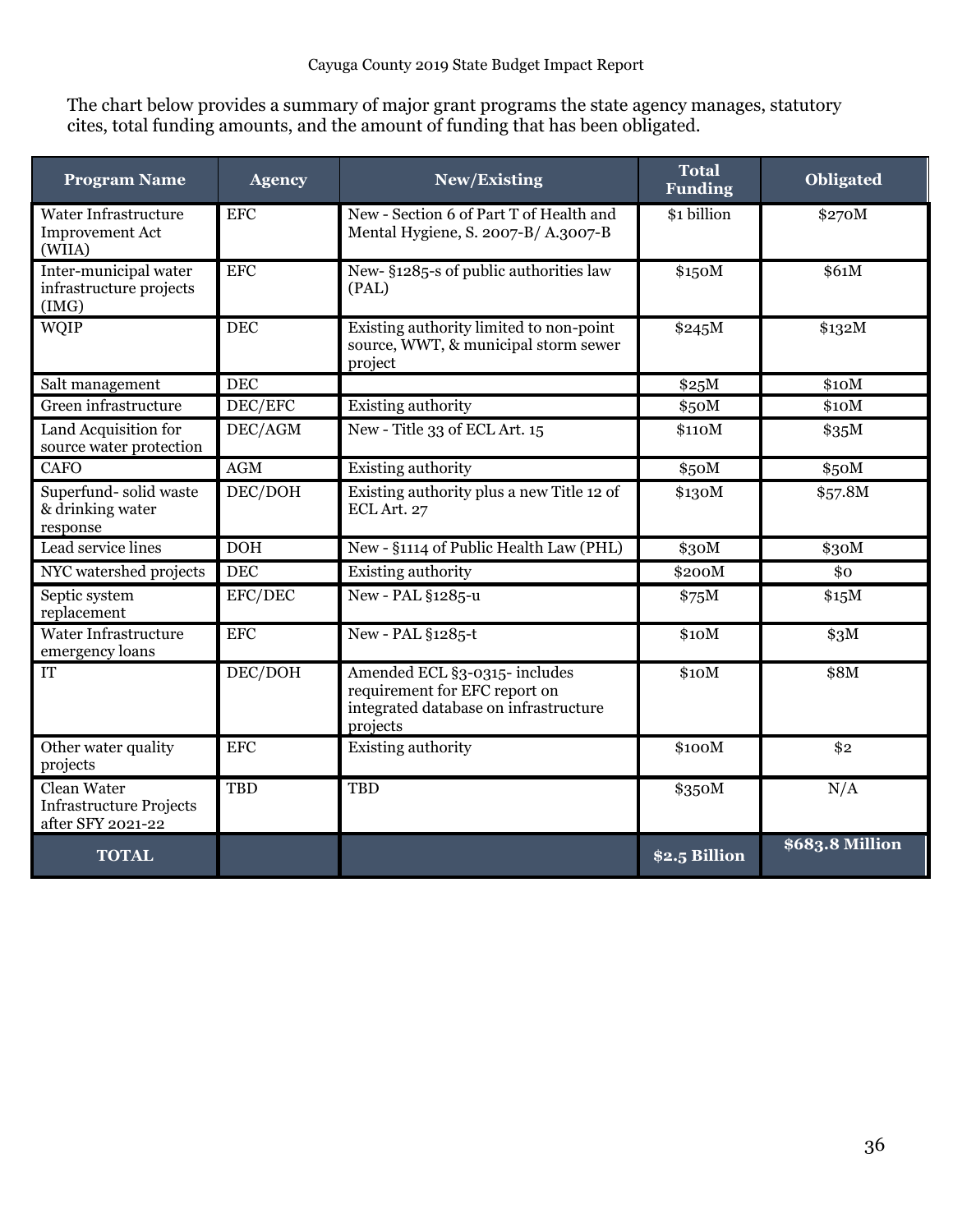The chart below provides a summary of major grant programs the state agency manages, statutory cites, total funding amounts, and the amount of funding that has been obligated.

| <b>Program Name</b>                                                | <b>Agency</b> | New/Existing                                                                                                        | <b>Total</b><br><b>Funding</b> | <b>Obligated</b> |
|--------------------------------------------------------------------|---------------|---------------------------------------------------------------------------------------------------------------------|--------------------------------|------------------|
| Water Infrastructure<br><b>Improvement Act</b><br>(WIIA)           | <b>EFC</b>    | New - Section 6 of Part T of Health and<br>Mental Hygiene, S. 2007-B/A.3007-B                                       | \$1 billion                    | \$270M           |
| Inter-municipal water<br>infrastructure projects<br>(IMG)          | <b>EFC</b>    | New- §1285-s of public authorities law<br>(PAL)                                                                     | \$150M                         | \$61M            |
| <b>WQIP</b>                                                        | <b>DEC</b>    | Existing authority limited to non-point<br>source, WWT, & municipal storm sewer<br>project                          | \$245M                         | \$132M           |
| Salt management                                                    | <b>DEC</b>    |                                                                                                                     | \$25M                          | \$10M            |
| Green infrastructure                                               | DEC/EFC       | Existing authority                                                                                                  | \$50M                          | \$10M            |
| Land Acquisition for<br>source water protection                    | DEC/AGM       | New - Title 33 of ECL Art. 15                                                                                       | \$110M                         | \$35M            |
| <b>CAFO</b>                                                        | <b>AGM</b>    | Existing authority                                                                                                  | \$50M                          | \$50M            |
| Superfund-solid waste<br>& drinking water<br>response              | DEC/DOH       | Existing authority plus a new Title 12 of<br>ECL Art. 27                                                            | \$130M                         | \$57.8M          |
| Lead service lines                                                 | <b>DOH</b>    | New - §1114 of Public Health Law (PHL)                                                                              | \$30M                          | \$30M            |
| NYC watershed projects                                             | <b>DEC</b>    | Existing authority                                                                                                  | \$200M                         | \$0              |
| Septic system<br>replacement                                       | EFC/DEC       | New - PAL §1285-u                                                                                                   | \$75M                          | \$15M            |
| Water Infrastructure<br>emergency loans                            | <b>EFC</b>    | New - PAL §1285-t                                                                                                   | \$10M                          | \$3M             |
| <b>IT</b>                                                          | DEC/DOH       | Amended ECL §3-0315- includes<br>requirement for EFC report on<br>integrated database on infrastructure<br>projects | \$10M                          | \$8M             |
| Other water quality<br>projects                                    | <b>EFC</b>    | Existing authority                                                                                                  | \$100M                         | \$2              |
| Clean Water<br><b>Infrastructure Projects</b><br>after SFY 2021-22 | <b>TBD</b>    | <b>TBD</b>                                                                                                          | \$350M                         | N/A              |
| <b>TOTAL</b>                                                       |               |                                                                                                                     | \$2.5 Billion                  | \$683.8 Million  |